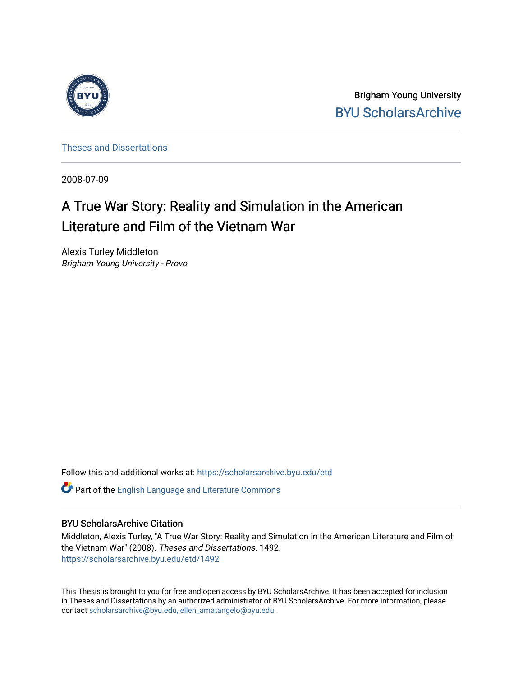

Brigham Young University [BYU ScholarsArchive](https://scholarsarchive.byu.edu/) 

[Theses and Dissertations](https://scholarsarchive.byu.edu/etd)

2008-07-09

# A True War Story: Reality and Simulation in the American Literature and Film of the Vietnam War

Alexis Turley Middleton Brigham Young University - Provo

Follow this and additional works at: [https://scholarsarchive.byu.edu/etd](https://scholarsarchive.byu.edu/etd?utm_source=scholarsarchive.byu.edu%2Fetd%2F1492&utm_medium=PDF&utm_campaign=PDFCoverPages)

Part of the [English Language and Literature Commons](http://network.bepress.com/hgg/discipline/455?utm_source=scholarsarchive.byu.edu%2Fetd%2F1492&utm_medium=PDF&utm_campaign=PDFCoverPages)

#### BYU ScholarsArchive Citation

Middleton, Alexis Turley, "A True War Story: Reality and Simulation in the American Literature and Film of the Vietnam War" (2008). Theses and Dissertations. 1492. [https://scholarsarchive.byu.edu/etd/1492](https://scholarsarchive.byu.edu/etd/1492?utm_source=scholarsarchive.byu.edu%2Fetd%2F1492&utm_medium=PDF&utm_campaign=PDFCoverPages) 

This Thesis is brought to you for free and open access by BYU ScholarsArchive. It has been accepted for inclusion in Theses and Dissertations by an authorized administrator of BYU ScholarsArchive. For more information, please contact [scholarsarchive@byu.edu, ellen\\_amatangelo@byu.edu](mailto:scholarsarchive@byu.edu,%20ellen_amatangelo@byu.edu).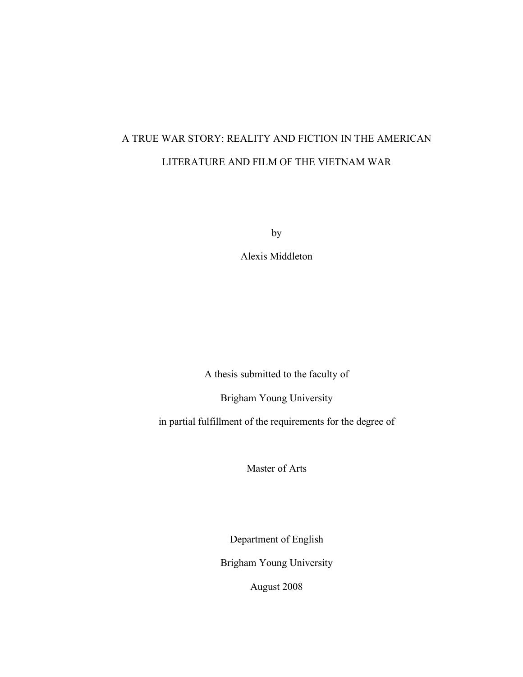## A TRUE WAR STORY: REALITY AND FICTION IN THE AMERICAN LITERATURE AND FILM OF THE VIETNAM WAR

by

Alexis Middleton

A thesis submitted to the faculty of

Brigham Young University

in partial fulfillment of the requirements for the degree of

Master of Arts

Department of English

Brigham Young University

August 2008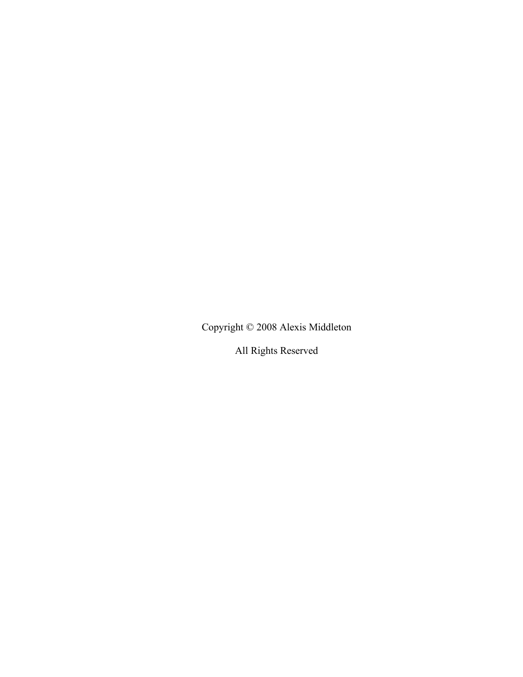Copyright © 2008 Alexis Middleton

All Rights Reserved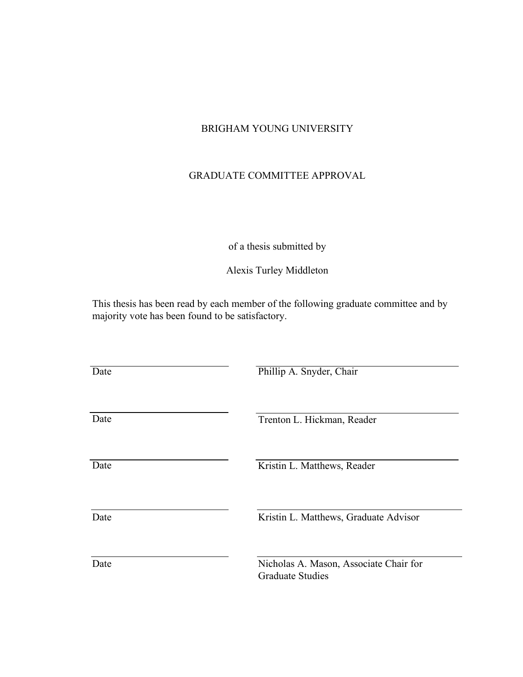### BRIGHAM YOUNG UNIVERSITY

### GRADUATE COMMITTEE APPROVAL

### of a thesis submitted by

Alexis Turley Middleton

This thesis has been read by each member of the following graduate committee and by majority vote has been found to be satisfactory.

| Date | Phillip A. Snyder, Chair                                          |
|------|-------------------------------------------------------------------|
| Date | Trenton L. Hickman, Reader                                        |
| Date | Kristin L. Matthews, Reader                                       |
| Date | Kristin L. Matthews, Graduate Advisor                             |
| Date | Nicholas A. Mason, Associate Chair for<br><b>Graduate Studies</b> |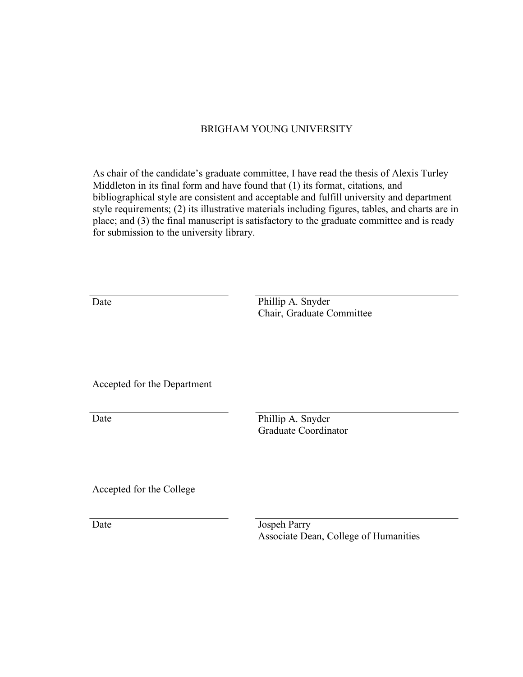### BRIGHAM YOUNG UNIVERSITY

As chair of the candidate's graduate committee, I have read the thesis of Alexis Turley Middleton in its final form and have found that (1) its format, citations, and bibliographical style are consistent and acceptable and fulfill university and department style requirements; (2) its illustrative materials including figures, tables, and charts are in place; and (3) the final manuscript is satisfactory to the graduate committee and is ready for submission to the university library.

Date Phillip A. Snyder Chair, Graduate Committee

Accepted for the Department

Date

Phillip A. Snyder Graduate Coordinator

Accepted for the College

Date Jospeh Parry Associate Dean, College of Humanities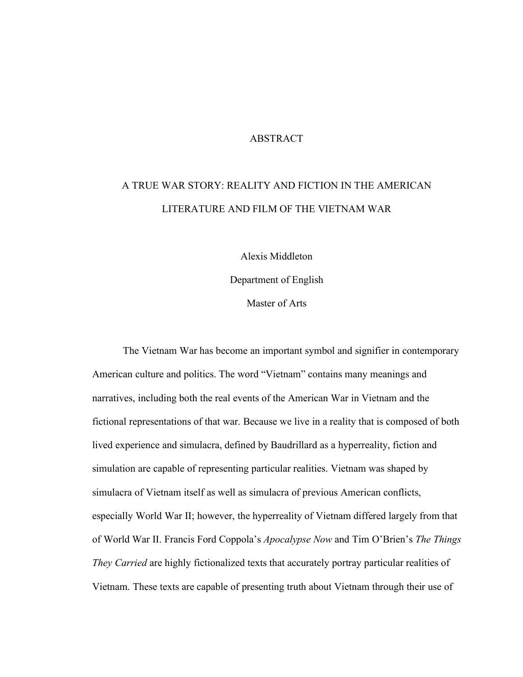#### ABSTRACT

## A TRUE WAR STORY: REALITY AND FICTION IN THE AMERICAN LITERATURE AND FILM OF THE VIETNAM WAR

Alexis Middleton Department of English Master of Arts

The Vietnam War has become an important symbol and signifier in contemporary American culture and politics. The word "Vietnam" contains many meanings and narratives, including both the real events of the American War in Vietnam and the fictional representations of that war. Because we live in a reality that is composed of both lived experience and simulacra, defined by Baudrillard as a hyperreality, fiction and simulation are capable of representing particular realities. Vietnam was shaped by simulacra of Vietnam itself as well as simulacra of previous American conflicts, especially World War II; however, the hyperreality of Vietnam differed largely from that of World War II. Francis Ford Coppola's *Apocalypse Now* and Tim O'Brien's *The Things They Carried* are highly fictionalized texts that accurately portray particular realities of Vietnam. These texts are capable of presenting truth about Vietnam through their use of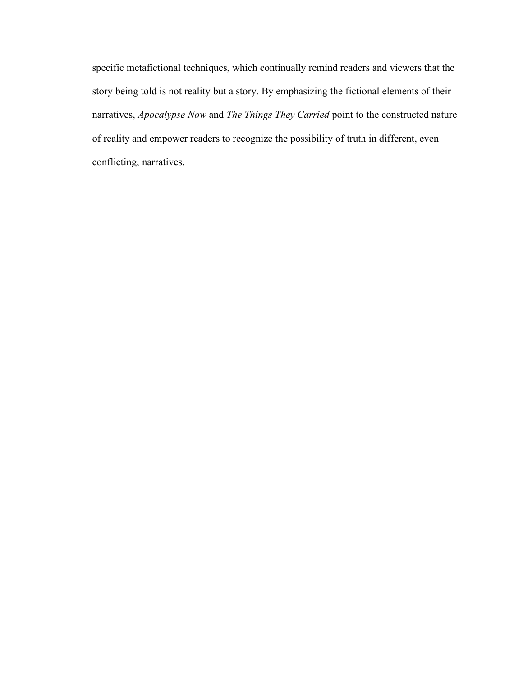specific metafictional techniques, which continually remind readers and viewers that the story being told is not reality but a story. By emphasizing the fictional elements of their narratives, *Apocalypse Now* and *The Things They Carried* point to the constructed nature of reality and empower readers to recognize the possibility of truth in different, even conflicting, narratives.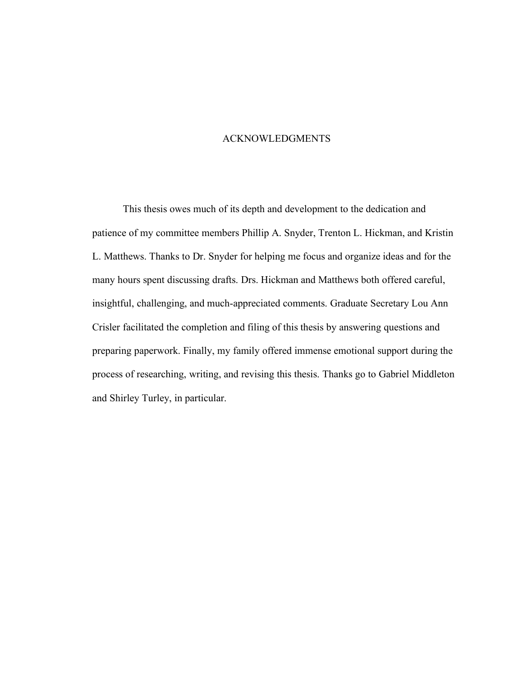#### ACKNOWLEDGMENTS

This thesis owes much of its depth and development to the dedication and patience of my committee members Phillip A. Snyder, Trenton L. Hickman, and Kristin L. Matthews. Thanks to Dr. Snyder for helping me focus and organize ideas and for the many hours spent discussing drafts. Drs. Hickman and Matthews both offered careful, insightful, challenging, and much-appreciated comments. Graduate Secretary Lou Ann Crisler facilitated the completion and filing of this thesis by answering questions and preparing paperwork. Finally, my family offered immense emotional support during the process of researching, writing, and revising this thesis. Thanks go to Gabriel Middleton and Shirley Turley, in particular.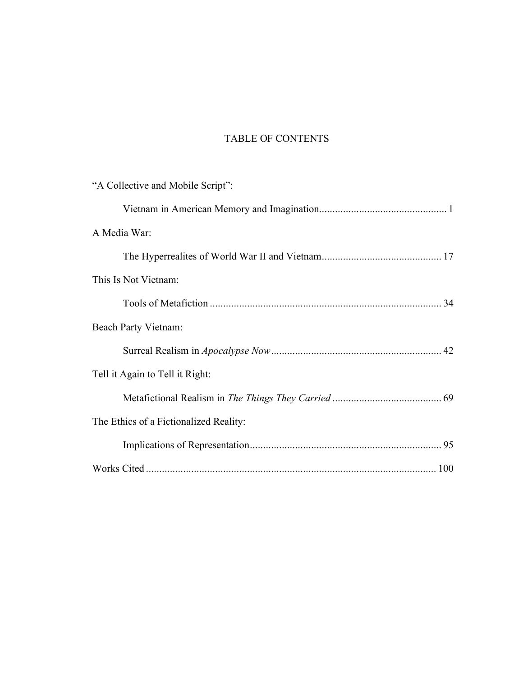## TABLE OF CONTENTS

| "A Collective and Mobile Script":      |  |
|----------------------------------------|--|
|                                        |  |
| A Media War:                           |  |
|                                        |  |
| This Is Not Vietnam:                   |  |
|                                        |  |
| Beach Party Vietnam:                   |  |
|                                        |  |
| Tell it Again to Tell it Right:        |  |
|                                        |  |
| The Ethics of a Fictionalized Reality: |  |
|                                        |  |
|                                        |  |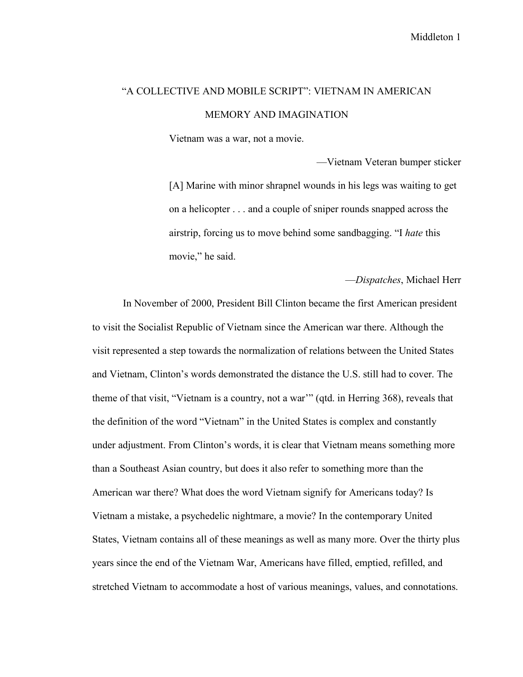## "A COLLECTIVE AND MOBILE SCRIPT": VIETNAM IN AMERICAN MEMORY AND IMAGINATION

Vietnam was a war, not a movie.

—Vietnam Veteran bumper sticker [A] Marine with minor shrapnel wounds in his legs was waiting to get on a helicopter . . . and a couple of sniper rounds snapped across the airstrip, forcing us to move behind some sandbagging. "I *hate* this movie," he said.

—*Dispatches*, Michael Herr

In November of 2000, President Bill Clinton became the first American president to visit the Socialist Republic of Vietnam since the American war there. Although the visit represented a step towards the normalization of relations between the United States and Vietnam, Clinton's words demonstrated the distance the U.S. still had to cover. The theme of that visit, "Vietnam is a country, not a war'" (qtd. in Herring 368), reveals that the definition of the word "Vietnam" in the United States is complex and constantly under adjustment. From Clinton's words, it is clear that Vietnam means something more than a Southeast Asian country, but does it also refer to something more than the American war there? What does the word Vietnam signify for Americans today? Is Vietnam a mistake, a psychedelic nightmare, a movie? In the contemporary United States, Vietnam contains all of these meanings as well as many more. Over the thirty plus years since the end of the Vietnam War, Americans have filled, emptied, refilled, and stretched Vietnam to accommodate a host of various meanings, values, and connotations.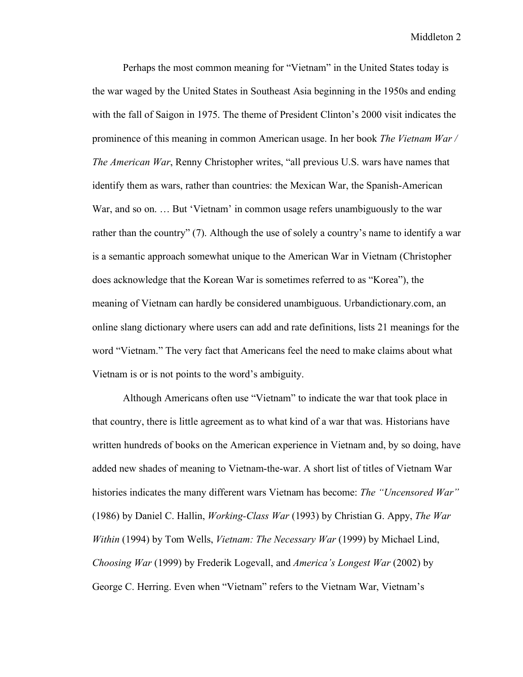Perhaps the most common meaning for "Vietnam" in the United States today is the war waged by the United States in Southeast Asia beginning in the 1950s and ending with the fall of Saigon in 1975. The theme of President Clinton's 2000 visit indicates the prominence of this meaning in common American usage. In her book *The Vietnam War / The American War*, Renny Christopher writes, "all previous U.S. wars have names that identify them as wars, rather than countries: the Mexican War, the Spanish-American War, and so on. … But 'Vietnam' in common usage refers unambiguously to the war rather than the country" (7). Although the use of solely a country's name to identify a war is a semantic approach somewhat unique to the American War in Vietnam (Christopher does acknowledge that the Korean War is sometimes referred to as "Korea"), the meaning of Vietnam can hardly be considered unambiguous. Urbandictionary.com, an online slang dictionary where users can add and rate definitions, lists 21 meanings for the word "Vietnam." The very fact that Americans feel the need to make claims about what Vietnam is or is not points to the word's ambiguity.

Although Americans often use "Vietnam" to indicate the war that took place in that country, there is little agreement as to what kind of a war that was. Historians have written hundreds of books on the American experience in Vietnam and, by so doing, have added new shades of meaning to Vietnam-the-war. A short list of titles of Vietnam War histories indicates the many different wars Vietnam has become: *The "Uncensored War"* (1986) by Daniel C. Hallin, *Working-Class War* (1993) by Christian G. Appy, *The War Within* (1994) by Tom Wells, *Vietnam: The Necessary War* (1999) by Michael Lind, *Choosing War* (1999) by Frederik Logevall, and *America's Longest War* (2002) by George C. Herring. Even when "Vietnam" refers to the Vietnam War, Vietnam's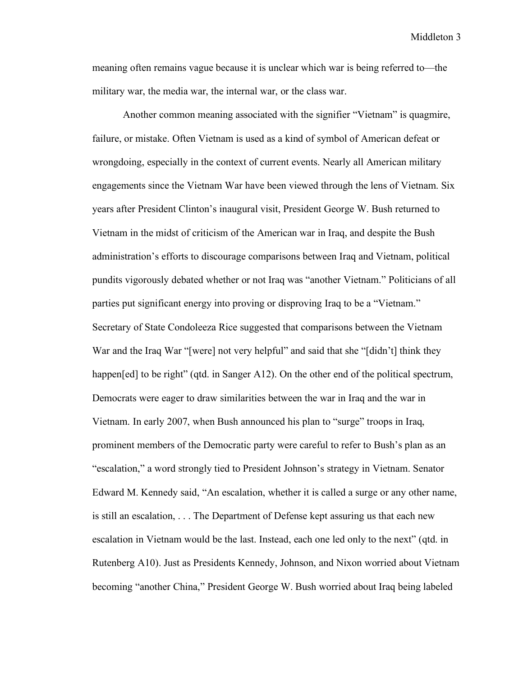meaning often remains vague because it is unclear which war is being referred to—the military war, the media war, the internal war, or the class war.

Another common meaning associated with the signifier "Vietnam" is quagmire, failure, or mistake. Often Vietnam is used as a kind of symbol of American defeat or wrongdoing, especially in the context of current events. Nearly all American military engagements since the Vietnam War have been viewed through the lens of Vietnam. Six years after President Clinton's inaugural visit, President George W. Bush returned to Vietnam in the midst of criticism of the American war in Iraq, and despite the Bush administration's efforts to discourage comparisons between Iraq and Vietnam, political pundits vigorously debated whether or not Iraq was "another Vietnam." Politicians of all parties put significant energy into proving or disproving Iraq to be a "Vietnam." Secretary of State Condoleeza Rice suggested that comparisons between the Vietnam War and the Iraq War "[were] not very helpful" and said that she "[didn't] think they happen[ed] to be right" (qtd. in Sanger A12). On the other end of the political spectrum, Democrats were eager to draw similarities between the war in Iraq and the war in Vietnam. In early 2007, when Bush announced his plan to "surge" troops in Iraq, prominent members of the Democratic party were careful to refer to Bush's plan as an "escalation," a word strongly tied to President Johnson's strategy in Vietnam. Senator Edward M. Kennedy said, "An escalation, whether it is called a surge or any other name, is still an escalation, . . . The Department of Defense kept assuring us that each new escalation in Vietnam would be the last. Instead, each one led only to the next" (qtd. in Rutenberg A10). Just as Presidents Kennedy, Johnson, and Nixon worried about Vietnam becoming "another China," President George W. Bush worried about Iraq being labeled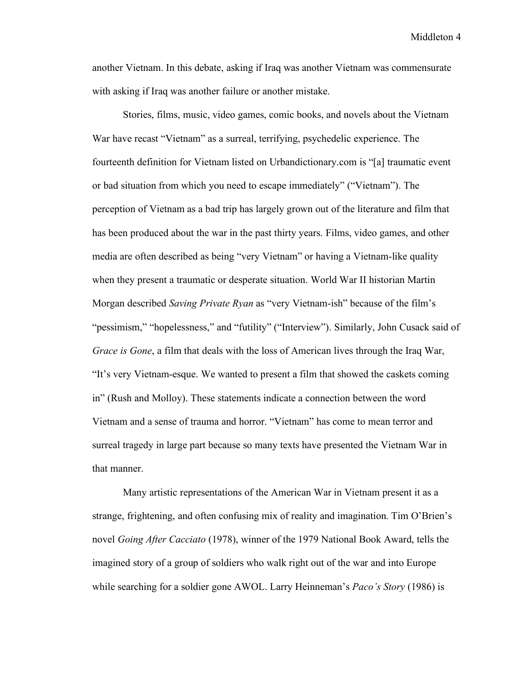another Vietnam. In this debate, asking if Iraq was another Vietnam was commensurate with asking if Iraq was another failure or another mistake.

Stories, films, music, video games, comic books, and novels about the Vietnam War have recast "Vietnam" as a surreal, terrifying, psychedelic experience. The fourteenth definition for Vietnam listed on Urbandictionary.com is "[a] traumatic event or bad situation from which you need to escape immediately" ("Vietnam"). The perception of Vietnam as a bad trip has largely grown out of the literature and film that has been produced about the war in the past thirty years. Films, video games, and other media are often described as being "very Vietnam" or having a Vietnam-like quality when they present a traumatic or desperate situation. World War II historian Martin Morgan described *Saving Private Ryan* as "very Vietnam-ish" because of the film's "pessimism," "hopelessness," and "futility" ("Interview"). Similarly, John Cusack said of *Grace is Gone*, a film that deals with the loss of American lives through the Iraq War, "It's very Vietnam-esque. We wanted to present a film that showed the caskets coming in" (Rush and Molloy). These statements indicate a connection between the word Vietnam and a sense of trauma and horror. "Vietnam" has come to mean terror and surreal tragedy in large part because so many texts have presented the Vietnam War in that manner.

Many artistic representations of the American War in Vietnam present it as a strange, frightening, and often confusing mix of reality and imagination. Tim O'Brien's novel *Going After Cacciato* (1978), winner of the 1979 National Book Award, tells the imagined story of a group of soldiers who walk right out of the war and into Europe while searching for a soldier gone AWOL. Larry Heinneman's *Paco's Story* (1986) is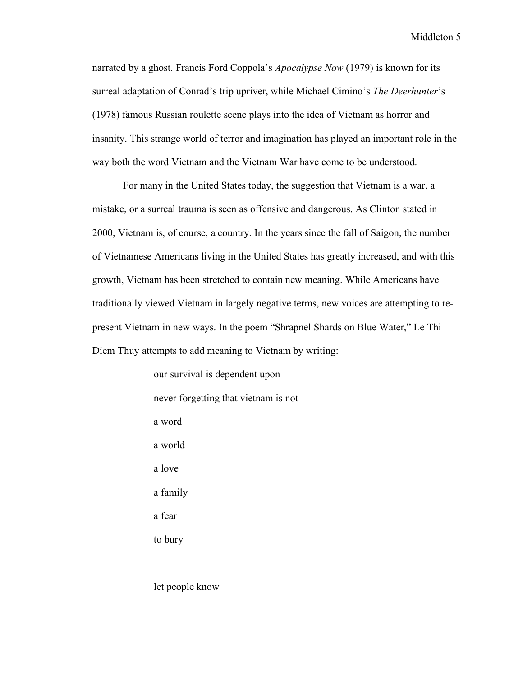narrated by a ghost. Francis Ford Coppola's *Apocalypse Now* (1979) is known for its surreal adaptation of Conrad's trip upriver, while Michael Cimino's *The Deerhunter*'s (1978) famous Russian roulette scene plays into the idea of Vietnam as horror and insanity. This strange world of terror and imagination has played an important role in the way both the word Vietnam and the Vietnam War have come to be understood.

For many in the United States today, the suggestion that Vietnam is a war, a mistake, or a surreal trauma is seen as offensive and dangerous. As Clinton stated in 2000, Vietnam is, of course, a country. In the years since the fall of Saigon, the number of Vietnamese Americans living in the United States has greatly increased, and with this growth, Vietnam has been stretched to contain new meaning. While Americans have traditionally viewed Vietnam in largely negative terms, new voices are attempting to represent Vietnam in new ways. In the poem "Shrapnel Shards on Blue Water," Le Thi Diem Thuy attempts to add meaning to Vietnam by writing:

> our survival is dependent upon never forgetting that vietnam is not a word a world a love a family a fear to bury

let people know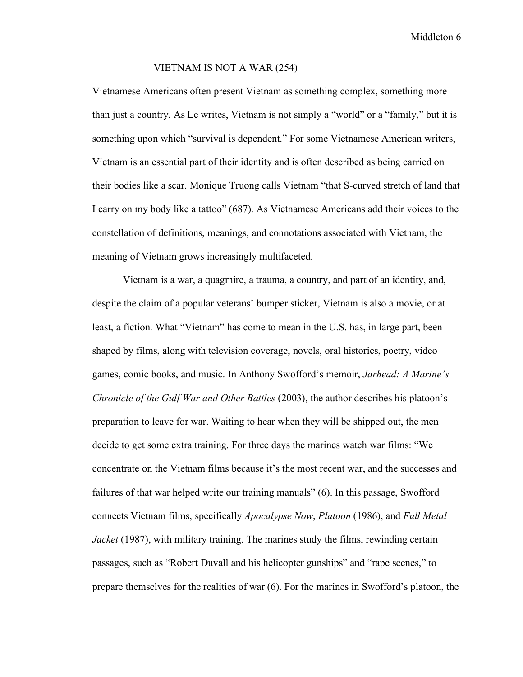#### VIETNAM IS NOT A WAR (254)

Vietnamese Americans often present Vietnam as something complex, something more than just a country. As Le writes, Vietnam is not simply a "world" or a "family," but it is something upon which "survival is dependent." For some Vietnamese American writers, Vietnam is an essential part of their identity and is often described as being carried on their bodies like a scar. Monique Truong calls Vietnam "that S-curved stretch of land that I carry on my body like a tattoo" (687). As Vietnamese Americans add their voices to the constellation of definitions, meanings, and connotations associated with Vietnam, the meaning of Vietnam grows increasingly multifaceted.

Vietnam is a war, a quagmire, a trauma, a country, and part of an identity, and, despite the claim of a popular veterans' bumper sticker, Vietnam is also a movie, or at least, a fiction. What "Vietnam" has come to mean in the U.S. has, in large part, been shaped by films, along with television coverage, novels, oral histories, poetry, video games, comic books, and music. In Anthony Swofford's memoir, *Jarhead: A Marine's Chronicle of the Gulf War and Other Battles* (2003), the author describes his platoon's preparation to leave for war. Waiting to hear when they will be shipped out, the men decide to get some extra training. For three days the marines watch war films: "We concentrate on the Vietnam films because it's the most recent war, and the successes and failures of that war helped write our training manuals" (6). In this passage, Swofford connects Vietnam films, specifically *Apocalypse Now*, *Platoon* (1986), and *Full Metal Jacket* (1987), with military training. The marines study the films, rewinding certain passages, such as "Robert Duvall and his helicopter gunships" and "rape scenes," to prepare themselves for the realities of war (6). For the marines in Swofford's platoon, the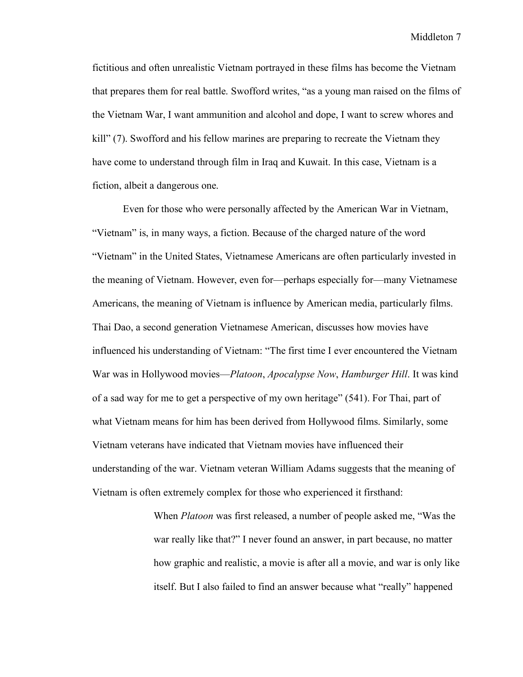fictitious and often unrealistic Vietnam portrayed in these films has become the Vietnam that prepares them for real battle. Swofford writes, "as a young man raised on the films of the Vietnam War, I want ammunition and alcohol and dope, I want to screw whores and kill" (7). Swofford and his fellow marines are preparing to recreate the Vietnam they have come to understand through film in Iraq and Kuwait. In this case, Vietnam is a fiction, albeit a dangerous one.

Even for those who were personally affected by the American War in Vietnam, "Vietnam" is, in many ways, a fiction. Because of the charged nature of the word "Vietnam" in the United States, Vietnamese Americans are often particularly invested in the meaning of Vietnam. However, even for—perhaps especially for—many Vietnamese Americans, the meaning of Vietnam is influence by American media, particularly films. Thai Dao, a second generation Vietnamese American, discusses how movies have influenced his understanding of Vietnam: "The first time I ever encountered the Vietnam War was in Hollywood movies—*Platoon*, *Apocalypse Now*, *Hamburger Hill*. It was kind of a sad way for me to get a perspective of my own heritage" (541). For Thai, part of what Vietnam means for him has been derived from Hollywood films. Similarly, some Vietnam veterans have indicated that Vietnam movies have influenced their understanding of the war. Vietnam veteran William Adams suggests that the meaning of Vietnam is often extremely complex for those who experienced it firsthand:

> When *Platoon* was first released, a number of people asked me, "Was the war really like that?" I never found an answer, in part because, no matter how graphic and realistic, a movie is after all a movie, and war is only like itself. But I also failed to find an answer because what "really" happened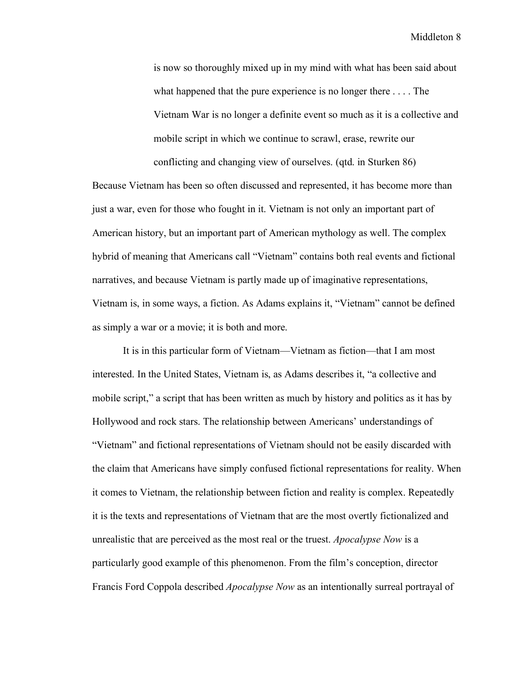is now so thoroughly mixed up in my mind with what has been said about what happened that the pure experience is no longer there . . . . The Vietnam War is no longer a definite event so much as it is a collective and mobile script in which we continue to scrawl, erase, rewrite our conflicting and changing view of ourselves. (qtd. in Sturken 86)

Because Vietnam has been so often discussed and represented, it has become more than just a war, even for those who fought in it. Vietnam is not only an important part of American history, but an important part of American mythology as well. The complex hybrid of meaning that Americans call "Vietnam" contains both real events and fictional narratives, and because Vietnam is partly made up of imaginative representations, Vietnam is, in some ways, a fiction. As Adams explains it, "Vietnam" cannot be defined as simply a war or a movie; it is both and more.

It is in this particular form of Vietnam—Vietnam as fiction—that I am most interested. In the United States, Vietnam is, as Adams describes it, "a collective and mobile script," a script that has been written as much by history and politics as it has by Hollywood and rock stars. The relationship between Americans' understandings of "Vietnam" and fictional representations of Vietnam should not be easily discarded with the claim that Americans have simply confused fictional representations for reality. When it comes to Vietnam, the relationship between fiction and reality is complex. Repeatedly it is the texts and representations of Vietnam that are the most overtly fictionalized and unrealistic that are perceived as the most real or the truest. *Apocalypse Now* is a particularly good example of this phenomenon. From the film's conception, director Francis Ford Coppola described *Apocalypse Now* as an intentionally surreal portrayal of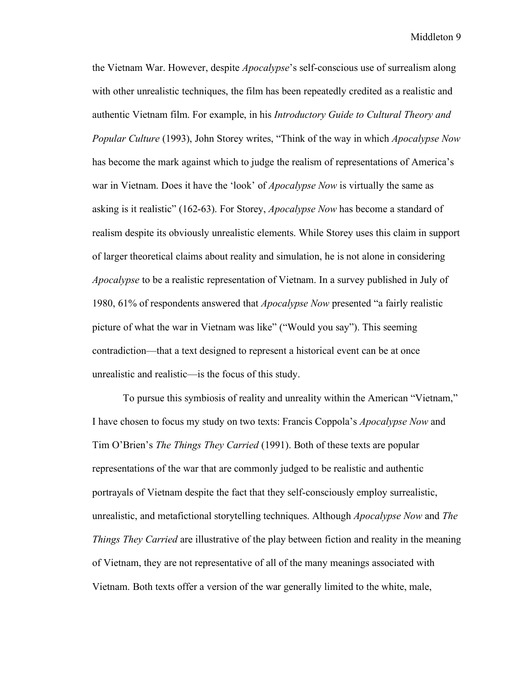the Vietnam War. However, despite *Apocalypse*'s self-conscious use of surrealism along with other unrealistic techniques, the film has been repeatedly credited as a realistic and authentic Vietnam film. For example, in his *Introductory Guide to Cultural Theory and Popular Culture* (1993), John Storey writes, "Think of the way in which *Apocalypse Now* has become the mark against which to judge the realism of representations of America's war in Vietnam. Does it have the 'look' of *Apocalypse Now* is virtually the same as asking is it realistic" (162-63). For Storey, *Apocalypse Now* has become a standard of realism despite its obviously unrealistic elements. While Storey uses this claim in support of larger theoretical claims about reality and simulation, he is not alone in considering *Apocalypse* to be a realistic representation of Vietnam. In a survey published in July of 1980, 61% of respondents answered that *Apocalypse Now* presented "a fairly realistic picture of what the war in Vietnam was like" ("Would you say"). This seeming contradiction—that a text designed to represent a historical event can be at once unrealistic and realistic—is the focus of this study.

To pursue this symbiosis of reality and unreality within the American "Vietnam," I have chosen to focus my study on two texts: Francis Coppola's *Apocalypse Now* and Tim O'Brien's *The Things They Carried* (1991). Both of these texts are popular representations of the war that are commonly judged to be realistic and authentic portrayals of Vietnam despite the fact that they self-consciously employ surrealistic, unrealistic, and metafictional storytelling techniques. Although *Apocalypse Now* and *The Things They Carried* are illustrative of the play between fiction and reality in the meaning of Vietnam, they are not representative of all of the many meanings associated with Vietnam. Both texts offer a version of the war generally limited to the white, male,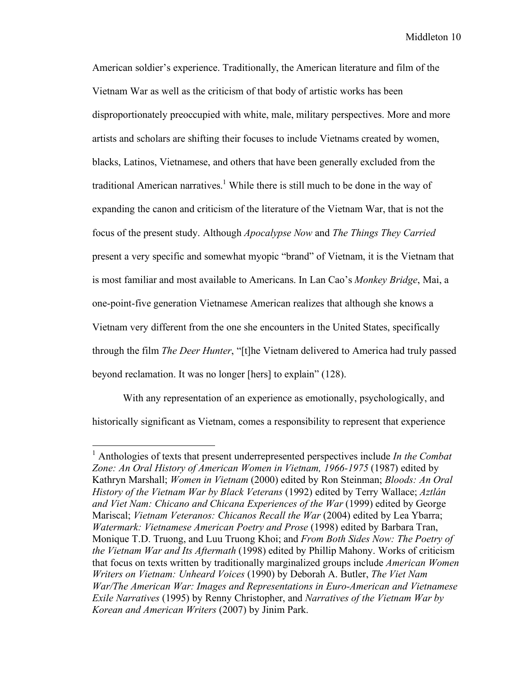American soldier's experience. Traditionally, the American literature and film of the Vietnam War as well as the criticism of that body of artistic works has been disproportionately preoccupied with white, male, military perspectives. More and more artists and scholars are shifting their focuses to include Vietnams created by women, blacks, Latinos, Vietnamese, and others that have been generally excluded from the traditional American narratives. <sup>1</sup> While there is still much to be done in the way of expanding the canon and criticism of the literature of the Vietnam War, that is not the focus of the present study. Although *Apocalypse Now* and *The Things They Carried*  present a very specific and somewhat myopic "brand" of Vietnam, it is the Vietnam that is most familiar and most available to Americans. In Lan Cao's *Monkey Bridge*, Mai, a one-point-five generation Vietnamese American realizes that although she knows a Vietnam very different from the one she encounters in the United States, specifically through the film *The Deer Hunter*, "[t]he Vietnam delivered to America had truly passed beyond reclamation. It was no longer [hers] to explain" (128).

With any representation of an experience as emotionally, psychologically, and historically significant as Vietnam, comes a responsibility to represent that experience

 <sup>1</sup> Anthologies of texts that present underrepresented perspectives include *In the Combat Zone: An Oral History of American Women in Vietnam, 1966-1975* (1987) edited by Kathryn Marshall; *Women in Vietnam* (2000) edited by Ron Steinman; *Bloods: An Oral History of the Vietnam War by Black Veterans* (1992) edited by Terry Wallace; *Aztlán and Viet Nam: Chicano and Chicana Experiences of the War* (1999) edited by George Mariscal; *Vietnam Veteranos: Chicanos Recall the War* (2004) edited by Lea Ybarra; *Watermark: Vietnamese American Poetry and Prose* (1998) edited by Barbara Tran, Monique T.D. Truong, and Luu Truong Khoi; and *From Both Sides Now: The Poetry of the Vietnam War and Its Aftermath* (1998) edited by Phillip Mahony. Works of criticism that focus on texts written by traditionally marginalized groups include *American Women Writers on Vietnam: Unheard Voices* (1990) by Deborah A. Butler, *The Viet Nam War/The American War: Images and Representations in Euro-American and Vietnamese Exile Narratives* (1995) by Renny Christopher, and *Narratives of the Vietnam War by Korean and American Writers* (2007) by Jinim Park.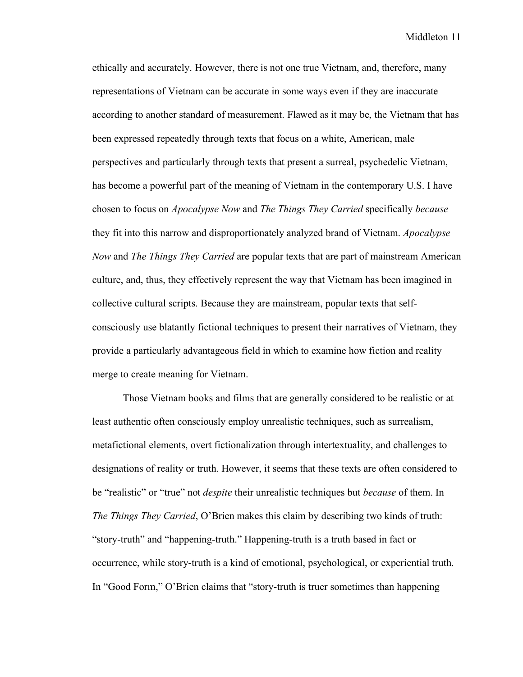ethically and accurately. However, there is not one true Vietnam, and, therefore, many representations of Vietnam can be accurate in some ways even if they are inaccurate according to another standard of measurement. Flawed as it may be, the Vietnam that has been expressed repeatedly through texts that focus on a white, American, male perspectives and particularly through texts that present a surreal, psychedelic Vietnam, has become a powerful part of the meaning of Vietnam in the contemporary U.S. I have chosen to focus on *Apocalypse Now* and *The Things They Carried* specifically *because* they fit into this narrow and disproportionately analyzed brand of Vietnam. *Apocalypse Now* and *The Things They Carried* are popular texts that are part of mainstream American culture, and, thus, they effectively represent the way that Vietnam has been imagined in collective cultural scripts. Because they are mainstream, popular texts that selfconsciously use blatantly fictional techniques to present their narratives of Vietnam, they provide a particularly advantageous field in which to examine how fiction and reality merge to create meaning for Vietnam.

Those Vietnam books and films that are generally considered to be realistic or at least authentic often consciously employ unrealistic techniques, such as surrealism, metafictional elements, overt fictionalization through intertextuality, and challenges to designations of reality or truth. However, it seems that these texts are often considered to be "realistic" or "true" not *despite* their unrealistic techniques but *because* of them. In *The Things They Carried*, O'Brien makes this claim by describing two kinds of truth: "story-truth" and "happening-truth." Happening-truth is a truth based in fact or occurrence, while story-truth is a kind of emotional, psychological, or experiential truth. In "Good Form," O'Brien claims that "story-truth is truer sometimes than happening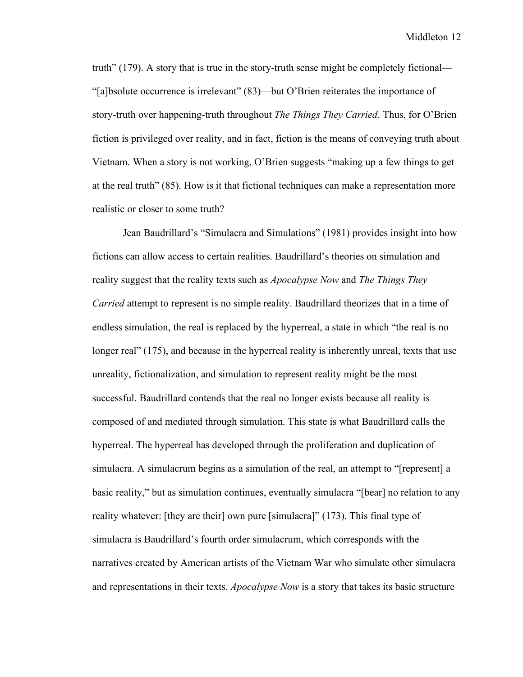truth" (179). A story that is true in the story-truth sense might be completely fictional— "[a]bsolute occurrence is irrelevant" (83)—but O'Brien reiterates the importance of story-truth over happening-truth throughout *The Things They Carried*. Thus, for O'Brien fiction is privileged over reality, and in fact, fiction is the means of conveying truth about Vietnam. When a story is not working, O'Brien suggests "making up a few things to get at the real truth" (85). How is it that fictional techniques can make a representation more realistic or closer to some truth?

Jean Baudrillard's "Simulacra and Simulations" (1981) provides insight into how fictions can allow access to certain realities. Baudrillard's theories on simulation and reality suggest that the reality texts such as *Apocalypse Now* and *The Things They Carried* attempt to represent is no simple reality. Baudrillard theorizes that in a time of endless simulation, the real is replaced by the hyperreal, a state in which "the real is no longer real" (175), and because in the hyperreal reality is inherently unreal, texts that use unreality, fictionalization, and simulation to represent reality might be the most successful. Baudrillard contends that the real no longer exists because all reality is composed of and mediated through simulation. This state is what Baudrillard calls the hyperreal. The hyperreal has developed through the proliferation and duplication of simulacra. A simulacrum begins as a simulation of the real, an attempt to "[represent] a basic reality," but as simulation continues, eventually simulacra "[bear] no relation to any reality whatever: [they are their] own pure [simulacra]" (173). This final type of simulacra is Baudrillard's fourth order simulacrum, which corresponds with the narratives created by American artists of the Vietnam War who simulate other simulacra and representations in their texts. *Apocalypse Now* is a story that takes its basic structure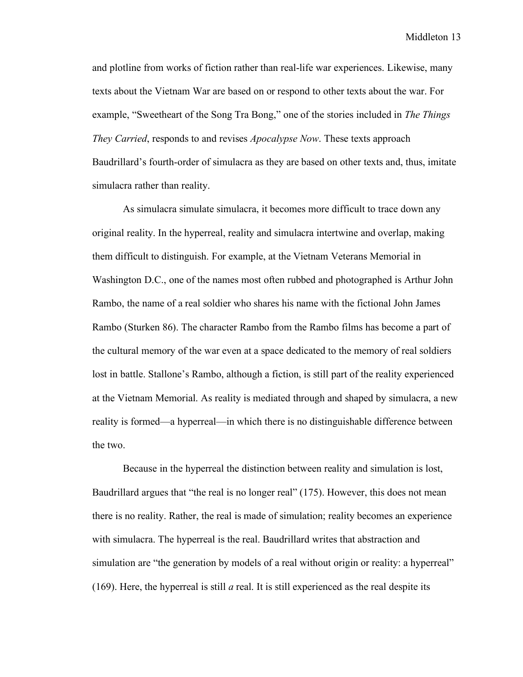and plotline from works of fiction rather than real-life war experiences. Likewise, many texts about the Vietnam War are based on or respond to other texts about the war. For example, "Sweetheart of the Song Tra Bong," one of the stories included in *The Things They Carried*, responds to and revises *Apocalypse Now*. These texts approach Baudrillard's fourth-order of simulacra as they are based on other texts and, thus, imitate simulacra rather than reality.

As simulacra simulate simulacra, it becomes more difficult to trace down any original reality. In the hyperreal, reality and simulacra intertwine and overlap, making them difficult to distinguish. For example, at the Vietnam Veterans Memorial in Washington D.C., one of the names most often rubbed and photographed is Arthur John Rambo, the name of a real soldier who shares his name with the fictional John James Rambo (Sturken 86). The character Rambo from the Rambo films has become a part of the cultural memory of the war even at a space dedicated to the memory of real soldiers lost in battle. Stallone's Rambo, although a fiction, is still part of the reality experienced at the Vietnam Memorial. As reality is mediated through and shaped by simulacra, a new reality is formed—a hyperreal—in which there is no distinguishable difference between the two.

Because in the hyperreal the distinction between reality and simulation is lost, Baudrillard argues that "the real is no longer real" (175). However, this does not mean there is no reality. Rather, the real is made of simulation; reality becomes an experience with simulacra. The hyperreal is the real. Baudrillard writes that abstraction and simulation are "the generation by models of a real without origin or reality: a hyperreal" (169). Here, the hyperreal is still *a* real. It is still experienced as the real despite its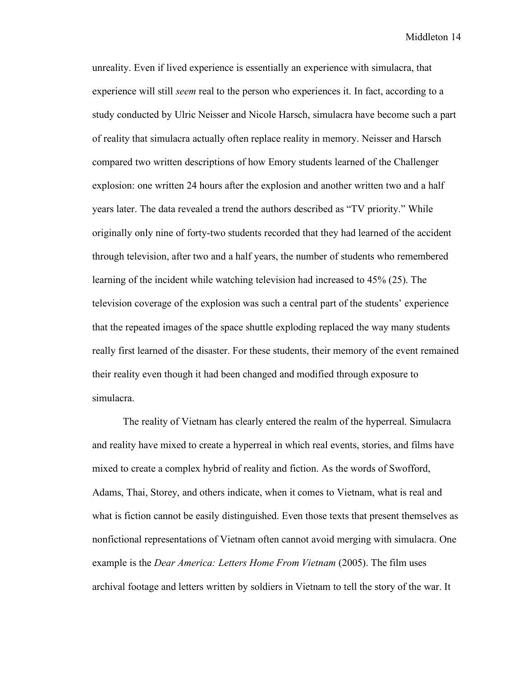unreality. Even if lived experience is essentially an experience with simulacra, that experience will still *seem* real to the person who experiences it. In fact, according to a study conducted by Ulric Neisser and Nicole Harsch, simulacra have become such a part of reality that simulacra actually often replace reality in memory. Neisser and Harsch compared two written descriptions of how Emory students learned of the Challenger explosion: one written 24 hours after the explosion and another written two and a half years later. The data revealed a trend the authors described as "TV priority." While originally only nine of forty-two students recorded that they had learned of the accident through television, after two and a half years, the number of students who remembered learning of the incident while watching television had increased to 45% (25). The television coverage of the explosion was such a central part of the students' experience that the repeated images of the space shuttle exploding replaced the way many students really first learned of the disaster. For these students, their memory of the event remained their reality even though it had been changed and modified through exposure to simulacra.

The reality of Vietnam has clearly entered the realm of the hyperreal. Simulacra and reality have mixed to create a hyperreal in which real events, stories, and films have mixed to create a complex hybrid of reality and fiction. As the words of Swofford, Adams, Thai, Storey, and others indicate, when it comes to Vietnam, what is real and what is fiction cannot be easily distinguished. Even those texts that present themselves as nonfictional representations of Vietnam often cannot avoid merging with simulacra. One example is the *Dear America: Letters Home From Vietnam* (2005). The film uses archival footage and letters written by soldiers in Vietnam to tell the story of the war. It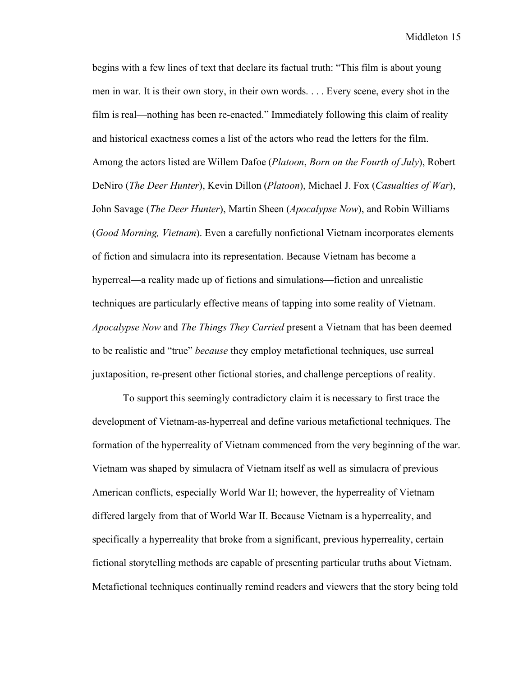begins with a few lines of text that declare its factual truth: "This film is about young men in war. It is their own story, in their own words. . . . Every scene, every shot in the film is real—nothing has been re-enacted." Immediately following this claim of reality and historical exactness comes a list of the actors who read the letters for the film. Among the actors listed are Willem Dafoe (*Platoon*, *Born on the Fourth of July*), Robert DeNiro (*The Deer Hunter*), Kevin Dillon (*Platoon*), Michael J. Fox (*Casualties of War*), John Savage (*The Deer Hunter*), Martin Sheen (*Apocalypse Now*), and Robin Williams (*Good Morning, Vietnam*). Even a carefully nonfictional Vietnam incorporates elements of fiction and simulacra into its representation. Because Vietnam has become a hyperreal—a reality made up of fictions and simulations—fiction and unrealistic techniques are particularly effective means of tapping into some reality of Vietnam. *Apocalypse Now* and *The Things They Carried* present a Vietnam that has been deemed to be realistic and "true" *because* they employ metafictional techniques, use surreal juxtaposition, re-present other fictional stories, and challenge perceptions of reality.

To support this seemingly contradictory claim it is necessary to first trace the development of Vietnam-as-hyperreal and define various metafictional techniques. The formation of the hyperreality of Vietnam commenced from the very beginning of the war. Vietnam was shaped by simulacra of Vietnam itself as well as simulacra of previous American conflicts, especially World War II; however, the hyperreality of Vietnam differed largely from that of World War II. Because Vietnam is a hyperreality, and specifically a hyperreality that broke from a significant, previous hyperreality, certain fictional storytelling methods are capable of presenting particular truths about Vietnam. Metafictional techniques continually remind readers and viewers that the story being told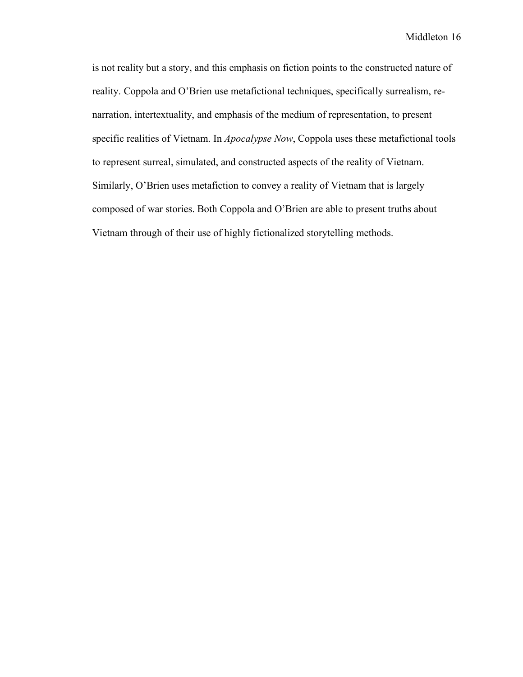is not reality but a story, and this emphasis on fiction points to the constructed nature of reality. Coppola and O'Brien use metafictional techniques, specifically surrealism, renarration, intertextuality, and emphasis of the medium of representation, to present specific realities of Vietnam. In *Apocalypse Now*, Coppola uses these metafictional tools to represent surreal, simulated, and constructed aspects of the reality of Vietnam. Similarly, O'Brien uses metafiction to convey a reality of Vietnam that is largely composed of war stories. Both Coppola and O'Brien are able to present truths about Vietnam through of their use of highly fictionalized storytelling methods.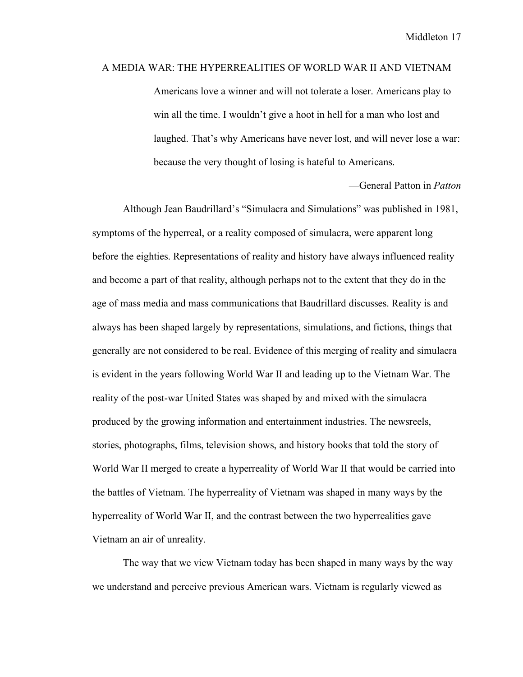#### A MEDIA WAR: THE HYPERREALITIES OF WORLD WAR II AND VIETNAM

Americans love a winner and will not tolerate a loser. Americans play to win all the time. I wouldn't give a hoot in hell for a man who lost and laughed. That's why Americans have never lost, and will never lose a war: because the very thought of losing is hateful to Americans.

—General Patton in *Patton*

Although Jean Baudrillard's "Simulacra and Simulations" was published in 1981, symptoms of the hyperreal, or a reality composed of simulacra, were apparent long before the eighties. Representations of reality and history have always influenced reality and become a part of that reality, although perhaps not to the extent that they do in the age of mass media and mass communications that Baudrillard discusses. Reality is and always has been shaped largely by representations, simulations, and fictions, things that generally are not considered to be real. Evidence of this merging of reality and simulacra is evident in the years following World War II and leading up to the Vietnam War. The reality of the post-war United States was shaped by and mixed with the simulacra produced by the growing information and entertainment industries. The newsreels, stories, photographs, films, television shows, and history books that told the story of World War II merged to create a hyperreality of World War II that would be carried into the battles of Vietnam. The hyperreality of Vietnam was shaped in many ways by the hyperreality of World War II, and the contrast between the two hyperrealities gave Vietnam an air of unreality.

The way that we view Vietnam today has been shaped in many ways by the way we understand and perceive previous American wars. Vietnam is regularly viewed as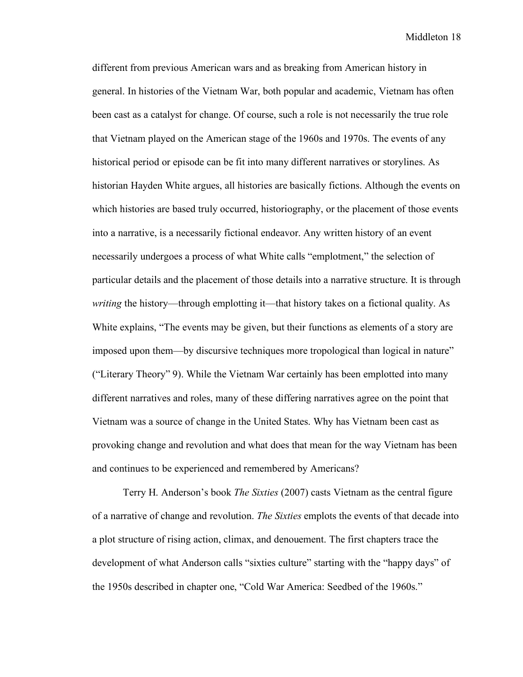different from previous American wars and as breaking from American history in general. In histories of the Vietnam War, both popular and academic, Vietnam has often been cast as a catalyst for change. Of course, such a role is not necessarily the true role that Vietnam played on the American stage of the 1960s and 1970s. The events of any historical period or episode can be fit into many different narratives or storylines. As historian Hayden White argues, all histories are basically fictions. Although the events on which histories are based truly occurred, historiography, or the placement of those events into a narrative, is a necessarily fictional endeavor. Any written history of an event necessarily undergoes a process of what White calls "emplotment," the selection of particular details and the placement of those details into a narrative structure. It is through *writing* the history—through emplotting it—that history takes on a fictional quality. As White explains, "The events may be given, but their functions as elements of a story are imposed upon them—by discursive techniques more tropological than logical in nature" ("Literary Theory" 9). While the Vietnam War certainly has been emplotted into many different narratives and roles, many of these differing narratives agree on the point that Vietnam was a source of change in the United States. Why has Vietnam been cast as provoking change and revolution and what does that mean for the way Vietnam has been and continues to be experienced and remembered by Americans?

Terry H. Anderson's book *The Sixties* (2007) casts Vietnam as the central figure of a narrative of change and revolution. *The Sixties* emplots the events of that decade into a plot structure of rising action, climax, and denouement. The first chapters trace the development of what Anderson calls "sixties culture" starting with the "happy days" of the 1950s described in chapter one, "Cold War America: Seedbed of the 1960s."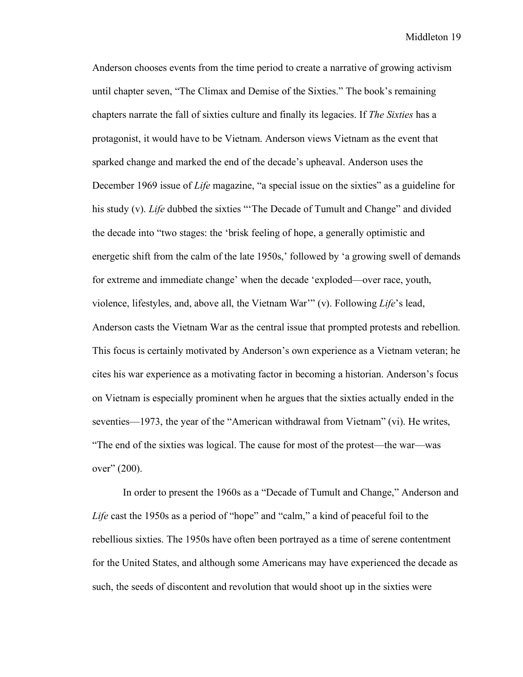Anderson chooses events from the time period to create a narrative of growing activism until chapter seven, "The Climax and Demise of the Sixties." The book's remaining chapters narrate the fall of sixties culture and finally its legacies. If *The Sixties* has a protagonist, it would have to be Vietnam. Anderson views Vietnam as the event that sparked change and marked the end of the decade's upheaval. Anderson uses the December 1969 issue of *Life* magazine, "a special issue on the sixties" as a guideline for his study (v). *Life* dubbed the sixties "'The Decade of Tumult and Change" and divided the decade into "two stages: the 'brisk feeling of hope, a generally optimistic and energetic shift from the calm of the late 1950s,' followed by 'a growing swell of demands for extreme and immediate change' when the decade 'exploded—over race, youth, violence, lifestyles, and, above all, the Vietnam War'" (v). Following *Life*'s lead, Anderson casts the Vietnam War as the central issue that prompted protests and rebellion. This focus is certainly motivated by Anderson's own experience as a Vietnam veteran; he cites his war experience as a motivating factor in becoming a historian. Anderson's focus on Vietnam is especially prominent when he argues that the sixties actually ended in the seventies—1973, the year of the "American withdrawal from Vietnam" (vi). He writes, "The end of the sixties was logical. The cause for most of the protest—the war—was over" (200).

In order to present the 1960s as a "Decade of Tumult and Change," Anderson and *Life* cast the 1950s as a period of "hope" and "calm," a kind of peaceful foil to the rebellious sixties. The 1950s have often been portrayed as a time of serene contentment for the United States, and although some Americans may have experienced the decade as such, the seeds of discontent and revolution that would shoot up in the sixties were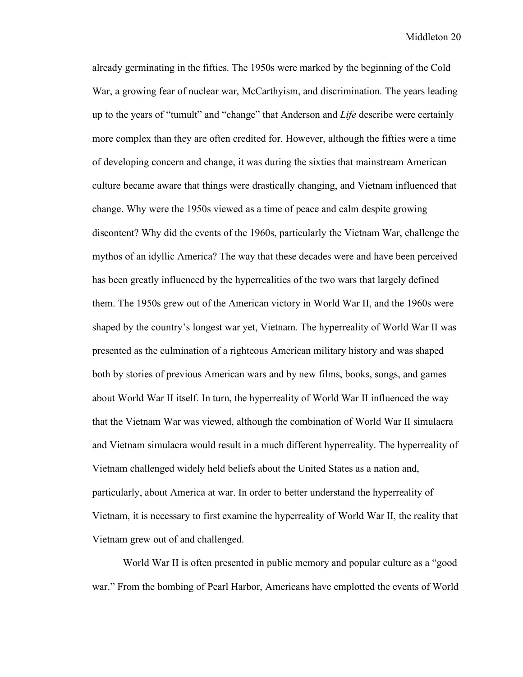already germinating in the fifties. The 1950s were marked by the beginning of the Cold War, a growing fear of nuclear war, McCarthyism, and discrimination. The years leading up to the years of "tumult" and "change" that Anderson and *Life* describe were certainly more complex than they are often credited for. However, although the fifties were a time of developing concern and change, it was during the sixties that mainstream American culture became aware that things were drastically changing, and Vietnam influenced that change. Why were the 1950s viewed as a time of peace and calm despite growing discontent? Why did the events of the 1960s, particularly the Vietnam War, challenge the mythos of an idyllic America? The way that these decades were and have been perceived has been greatly influenced by the hyperrealities of the two wars that largely defined them. The 1950s grew out of the American victory in World War II, and the 1960s were shaped by the country's longest war yet, Vietnam. The hyperreality of World War II was presented as the culmination of a righteous American military history and was shaped both by stories of previous American wars and by new films, books, songs, and games about World War II itself. In turn, the hyperreality of World War II influenced the way that the Vietnam War was viewed, although the combination of World War II simulacra and Vietnam simulacra would result in a much different hyperreality. The hyperreality of Vietnam challenged widely held beliefs about the United States as a nation and, particularly, about America at war. In order to better understand the hyperreality of Vietnam, it is necessary to first examine the hyperreality of World War II, the reality that Vietnam grew out of and challenged.

World War II is often presented in public memory and popular culture as a "good war." From the bombing of Pearl Harbor, Americans have emplotted the events of World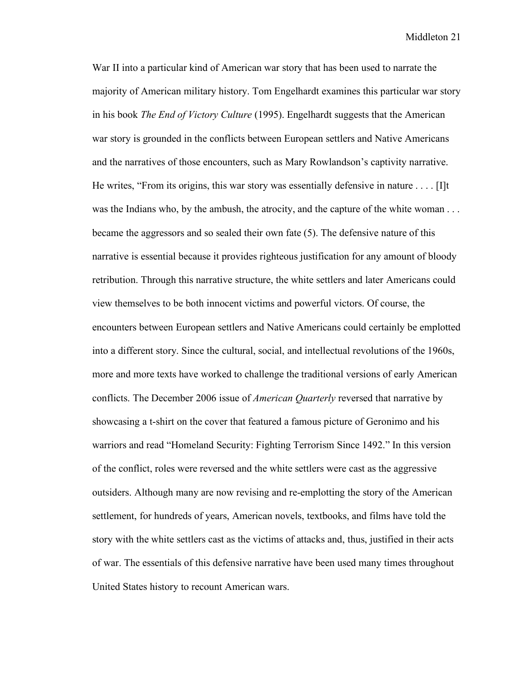War II into a particular kind of American war story that has been used to narrate the majority of American military history. Tom Engelhardt examines this particular war story in his book *The End of Victory Culture* (1995). Engelhardt suggests that the American war story is grounded in the conflicts between European settlers and Native Americans and the narratives of those encounters, such as Mary Rowlandson's captivity narrative. He writes, "From its origins, this war story was essentially defensive in nature . . . . [I]t was the Indians who, by the ambush, the atrocity, and the capture of the white woman . . . became the aggressors and so sealed their own fate (5). The defensive nature of this narrative is essential because it provides righteous justification for any amount of bloody retribution. Through this narrative structure, the white settlers and later Americans could view themselves to be both innocent victims and powerful victors. Of course, the encounters between European settlers and Native Americans could certainly be emplotted into a different story. Since the cultural, social, and intellectual revolutions of the 1960s, more and more texts have worked to challenge the traditional versions of early American conflicts. The December 2006 issue of *American Quarterly* reversed that narrative by showcasing a t-shirt on the cover that featured a famous picture of Geronimo and his warriors and read "Homeland Security: Fighting Terrorism Since 1492." In this version of the conflict, roles were reversed and the white settlers were cast as the aggressive outsiders. Although many are now revising and re-emplotting the story of the American settlement, for hundreds of years, American novels, textbooks, and films have told the story with the white settlers cast as the victims of attacks and, thus, justified in their acts of war. The essentials of this defensive narrative have been used many times throughout United States history to recount American wars.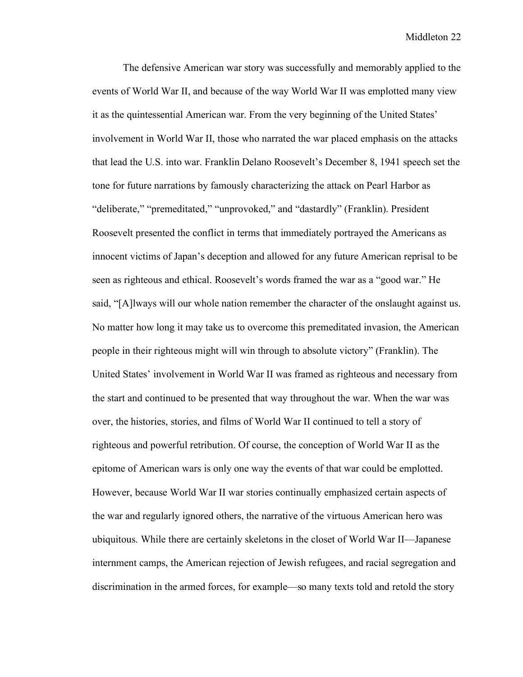The defensive American war story was successfully and memorably applied to the events of World War II, and because of the way World War II was emplotted many view it as the quintessential American war. From the very beginning of the United States' involvement in World War II, those who narrated the war placed emphasis on the attacks that lead the U.S. into war. Franklin Delano Roosevelt's December 8, 1941 speech set the tone for future narrations by famously characterizing the attack on Pearl Harbor as "deliberate," "premeditated," "unprovoked," and "dastardly" (Franklin). President Roosevelt presented the conflict in terms that immediately portrayed the Americans as innocent victims of Japan's deception and allowed for any future American reprisal to be seen as righteous and ethical. Roosevelt's words framed the war as a "good war." He said, "[A]lways will our whole nation remember the character of the onslaught against us. No matter how long it may take us to overcome this premeditated invasion, the American people in their righteous might will win through to absolute victory" (Franklin). The United States' involvement in World War II was framed as righteous and necessary from the start and continued to be presented that way throughout the war. When the war was over, the histories, stories, and films of World War II continued to tell a story of righteous and powerful retribution. Of course, the conception of World War II as the epitome of American wars is only one way the events of that war could be emplotted. However, because World War II war stories continually emphasized certain aspects of the war and regularly ignored others, the narrative of the virtuous American hero was ubiquitous. While there are certainly skeletons in the closet of World War II—Japanese internment camps, the American rejection of Jewish refugees, and racial segregation and discrimination in the armed forces, for example—so many texts told and retold the story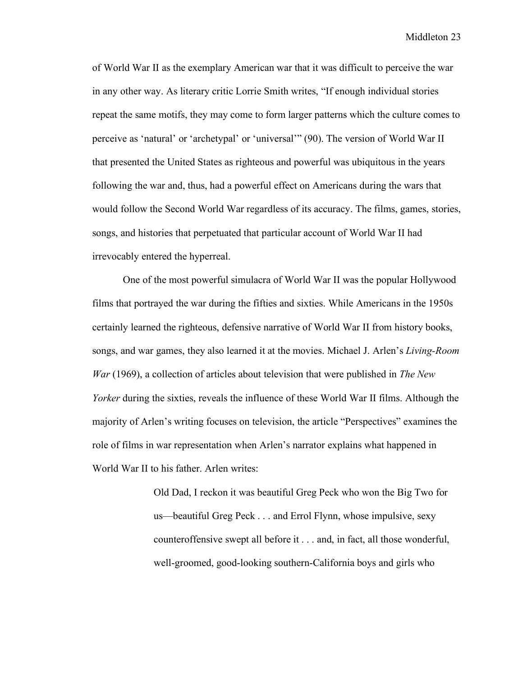of World War II as the exemplary American war that it was difficult to perceive the war in any other way. As literary critic Lorrie Smith writes, "If enough individual stories repeat the same motifs, they may come to form larger patterns which the culture comes to perceive as 'natural' or 'archetypal' or 'universal'" (90). The version of World War II that presented the United States as righteous and powerful was ubiquitous in the years following the war and, thus, had a powerful effect on Americans during the wars that would follow the Second World War regardless of its accuracy. The films, games, stories, songs, and histories that perpetuated that particular account of World War II had irrevocably entered the hyperreal.

One of the most powerful simulacra of World War II was the popular Hollywood films that portrayed the war during the fifties and sixties. While Americans in the 1950s certainly learned the righteous, defensive narrative of World War II from history books, songs, and war games, they also learned it at the movies. Michael J. Arlen's *Living-Room War* (1969), a collection of articles about television that were published in *The New Yorker* during the sixties, reveals the influence of these World War II films. Although the majority of Arlen's writing focuses on television, the article "Perspectives" examines the role of films in war representation when Arlen's narrator explains what happened in World War II to his father. Arlen writes:

> Old Dad, I reckon it was beautiful Greg Peck who won the Big Two for us—beautiful Greg Peck . . . and Errol Flynn, whose impulsive, sexy counteroffensive swept all before it . . . and, in fact, all those wonderful, well-groomed, good-looking southern-California boys and girls who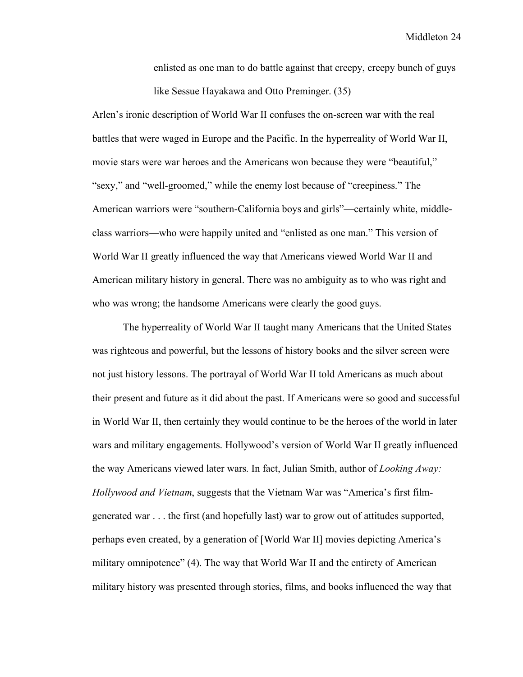enlisted as one man to do battle against that creepy, creepy bunch of guys like Sessue Hayakawa and Otto Preminger. (35)

Arlen's ironic description of World War II confuses the on-screen war with the real battles that were waged in Europe and the Pacific. In the hyperreality of World War II, movie stars were war heroes and the Americans won because they were "beautiful," "sexy," and "well-groomed," while the enemy lost because of "creepiness." The American warriors were "southern-California boys and girls"—certainly white, middleclass warriors—who were happily united and "enlisted as one man." This version of World War II greatly influenced the way that Americans viewed World War II and American military history in general. There was no ambiguity as to who was right and who was wrong; the handsome Americans were clearly the good guys.

The hyperreality of World War II taught many Americans that the United States was righteous and powerful, but the lessons of history books and the silver screen were not just history lessons. The portrayal of World War II told Americans as much about their present and future as it did about the past. If Americans were so good and successful in World War II, then certainly they would continue to be the heroes of the world in later wars and military engagements. Hollywood's version of World War II greatly influenced the way Americans viewed later wars. In fact, Julian Smith, author of *Looking Away: Hollywood and Vietnam*, suggests that the Vietnam War was "America's first filmgenerated war . . . the first (and hopefully last) war to grow out of attitudes supported, perhaps even created, by a generation of [World War II] movies depicting America's military omnipotence" (4). The way that World War II and the entirety of American military history was presented through stories, films, and books influenced the way that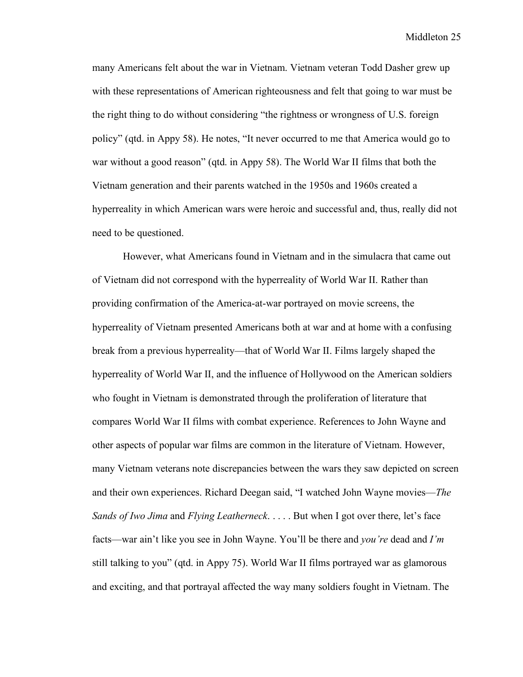many Americans felt about the war in Vietnam. Vietnam veteran Todd Dasher grew up with these representations of American righteousness and felt that going to war must be the right thing to do without considering "the rightness or wrongness of U.S. foreign policy" (qtd. in Appy 58). He notes, "It never occurred to me that America would go to war without a good reason" (qtd. in Appy 58). The World War II films that both the Vietnam generation and their parents watched in the 1950s and 1960s created a hyperreality in which American wars were heroic and successful and, thus, really did not need to be questioned.

However, what Americans found in Vietnam and in the simulacra that came out of Vietnam did not correspond with the hyperreality of World War II. Rather than providing confirmation of the America-at-war portrayed on movie screens, the hyperreality of Vietnam presented Americans both at war and at home with a confusing break from a previous hyperreality—that of World War II. Films largely shaped the hyperreality of World War II, and the influence of Hollywood on the American soldiers who fought in Vietnam is demonstrated through the proliferation of literature that compares World War II films with combat experience. References to John Wayne and other aspects of popular war films are common in the literature of Vietnam. However, many Vietnam veterans note discrepancies between the wars they saw depicted on screen and their own experiences. Richard Deegan said, "I watched John Wayne movies—*The Sands of Iwo Jima* and *Flying Leatherneck*. . . . . But when I got over there, let's face facts—war ain't like you see in John Wayne. You'll be there and *you're* dead and *I'm* still talking to you" (qtd. in Appy 75). World War II films portrayed war as glamorous and exciting, and that portrayal affected the way many soldiers fought in Vietnam. The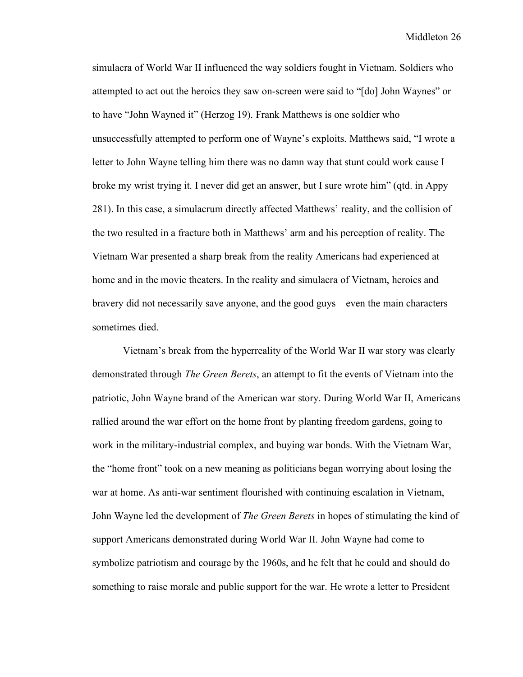simulacra of World War II influenced the way soldiers fought in Vietnam. Soldiers who attempted to act out the heroics they saw on-screen were said to "[do] John Waynes" or to have "John Wayned it" (Herzog 19). Frank Matthews is one soldier who unsuccessfully attempted to perform one of Wayne's exploits. Matthews said, "I wrote a letter to John Wayne telling him there was no damn way that stunt could work cause I broke my wrist trying it. I never did get an answer, but I sure wrote him" (qtd. in Appy 281). In this case, a simulacrum directly affected Matthews' reality, and the collision of the two resulted in a fracture both in Matthews' arm and his perception of reality. The Vietnam War presented a sharp break from the reality Americans had experienced at home and in the movie theaters. In the reality and simulacra of Vietnam, heroics and bravery did not necessarily save anyone, and the good guys—even the main characters sometimes died.

Vietnam's break from the hyperreality of the World War II war story was clearly demonstrated through *The Green Berets*, an attempt to fit the events of Vietnam into the patriotic, John Wayne brand of the American war story. During World War II, Americans rallied around the war effort on the home front by planting freedom gardens, going to work in the military-industrial complex, and buying war bonds. With the Vietnam War, the "home front" took on a new meaning as politicians began worrying about losing the war at home. As anti-war sentiment flourished with continuing escalation in Vietnam, John Wayne led the development of *The Green Berets* in hopes of stimulating the kind of support Americans demonstrated during World War II. John Wayne had come to symbolize patriotism and courage by the 1960s, and he felt that he could and should do something to raise morale and public support for the war. He wrote a letter to President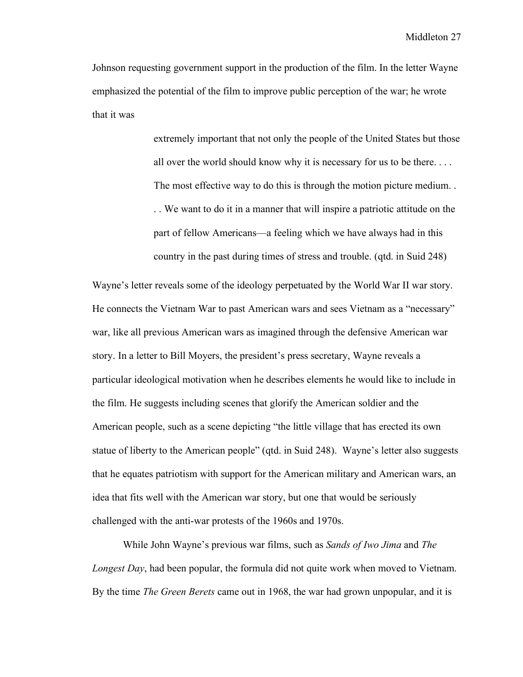Johnson requesting government support in the production of the film. In the letter Wayne emphasized the potential of the film to improve public perception of the war; he wrote that it was

> extremely important that not only the people of the United States but those all over the world should know why it is necessary for us to be there. . . . The most effective way to do this is through the motion picture medium. . . . We want to do it in a manner that will inspire a patriotic attitude on the part of fellow Americans—a feeling which we have always had in this country in the past during times of stress and trouble. (qtd. in Suid 248)

Wayne's letter reveals some of the ideology perpetuated by the World War II war story. He connects the Vietnam War to past American wars and sees Vietnam as a "necessary" war, like all previous American wars as imagined through the defensive American war story. In a letter to Bill Moyers, the president's press secretary, Wayne reveals a particular ideological motivation when he describes elements he would like to include in the film. He suggests including scenes that glorify the American soldier and the American people, such as a scene depicting "the little village that has erected its own statue of liberty to the American people" (qtd. in Suid 248). Wayne's letter also suggests that he equates patriotism with support for the American military and American wars, an idea that fits well with the American war story, but one that would be seriously challenged with the anti-war protests of the 1960s and 1970s.

While John Wayne's previous war films, such as *Sands of Iwo Jima* and *The Longest Day*, had been popular, the formula did not quite work when moved to Vietnam. By the time *The Green Berets* came out in 1968, the war had grown unpopular, and it is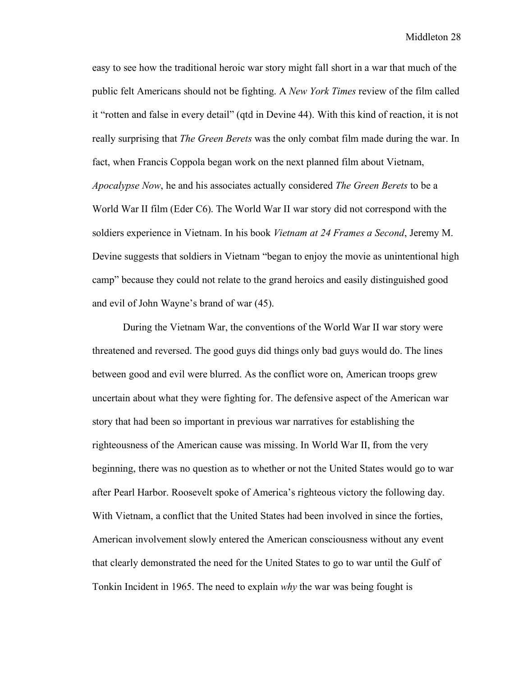easy to see how the traditional heroic war story might fall short in a war that much of the public felt Americans should not be fighting. A *New York Times* review of the film called it "rotten and false in every detail" (qtd in Devine 44). With this kind of reaction, it is not really surprising that *The Green Berets* was the only combat film made during the war. In fact, when Francis Coppola began work on the next planned film about Vietnam, *Apocalypse Now*, he and his associates actually considered *The Green Berets* to be a World War II film (Eder C6). The World War II war story did not correspond with the soldiers experience in Vietnam. In his book *Vietnam at 24 Frames a Second*, Jeremy M. Devine suggests that soldiers in Vietnam "began to enjoy the movie as unintentional high camp" because they could not relate to the grand heroics and easily distinguished good and evil of John Wayne's brand of war (45).

During the Vietnam War, the conventions of the World War II war story were threatened and reversed. The good guys did things only bad guys would do. The lines between good and evil were blurred. As the conflict wore on, American troops grew uncertain about what they were fighting for. The defensive aspect of the American war story that had been so important in previous war narratives for establishing the righteousness of the American cause was missing. In World War II, from the very beginning, there was no question as to whether or not the United States would go to war after Pearl Harbor. Roosevelt spoke of America's righteous victory the following day. With Vietnam, a conflict that the United States had been involved in since the forties, American involvement slowly entered the American consciousness without any event that clearly demonstrated the need for the United States to go to war until the Gulf of Tonkin Incident in 1965. The need to explain *why* the war was being fought is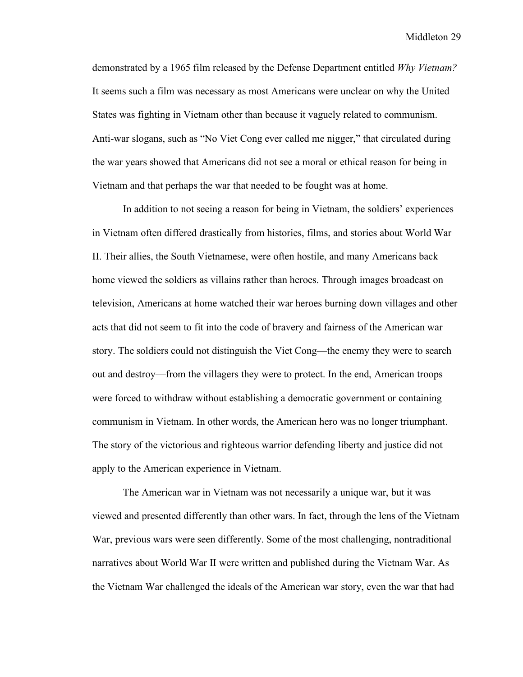demonstrated by a 1965 film released by the Defense Department entitled *Why Vietnam?* It seems such a film was necessary as most Americans were unclear on why the United States was fighting in Vietnam other than because it vaguely related to communism. Anti-war slogans, such as "No Viet Cong ever called me nigger," that circulated during the war years showed that Americans did not see a moral or ethical reason for being in Vietnam and that perhaps the war that needed to be fought was at home.

In addition to not seeing a reason for being in Vietnam, the soldiers' experiences in Vietnam often differed drastically from histories, films, and stories about World War II. Their allies, the South Vietnamese, were often hostile, and many Americans back home viewed the soldiers as villains rather than heroes. Through images broadcast on television, Americans at home watched their war heroes burning down villages and other acts that did not seem to fit into the code of bravery and fairness of the American war story. The soldiers could not distinguish the Viet Cong—the enemy they were to search out and destroy—from the villagers they were to protect. In the end, American troops were forced to withdraw without establishing a democratic government or containing communism in Vietnam. In other words, the American hero was no longer triumphant. The story of the victorious and righteous warrior defending liberty and justice did not apply to the American experience in Vietnam.

The American war in Vietnam was not necessarily a unique war, but it was viewed and presented differently than other wars. In fact, through the lens of the Vietnam War, previous wars were seen differently. Some of the most challenging, nontraditional narratives about World War II were written and published during the Vietnam War. As the Vietnam War challenged the ideals of the American war story, even the war that had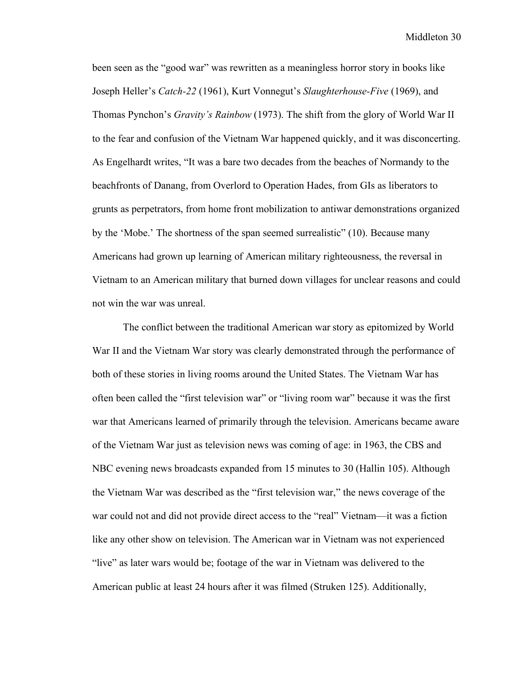been seen as the "good war" was rewritten as a meaningless horror story in books like Joseph Heller's *Catch-22* (1961), Kurt Vonnegut's *Slaughterhouse-Five* (1969), and Thomas Pynchon's *Gravity's Rainbow* (1973). The shift from the glory of World War II to the fear and confusion of the Vietnam War happened quickly, and it was disconcerting. As Engelhardt writes, "It was a bare two decades from the beaches of Normandy to the beachfronts of Danang, from Overlord to Operation Hades, from GIs as liberators to grunts as perpetrators, from home front mobilization to antiwar demonstrations organized by the 'Mobe.' The shortness of the span seemed surrealistic" (10). Because many Americans had grown up learning of American military righteousness, the reversal in Vietnam to an American military that burned down villages for unclear reasons and could not win the war was unreal.

The conflict between the traditional American war story as epitomized by World War II and the Vietnam War story was clearly demonstrated through the performance of both of these stories in living rooms around the United States. The Vietnam War has often been called the "first television war" or "living room war" because it was the first war that Americans learned of primarily through the television. Americans became aware of the Vietnam War just as television news was coming of age: in 1963, the CBS and NBC evening news broadcasts expanded from 15 minutes to 30 (Hallin 105). Although the Vietnam War was described as the "first television war," the news coverage of the war could not and did not provide direct access to the "real" Vietnam—it was a fiction like any other show on television. The American war in Vietnam was not experienced "live" as later wars would be; footage of the war in Vietnam was delivered to the American public at least 24 hours after it was filmed (Struken 125). Additionally,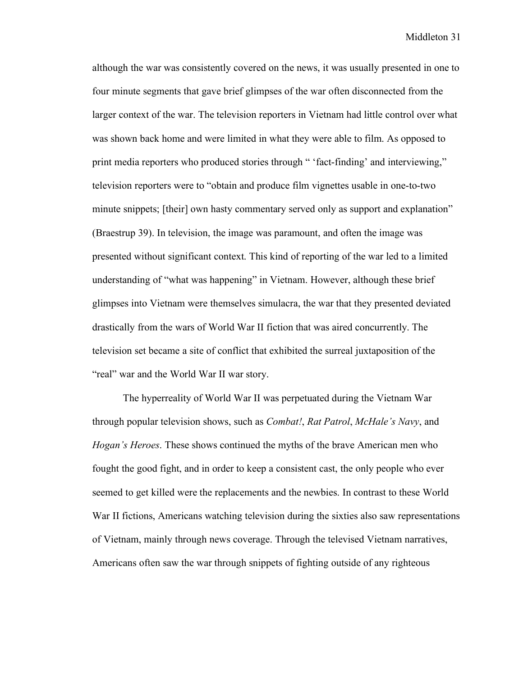although the war was consistently covered on the news, it was usually presented in one to four minute segments that gave brief glimpses of the war often disconnected from the larger context of the war. The television reporters in Vietnam had little control over what was shown back home and were limited in what they were able to film. As opposed to print media reporters who produced stories through " 'fact-finding' and interviewing," television reporters were to "obtain and produce film vignettes usable in one-to-two minute snippets; [their] own hasty commentary served only as support and explanation" (Braestrup 39). In television, the image was paramount, and often the image was presented without significant context. This kind of reporting of the war led to a limited understanding of "what was happening" in Vietnam. However, although these brief glimpses into Vietnam were themselves simulacra, the war that they presented deviated drastically from the wars of World War II fiction that was aired concurrently. The television set became a site of conflict that exhibited the surreal juxtaposition of the "real" war and the World War II war story.

The hyperreality of World War II was perpetuated during the Vietnam War through popular television shows, such as *Combat!*, *Rat Patrol*, *McHale's Navy*, and *Hogan's Heroes*. These shows continued the myths of the brave American men who fought the good fight, and in order to keep a consistent cast, the only people who ever seemed to get killed were the replacements and the newbies. In contrast to these World War II fictions, Americans watching television during the sixties also saw representations of Vietnam, mainly through news coverage. Through the televised Vietnam narratives, Americans often saw the war through snippets of fighting outside of any righteous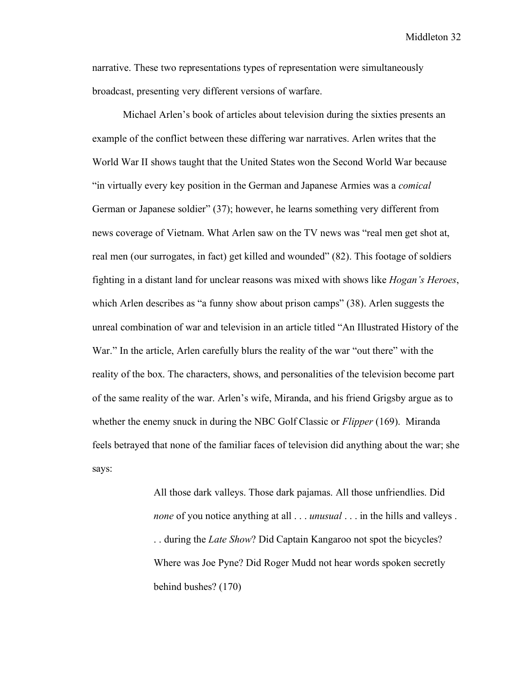narrative. These two representations types of representation were simultaneously broadcast, presenting very different versions of warfare.

Michael Arlen's book of articles about television during the sixties presents an example of the conflict between these differing war narratives. Arlen writes that the World War II shows taught that the United States won the Second World War because "in virtually every key position in the German and Japanese Armies was a *comical* German or Japanese soldier" (37); however, he learns something very different from news coverage of Vietnam. What Arlen saw on the TV news was "real men get shot at, real men (our surrogates, in fact) get killed and wounded" (82). This footage of soldiers fighting in a distant land for unclear reasons was mixed with shows like *Hogan's Heroes*, which Arlen describes as "a funny show about prison camps" (38). Arlen suggests the unreal combination of war and television in an article titled "An Illustrated History of the War." In the article, Arlen carefully blurs the reality of the war "out there" with the reality of the box. The characters, shows, and personalities of the television become part of the same reality of the war. Arlen's wife, Miranda, and his friend Grigsby argue as to whether the enemy snuck in during the NBC Golf Classic or *Flipper* (169). Miranda feels betrayed that none of the familiar faces of television did anything about the war; she says:

> All those dark valleys. Those dark pajamas. All those unfriendlies. Did *none* of you notice anything at all . . . *unusual* . . . in the hills and valleys . . . during the *Late Show*? Did Captain Kangaroo not spot the bicycles? Where was Joe Pyne? Did Roger Mudd not hear words spoken secretly behind bushes? (170)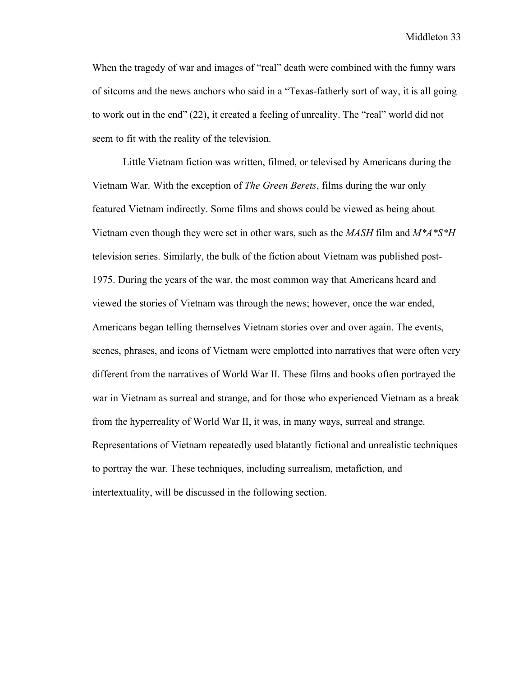When the tragedy of war and images of "real" death were combined with the funny wars of sitcoms and the news anchors who said in a "Texas-fatherly sort of way, it is all going to work out in the end" (22), it created a feeling of unreality. The "real" world did not seem to fit with the reality of the television.

Little Vietnam fiction was written, filmed, or televised by Americans during the Vietnam War. With the exception of *The Green Berets*, films during the war only featured Vietnam indirectly. Some films and shows could be viewed as being about Vietnam even though they were set in other wars, such as the *MASH* film and *M\*A\*S\*H* television series. Similarly, the bulk of the fiction about Vietnam was published post-1975. During the years of the war, the most common way that Americans heard and viewed the stories of Vietnam was through the news; however, once the war ended, Americans began telling themselves Vietnam stories over and over again. The events, scenes, phrases, and icons of Vietnam were emplotted into narratives that were often very different from the narratives of World War II. These films and books often portrayed the war in Vietnam as surreal and strange, and for those who experienced Vietnam as a break from the hyperreality of World War II, it was, in many ways, surreal and strange. Representations of Vietnam repeatedly used blatantly fictional and unrealistic techniques to portray the war. These techniques, including surrealism, metafiction, and intertextuality, will be discussed in the following section.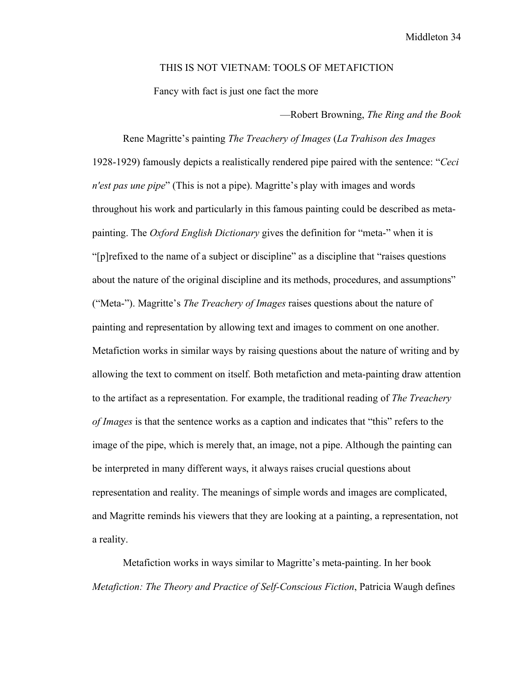## THIS IS NOT VIETNAM: TOOLS OF METAFICTION

Fancy with fact is just one fact the more

—Robert Browning, *The Ring and the Book*

Rene Magritte's painting *The Treachery of Images* (*La Trahison des Images* 1928-1929) famously depicts a realistically rendered pipe paired with the sentence: "*Ceci n'est pas une pipe*" (This is not a pipe). Magritte's play with images and words throughout his work and particularly in this famous painting could be described as metapainting. The *Oxford English Dictionary* gives the definition for "meta-" when it is "[p]refixed to the name of a subject or discipline" as a discipline that "raises questions about the nature of the original discipline and its methods, procedures, and assumptions" ("Meta-"). Magritte's *The Treachery of Images* raises questions about the nature of painting and representation by allowing text and images to comment on one another. Metafiction works in similar ways by raising questions about the nature of writing and by allowing the text to comment on itself. Both metafiction and meta-painting draw attention to the artifact as a representation. For example, the traditional reading of *The Treachery of Images* is that the sentence works as a caption and indicates that "this" refers to the image of the pipe, which is merely that, an image, not a pipe. Although the painting can be interpreted in many different ways, it always raises crucial questions about representation and reality. The meanings of simple words and images are complicated, and Magritte reminds his viewers that they are looking at a painting, a representation, not a reality.

Metafiction works in ways similar to Magritte's meta-painting. In her book *Metafiction: The Theory and Practice of Self-Conscious Fiction*, Patricia Waugh defines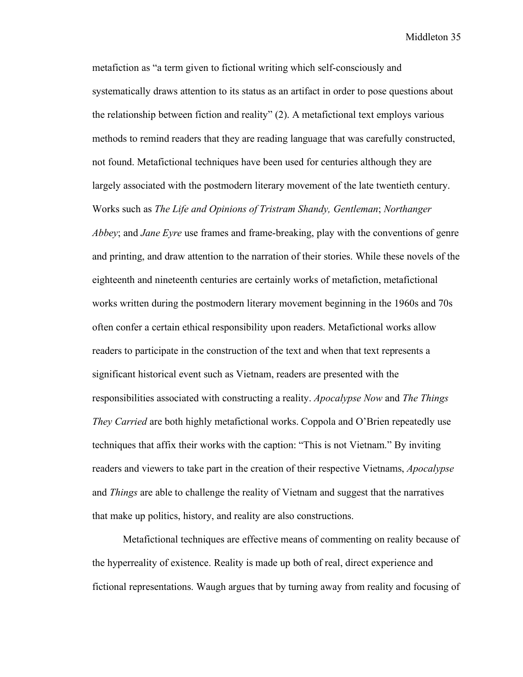metafiction as "a term given to fictional writing which self-consciously and systematically draws attention to its status as an artifact in order to pose questions about the relationship between fiction and reality" (2). A metafictional text employs various methods to remind readers that they are reading language that was carefully constructed, not found. Metafictional techniques have been used for centuries although they are largely associated with the postmodern literary movement of the late twentieth century. Works such as *The Life and Opinions of Tristram Shandy, Gentleman*; *Northanger Abbey*; and *Jane Eyre* use frames and frame-breaking, play with the conventions of genre and printing, and draw attention to the narration of their stories. While these novels of the eighteenth and nineteenth centuries are certainly works of metafiction, metafictional works written during the postmodern literary movement beginning in the 1960s and 70s often confer a certain ethical responsibility upon readers. Metafictional works allow readers to participate in the construction of the text and when that text represents a significant historical event such as Vietnam, readers are presented with the responsibilities associated with constructing a reality. *Apocalypse Now* and *The Things They Carried* are both highly metafictional works. Coppola and O'Brien repeatedly use techniques that affix their works with the caption: "This is not Vietnam." By inviting readers and viewers to take part in the creation of their respective Vietnams, *Apocalypse* and *Things* are able to challenge the reality of Vietnam and suggest that the narratives that make up politics, history, and reality are also constructions.

Metafictional techniques are effective means of commenting on reality because of the hyperreality of existence. Reality is made up both of real, direct experience and fictional representations. Waugh argues that by turning away from reality and focusing of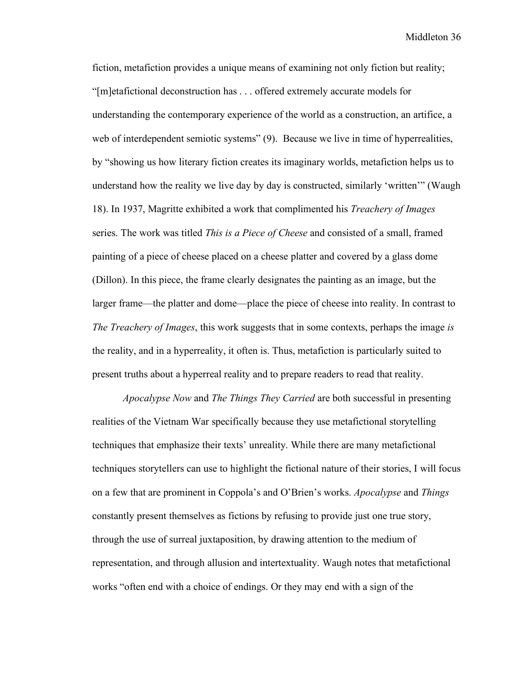fiction, metafiction provides a unique means of examining not only fiction but reality; "[m]etafictional deconstruction has . . . offered extremely accurate models for understanding the contemporary experience of the world as a construction, an artifice, a web of interdependent semiotic systems" (9). Because we live in time of hyperrealities, by "showing us how literary fiction creates its imaginary worlds, metafiction helps us to understand how the reality we live day by day is constructed, similarly 'written'" (Waugh 18). In 1937, Magritte exhibited a work that complimented his *Treachery of Images* series. The work was titled *This is a Piece of Cheese* and consisted of a small, framed painting of a piece of cheese placed on a cheese platter and covered by a glass dome (Dillon). In this piece, the frame clearly designates the painting as an image, but the larger frame—the platter and dome—place the piece of cheese into reality. In contrast to *The Treachery of Images*, this work suggests that in some contexts, perhaps the image *is* the reality, and in a hyperreality, it often is. Thus, metafiction is particularly suited to present truths about a hyperreal reality and to prepare readers to read that reality.

*Apocalypse Now* and *The Things They Carried* are both successful in presenting realities of the Vietnam War specifically because they use metafictional storytelling techniques that emphasize their texts' unreality. While there are many metafictional techniques storytellers can use to highlight the fictional nature of their stories, I will focus on a few that are prominent in Coppola's and O'Brien's works. *Apocalypse* and *Things* constantly present themselves as fictions by refusing to provide just one true story, through the use of surreal juxtaposition, by drawing attention to the medium of representation, and through allusion and intertextuality. Waugh notes that metafictional works "often end with a choice of endings. Or they may end with a sign of the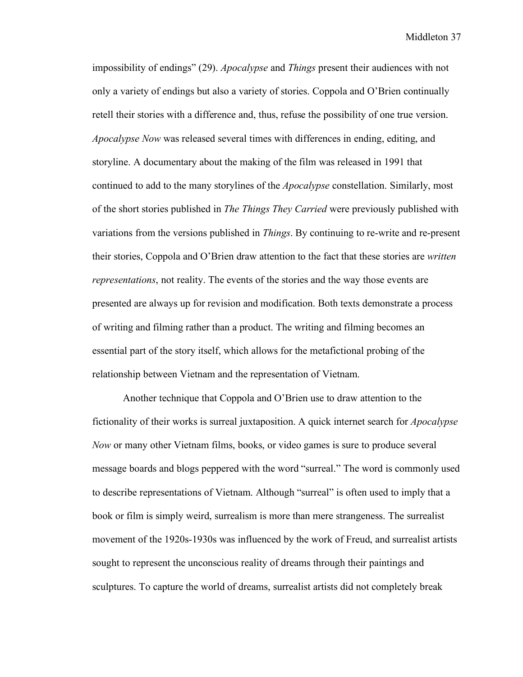impossibility of endings" (29). *Apocalypse* and *Things* present their audiences with not only a variety of endings but also a variety of stories. Coppola and O'Brien continually retell their stories with a difference and, thus, refuse the possibility of one true version. *Apocalypse Now* was released several times with differences in ending, editing, and storyline. A documentary about the making of the film was released in 1991 that continued to add to the many storylines of the *Apocalypse* constellation. Similarly, most of the short stories published in *The Things They Carried* were previously published with variations from the versions published in *Things*. By continuing to re-write and re-present their stories, Coppola and O'Brien draw attention to the fact that these stories are *written representations*, not reality. The events of the stories and the way those events are presented are always up for revision and modification. Both texts demonstrate a process of writing and filming rather than a product. The writing and filming becomes an essential part of the story itself, which allows for the metafictional probing of the relationship between Vietnam and the representation of Vietnam.

Another technique that Coppola and O'Brien use to draw attention to the fictionality of their works is surreal juxtaposition. A quick internet search for *Apocalypse Now* or many other Vietnam films, books, or video games is sure to produce several message boards and blogs peppered with the word "surreal." The word is commonly used to describe representations of Vietnam. Although "surreal" is often used to imply that a book or film is simply weird, surrealism is more than mere strangeness. The surrealist movement of the 1920s-1930s was influenced by the work of Freud, and surrealist artists sought to represent the unconscious reality of dreams through their paintings and sculptures. To capture the world of dreams, surrealist artists did not completely break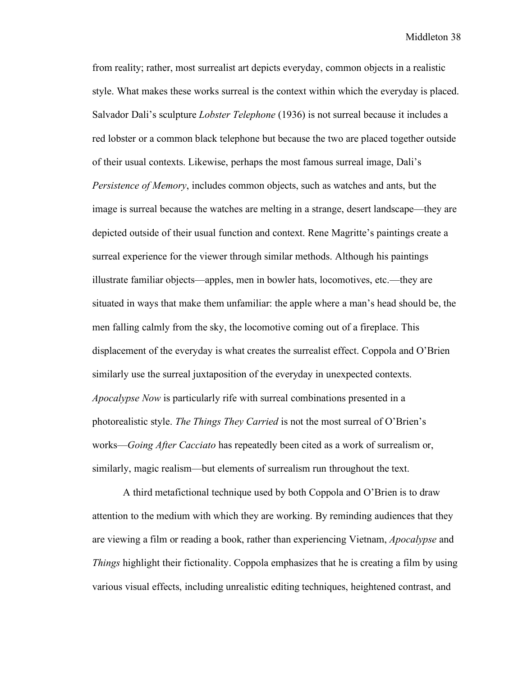from reality; rather, most surrealist art depicts everyday, common objects in a realistic style. What makes these works surreal is the context within which the everyday is placed. Salvador Dali's sculpture *Lobster Telephone* (1936) is not surreal because it includes a red lobster or a common black telephone but because the two are placed together outside of their usual contexts. Likewise, perhaps the most famous surreal image, Dali's *Persistence of Memory*, includes common objects, such as watches and ants, but the image is surreal because the watches are melting in a strange, desert landscape—they are depicted outside of their usual function and context. Rene Magritte's paintings create a surreal experience for the viewer through similar methods. Although his paintings illustrate familiar objects—apples, men in bowler hats, locomotives, etc.—they are situated in ways that make them unfamiliar: the apple where a man's head should be, the men falling calmly from the sky, the locomotive coming out of a fireplace. This displacement of the everyday is what creates the surrealist effect. Coppola and O'Brien similarly use the surreal juxtaposition of the everyday in unexpected contexts. *Apocalypse Now* is particularly rife with surreal combinations presented in a photorealistic style. *The Things They Carried* is not the most surreal of O'Brien's works—*Going After Cacciato* has repeatedly been cited as a work of surrealism or, similarly, magic realism—but elements of surrealism run throughout the text.

A third metafictional technique used by both Coppola and O'Brien is to draw attention to the medium with which they are working. By reminding audiences that they are viewing a film or reading a book, rather than experiencing Vietnam, *Apocalypse* and *Things* highlight their fictionality. Coppola emphasizes that he is creating a film by using various visual effects, including unrealistic editing techniques, heightened contrast, and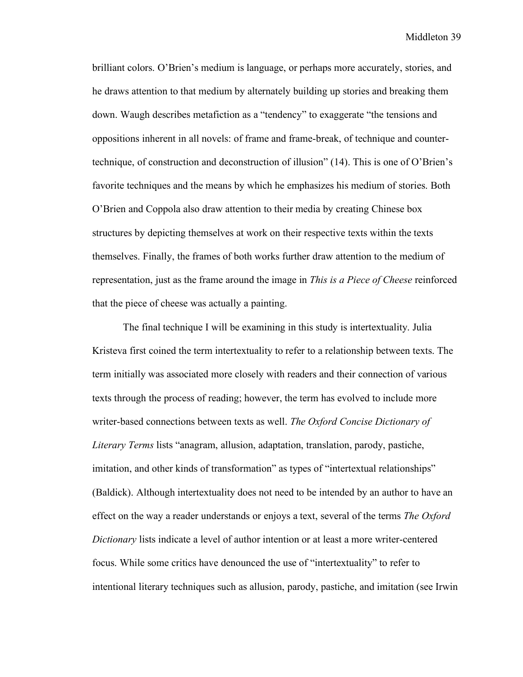brilliant colors. O'Brien's medium is language, or perhaps more accurately, stories, and he draws attention to that medium by alternately building up stories and breaking them down. Waugh describes metafiction as a "tendency" to exaggerate "the tensions and oppositions inherent in all novels: of frame and frame-break, of technique and countertechnique, of construction and deconstruction of illusion" (14). This is one of O'Brien's favorite techniques and the means by which he emphasizes his medium of stories. Both O'Brien and Coppola also draw attention to their media by creating Chinese box structures by depicting themselves at work on their respective texts within the texts themselves. Finally, the frames of both works further draw attention to the medium of representation, just as the frame around the image in *This is a Piece of Cheese* reinforced that the piece of cheese was actually a painting.

The final technique I will be examining in this study is intertextuality. Julia Kristeva first coined the term intertextuality to refer to a relationship between texts. The term initially was associated more closely with readers and their connection of various texts through the process of reading; however, the term has evolved to include more writer-based connections between texts as well. *The Oxford Concise Dictionary of Literary Terms* lists "anagram, allusion, adaptation, translation, parody, pastiche, imitation, and other kinds of transformation" as types of "intertextual relationships" (Baldick). Although intertextuality does not need to be intended by an author to have an effect on the way a reader understands or enjoys a text, several of the terms *The Oxford Dictionary* lists indicate a level of author intention or at least a more writer-centered focus. While some critics have denounced the use of "intertextuality" to refer to intentional literary techniques such as allusion, parody, pastiche, and imitation (see Irwin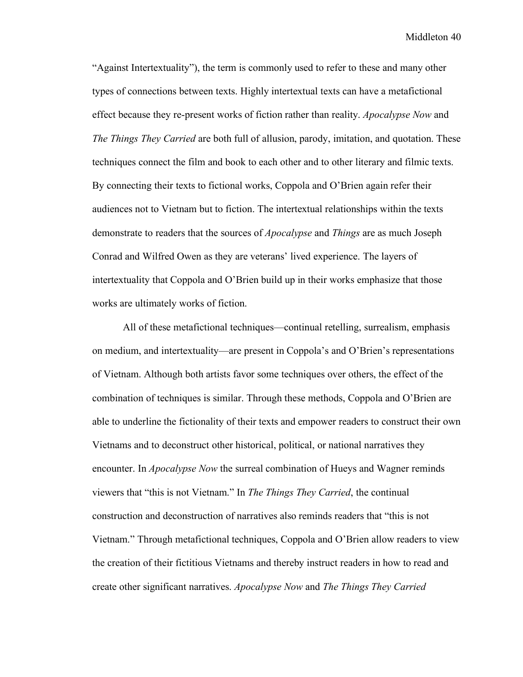"Against Intertextuality"), the term is commonly used to refer to these and many other types of connections between texts. Highly intertextual texts can have a metafictional effect because they re-present works of fiction rather than reality. *Apocalypse Now* and *The Things They Carried* are both full of allusion, parody, imitation, and quotation. These techniques connect the film and book to each other and to other literary and filmic texts. By connecting their texts to fictional works, Coppola and O'Brien again refer their audiences not to Vietnam but to fiction. The intertextual relationships within the texts demonstrate to readers that the sources of *Apocalypse* and *Things* are as much Joseph Conrad and Wilfred Owen as they are veterans' lived experience. The layers of intertextuality that Coppola and O'Brien build up in their works emphasize that those works are ultimately works of fiction.

All of these metafictional techniques—continual retelling, surrealism, emphasis on medium, and intertextuality—are present in Coppola's and O'Brien's representations of Vietnam. Although both artists favor some techniques over others, the effect of the combination of techniques is similar. Through these methods, Coppola and O'Brien are able to underline the fictionality of their texts and empower readers to construct their own Vietnams and to deconstruct other historical, political, or national narratives they encounter. In *Apocalypse Now* the surreal combination of Hueys and Wagner reminds viewers that "this is not Vietnam." In *The Things They Carried*, the continual construction and deconstruction of narratives also reminds readers that "this is not Vietnam." Through metafictional techniques, Coppola and O'Brien allow readers to view the creation of their fictitious Vietnams and thereby instruct readers in how to read and create other significant narratives. *Apocalypse Now* and *The Things They Carried*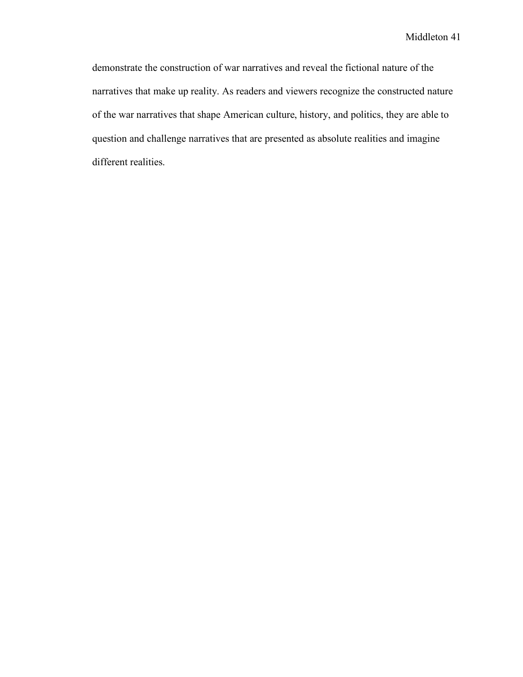demonstrate the construction of war narratives and reveal the fictional nature of the narratives that make up reality. As readers and viewers recognize the constructed nature of the war narratives that shape American culture, history, and politics, they are able to question and challenge narratives that are presented as absolute realities and imagine different realities.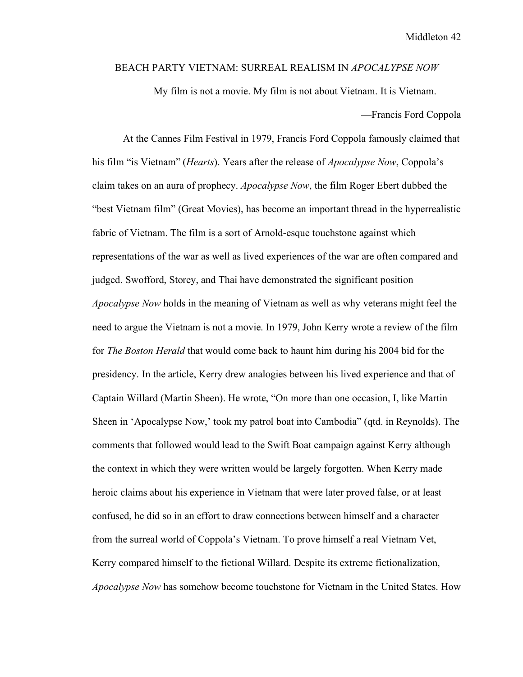## BEACH PARTY VIETNAM: SURREAL REALISM IN *APOCALYPSE NOW*

My film is not a movie. My film is not about Vietnam. It is Vietnam. —Francis Ford Coppola

At the Cannes Film Festival in 1979, Francis Ford Coppola famously claimed that his film "is Vietnam" (*Hearts*). Years after the release of *Apocalypse Now*, Coppola's claim takes on an aura of prophecy. *Apocalypse Now*, the film Roger Ebert dubbed the "best Vietnam film" (Great Movies), has become an important thread in the hyperrealistic fabric of Vietnam. The film is a sort of Arnold-esque touchstone against which representations of the war as well as lived experiences of the war are often compared and judged. Swofford, Storey, and Thai have demonstrated the significant position *Apocalypse Now* holds in the meaning of Vietnam as well as why veterans might feel the need to argue the Vietnam is not a movie. In 1979, John Kerry wrote a review of the film for *The Boston Herald* that would come back to haunt him during his 2004 bid for the presidency. In the article, Kerry drew analogies between his lived experience and that of Captain Willard (Martin Sheen). He wrote, "On more than one occasion, I, like Martin Sheen in 'Apocalypse Now,' took my patrol boat into Cambodia" (qtd. in Reynolds). The comments that followed would lead to the Swift Boat campaign against Kerry although the context in which they were written would be largely forgotten. When Kerry made heroic claims about his experience in Vietnam that were later proved false, or at least confused, he did so in an effort to draw connections between himself and a character from the surreal world of Coppola's Vietnam. To prove himself a real Vietnam Vet, Kerry compared himself to the fictional Willard. Despite its extreme fictionalization, *Apocalypse Now* has somehow become touchstone for Vietnam in the United States. How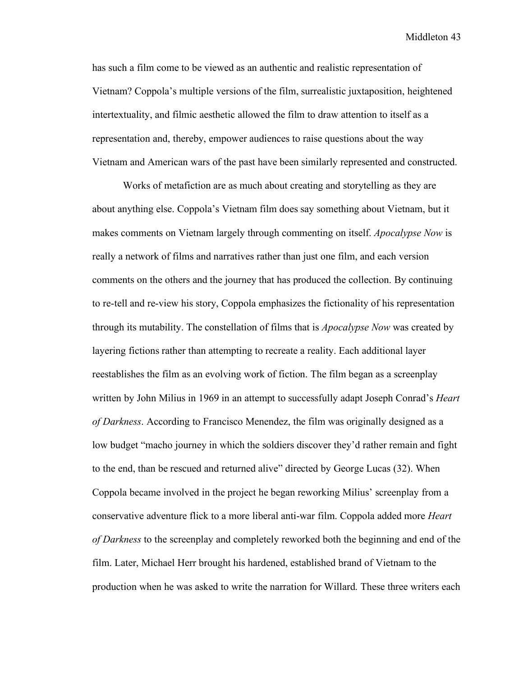has such a film come to be viewed as an authentic and realistic representation of Vietnam? Coppola's multiple versions of the film, surrealistic juxtaposition, heightened intertextuality, and filmic aesthetic allowed the film to draw attention to itself as a representation and, thereby, empower audiences to raise questions about the way Vietnam and American wars of the past have been similarly represented and constructed.

Works of metafiction are as much about creating and storytelling as they are about anything else. Coppola's Vietnam film does say something about Vietnam, but it makes comments on Vietnam largely through commenting on itself. *Apocalypse Now* is really a network of films and narratives rather than just one film, and each version comments on the others and the journey that has produced the collection. By continuing to re-tell and re-view his story, Coppola emphasizes the fictionality of his representation through its mutability. The constellation of films that is *Apocalypse Now* was created by layering fictions rather than attempting to recreate a reality. Each additional layer reestablishes the film as an evolving work of fiction. The film began as a screenplay written by John Milius in 1969 in an attempt to successfully adapt Joseph Conrad's *Heart of Darkness*. According to Francisco Menendez, the film was originally designed as a low budget "macho journey in which the soldiers discover they'd rather remain and fight to the end, than be rescued and returned alive" directed by George Lucas (32). When Coppola became involved in the project he began reworking Milius' screenplay from a conservative adventure flick to a more liberal anti-war film. Coppola added more *Heart of Darkness* to the screenplay and completely reworked both the beginning and end of the film. Later, Michael Herr brought his hardened, established brand of Vietnam to the production when he was asked to write the narration for Willard. These three writers each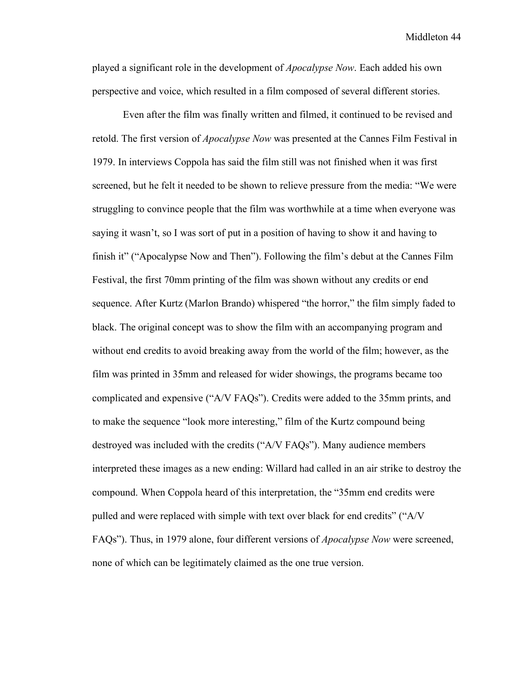played a significant role in the development of *Apocalypse Now*. Each added his own perspective and voice, which resulted in a film composed of several different stories.

Even after the film was finally written and filmed, it continued to be revised and retold. The first version of *Apocalypse Now* was presented at the Cannes Film Festival in 1979. In interviews Coppola has said the film still was not finished when it was first screened, but he felt it needed to be shown to relieve pressure from the media: "We were struggling to convince people that the film was worthwhile at a time when everyone was saying it wasn't, so I was sort of put in a position of having to show it and having to finish it" ("Apocalypse Now and Then"). Following the film's debut at the Cannes Film Festival, the first 70mm printing of the film was shown without any credits or end sequence. After Kurtz (Marlon Brando) whispered "the horror," the film simply faded to black. The original concept was to show the film with an accompanying program and without end credits to avoid breaking away from the world of the film; however, as the film was printed in 35mm and released for wider showings, the programs became too complicated and expensive ("A/V FAQs"). Credits were added to the 35mm prints, and to make the sequence "look more interesting," film of the Kurtz compound being destroyed was included with the credits ("A/V FAQs"). Many audience members interpreted these images as a new ending: Willard had called in an air strike to destroy the compound. When Coppola heard of this interpretation, the "35mm end credits were pulled and were replaced with simple with text over black for end credits" ("A/V FAQs"). Thus, in 1979 alone, four different versions of *Apocalypse Now* were screened, none of which can be legitimately claimed as the one true version.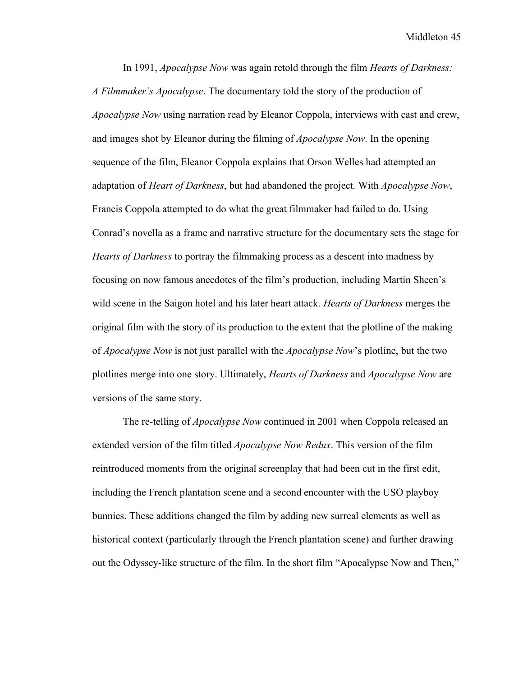In 1991, *Apocalypse Now* was again retold through the film *Hearts of Darkness: A Filmmaker's Apocalypse*. The documentary told the story of the production of *Apocalypse Now* using narration read by Eleanor Coppola, interviews with cast and crew, and images shot by Eleanor during the filming of *Apocalypse Now*. In the opening sequence of the film, Eleanor Coppola explains that Orson Welles had attempted an adaptation of *Heart of Darkness*, but had abandoned the project. With *Apocalypse Now*, Francis Coppola attempted to do what the great filmmaker had failed to do. Using Conrad's novella as a frame and narrative structure for the documentary sets the stage for *Hearts of Darkness* to portray the filmmaking process as a descent into madness by focusing on now famous anecdotes of the film's production, including Martin Sheen's wild scene in the Saigon hotel and his later heart attack. *Hearts of Darkness* merges the original film with the story of its production to the extent that the plotline of the making of *Apocalypse Now* is not just parallel with the *Apocalypse Now*'s plotline, but the two plotlines merge into one story. Ultimately, *Hearts of Darkness* and *Apocalypse Now* are versions of the same story.

The re-telling of *Apocalypse Now* continued in 2001 when Coppola released an extended version of the film titled *Apocalypse Now Redux*. This version of the film reintroduced moments from the original screenplay that had been cut in the first edit, including the French plantation scene and a second encounter with the USO playboy bunnies. These additions changed the film by adding new surreal elements as well as historical context (particularly through the French plantation scene) and further drawing out the Odyssey-like structure of the film. In the short film "Apocalypse Now and Then,"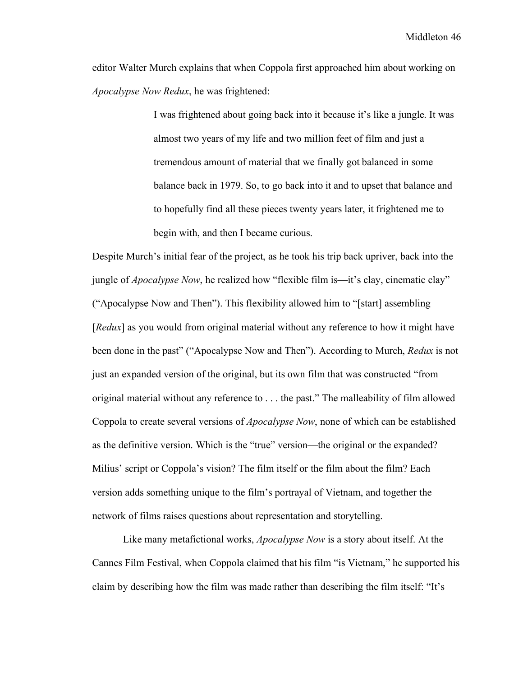editor Walter Murch explains that when Coppola first approached him about working on *Apocalypse Now Redux*, he was frightened:

> I was frightened about going back into it because it's like a jungle. It was almost two years of my life and two million feet of film and just a tremendous amount of material that we finally got balanced in some balance back in 1979. So, to go back into it and to upset that balance and to hopefully find all these pieces twenty years later, it frightened me to begin with, and then I became curious.

Despite Murch's initial fear of the project, as he took his trip back upriver, back into the jungle of *Apocalypse Now*, he realized how "flexible film is—it's clay, cinematic clay" ("Apocalypse Now and Then"). This flexibility allowed him to "[start] assembling [*Redux*] as you would from original material without any reference to how it might have been done in the past" ("Apocalypse Now and Then"). According to Murch, *Redux* is not just an expanded version of the original, but its own film that was constructed "from original material without any reference to . . . the past." The malleability of film allowed Coppola to create several versions of *Apocalypse Now*, none of which can be established as the definitive version. Which is the "true" version—the original or the expanded? Milius' script or Coppola's vision? The film itself or the film about the film? Each version adds something unique to the film's portrayal of Vietnam, and together the network of films raises questions about representation and storytelling.

Like many metafictional works, *Apocalypse Now* is a story about itself. At the Cannes Film Festival, when Coppola claimed that his film "is Vietnam," he supported his claim by describing how the film was made rather than describing the film itself: "It's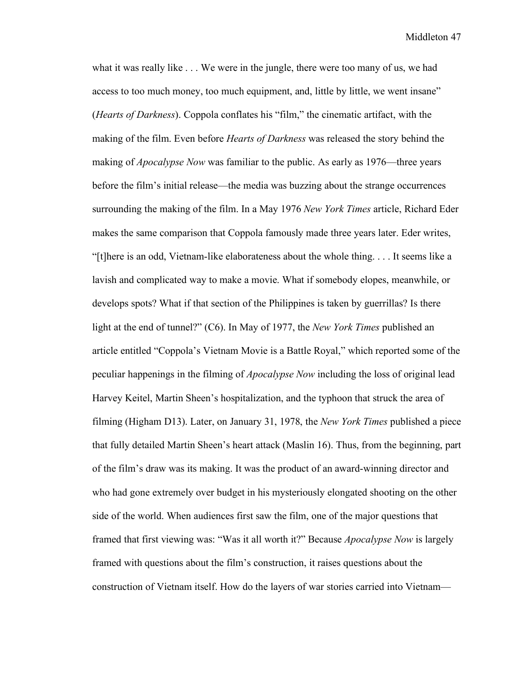what it was really like . . . We were in the jungle, there were too many of us, we had access to too much money, too much equipment, and, little by little, we went insane" (*Hearts of Darkness*). Coppola conflates his "film," the cinematic artifact, with the making of the film. Even before *Hearts of Darkness* was released the story behind the making of *Apocalypse Now* was familiar to the public. As early as 1976—three years before the film's initial release—the media was buzzing about the strange occurrences surrounding the making of the film. In a May 1976 *New York Times* article, Richard Eder makes the same comparison that Coppola famously made three years later. Eder writes, "[t]here is an odd, Vietnam-like elaborateness about the whole thing. . . . It seems like a lavish and complicated way to make a movie. What if somebody elopes, meanwhile, or develops spots? What if that section of the Philippines is taken by guerrillas? Is there light at the end of tunnel?" (C6). In May of 1977, the *New York Times* published an article entitled "Coppola's Vietnam Movie is a Battle Royal," which reported some of the peculiar happenings in the filming of *Apocalypse Now* including the loss of original lead Harvey Keitel, Martin Sheen's hospitalization, and the typhoon that struck the area of filming (Higham D13). Later, on January 31, 1978, the *New York Times* published a piece that fully detailed Martin Sheen's heart attack (Maslin 16). Thus, from the beginning, part of the film's draw was its making. It was the product of an award-winning director and who had gone extremely over budget in his mysteriously elongated shooting on the other side of the world. When audiences first saw the film, one of the major questions that framed that first viewing was: "Was it all worth it?" Because *Apocalypse Now* is largely framed with questions about the film's construction, it raises questions about the construction of Vietnam itself. How do the layers of war stories carried into Vietnam—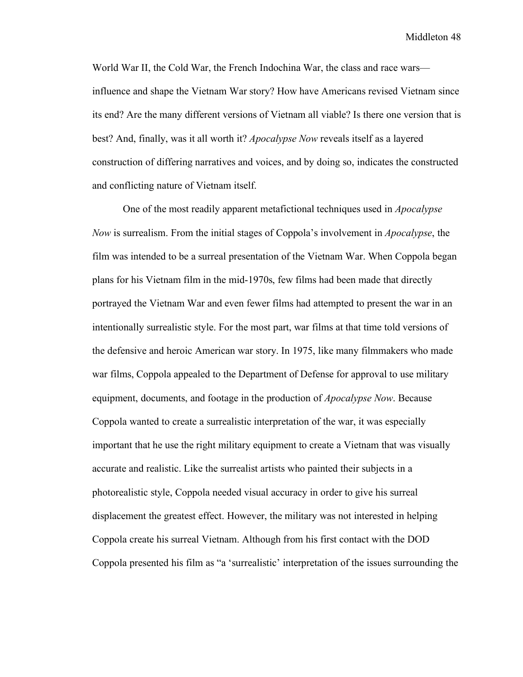World War II, the Cold War, the French Indochina War, the class and race wars influence and shape the Vietnam War story? How have Americans revised Vietnam since its end? Are the many different versions of Vietnam all viable? Is there one version that is best? And, finally, was it all worth it? *Apocalypse Now* reveals itself as a layered construction of differing narratives and voices, and by doing so, indicates the constructed and conflicting nature of Vietnam itself.

One of the most readily apparent metafictional techniques used in *Apocalypse Now* is surrealism. From the initial stages of Coppola's involvement in *Apocalypse*, the film was intended to be a surreal presentation of the Vietnam War. When Coppola began plans for his Vietnam film in the mid-1970s, few films had been made that directly portrayed the Vietnam War and even fewer films had attempted to present the war in an intentionally surrealistic style. For the most part, war films at that time told versions of the defensive and heroic American war story. In 1975, like many filmmakers who made war films, Coppola appealed to the Department of Defense for approval to use military equipment, documents, and footage in the production of *Apocalypse Now*. Because Coppola wanted to create a surrealistic interpretation of the war, it was especially important that he use the right military equipment to create a Vietnam that was visually accurate and realistic. Like the surrealist artists who painted their subjects in a photorealistic style, Coppola needed visual accuracy in order to give his surreal displacement the greatest effect. However, the military was not interested in helping Coppola create his surreal Vietnam. Although from his first contact with the DOD Coppola presented his film as "a 'surrealistic' interpretation of the issues surrounding the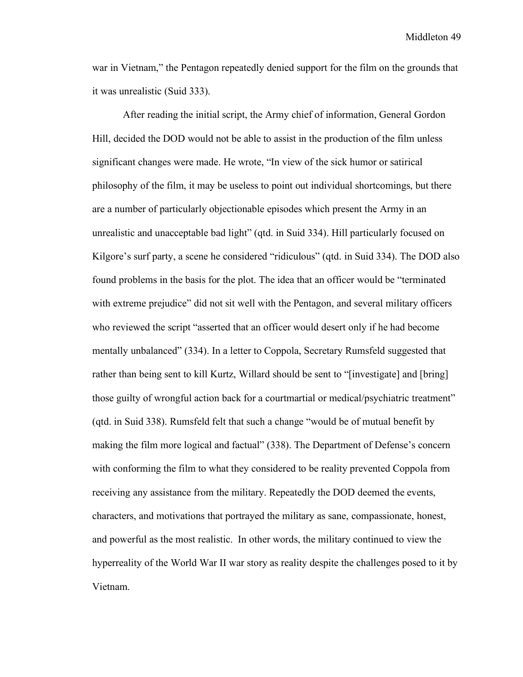war in Vietnam," the Pentagon repeatedly denied support for the film on the grounds that it was unrealistic (Suid 333).

After reading the initial script, the Army chief of information, General Gordon Hill, decided the DOD would not be able to assist in the production of the film unless significant changes were made. He wrote, "In view of the sick humor or satirical philosophy of the film, it may be useless to point out individual shortcomings, but there are a number of particularly objectionable episodes which present the Army in an unrealistic and unacceptable bad light" (qtd. in Suid 334). Hill particularly focused on Kilgore's surf party, a scene he considered "ridiculous" (qtd. in Suid 334). The DOD also found problems in the basis for the plot. The idea that an officer would be "terminated with extreme prejudice" did not sit well with the Pentagon, and several military officers who reviewed the script "asserted that an officer would desert only if he had become mentally unbalanced" (334). In a letter to Coppola, Secretary Rumsfeld suggested that rather than being sent to kill Kurtz, Willard should be sent to "[investigate] and [bring] those guilty of wrongful action back for a courtmartial or medical/psychiatric treatment" (qtd. in Suid 338). Rumsfeld felt that such a change "would be of mutual benefit by making the film more logical and factual" (338). The Department of Defense's concern with conforming the film to what they considered to be reality prevented Coppola from receiving any assistance from the military. Repeatedly the DOD deemed the events, characters, and motivations that portrayed the military as sane, compassionate, honest, and powerful as the most realistic. In other words, the military continued to view the hyperreality of the World War II war story as reality despite the challenges posed to it by Vietnam.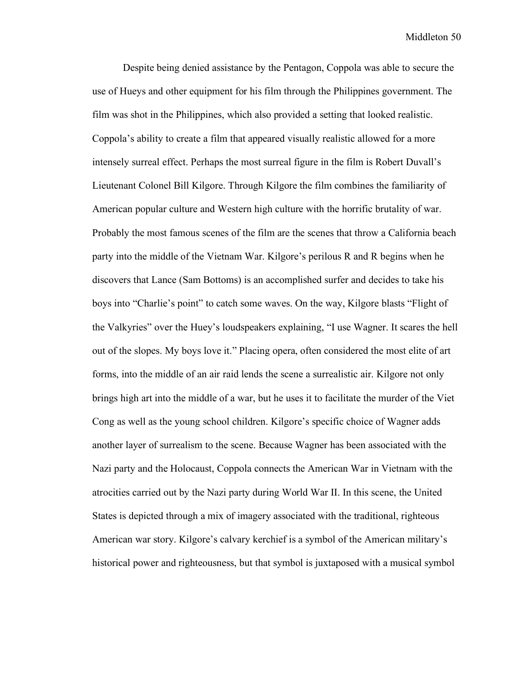Despite being denied assistance by the Pentagon, Coppola was able to secure the use of Hueys and other equipment for his film through the Philippines government. The film was shot in the Philippines, which also provided a setting that looked realistic. Coppola's ability to create a film that appeared visually realistic allowed for a more intensely surreal effect. Perhaps the most surreal figure in the film is Robert Duvall's Lieutenant Colonel Bill Kilgore. Through Kilgore the film combines the familiarity of American popular culture and Western high culture with the horrific brutality of war. Probably the most famous scenes of the film are the scenes that throw a California beach party into the middle of the Vietnam War. Kilgore's perilous R and R begins when he discovers that Lance (Sam Bottoms) is an accomplished surfer and decides to take his boys into "Charlie's point" to catch some waves. On the way, Kilgore blasts "Flight of the Valkyries" over the Huey's loudspeakers explaining, "I use Wagner. It scares the hell out of the slopes. My boys love it." Placing opera, often considered the most elite of art forms, into the middle of an air raid lends the scene a surrealistic air. Kilgore not only brings high art into the middle of a war, but he uses it to facilitate the murder of the Viet Cong as well as the young school children. Kilgore's specific choice of Wagner adds another layer of surrealism to the scene. Because Wagner has been associated with the Nazi party and the Holocaust, Coppola connects the American War in Vietnam with the atrocities carried out by the Nazi party during World War II. In this scene, the United States is depicted through a mix of imagery associated with the traditional, righteous American war story. Kilgore's calvary kerchief is a symbol of the American military's historical power and righteousness, but that symbol is juxtaposed with a musical symbol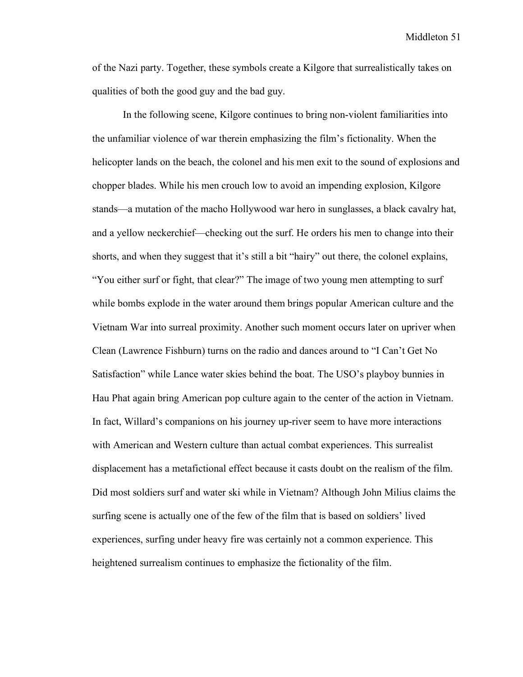of the Nazi party. Together, these symbols create a Kilgore that surrealistically takes on qualities of both the good guy and the bad guy.

In the following scene, Kilgore continues to bring non-violent familiarities into the unfamiliar violence of war therein emphasizing the film's fictionality. When the helicopter lands on the beach, the colonel and his men exit to the sound of explosions and chopper blades. While his men crouch low to avoid an impending explosion, Kilgore stands—a mutation of the macho Hollywood war hero in sunglasses, a black cavalry hat, and a yellow neckerchief—checking out the surf. He orders his men to change into their shorts, and when they suggest that it's still a bit "hairy" out there, the colonel explains, "You either surf or fight, that clear?" The image of two young men attempting to surf while bombs explode in the water around them brings popular American culture and the Vietnam War into surreal proximity. Another such moment occurs later on upriver when Clean (Lawrence Fishburn) turns on the radio and dances around to "I Can't Get No Satisfaction" while Lance water skies behind the boat. The USO's playboy bunnies in Hau Phat again bring American pop culture again to the center of the action in Vietnam. In fact, Willard's companions on his journey up-river seem to have more interactions with American and Western culture than actual combat experiences. This surrealist displacement has a metafictional effect because it casts doubt on the realism of the film. Did most soldiers surf and water ski while in Vietnam? Although John Milius claims the surfing scene is actually one of the few of the film that is based on soldiers' lived experiences, surfing under heavy fire was certainly not a common experience. This heightened surrealism continues to emphasize the fictionality of the film.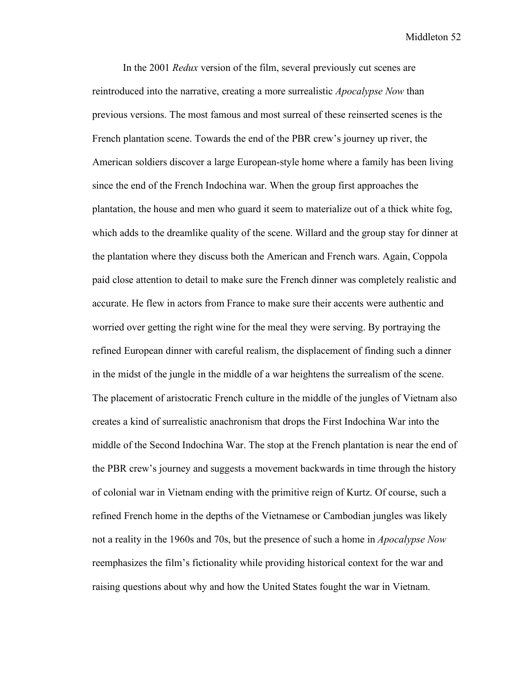In the 2001 *Redux* version of the film, several previously cut scenes are reintroduced into the narrative, creating a more surrealistic *Apocalypse Now* than previous versions. The most famous and most surreal of these reinserted scenes is the French plantation scene. Towards the end of the PBR crew's journey up river, the American soldiers discover a large European-style home where a family has been living since the end of the French Indochina war. When the group first approaches the plantation, the house and men who guard it seem to materialize out of a thick white fog, which adds to the dreamlike quality of the scene. Willard and the group stay for dinner at the plantation where they discuss both the American and French wars. Again, Coppola paid close attention to detail to make sure the French dinner was completely realistic and accurate. He flew in actors from France to make sure their accents were authentic and worried over getting the right wine for the meal they were serving. By portraying the refined European dinner with careful realism, the displacement of finding such a dinner in the midst of the jungle in the middle of a war heightens the surrealism of the scene. The placement of aristocratic French culture in the middle of the jungles of Vietnam also creates a kind of surrealistic anachronism that drops the First Indochina War into the middle of the Second Indochina War. The stop at the French plantation is near the end of the PBR crew's journey and suggests a movement backwards in time through the history of colonial war in Vietnam ending with the primitive reign of Kurtz. Of course, such a refined French home in the depths of the Vietnamese or Cambodian jungles was likely not a reality in the 1960s and 70s, but the presence of such a home in *Apocalypse Now* reemphasizes the film's fictionality while providing historical context for the war and raising questions about why and how the United States fought the war in Vietnam.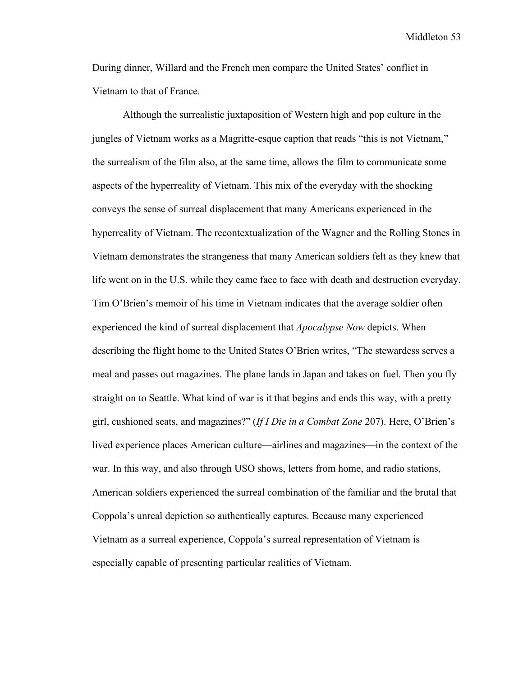During dinner, Willard and the French men compare the United States' conflict in Vietnam to that of France.

Although the surrealistic juxtaposition of Western high and pop culture in the jungles of Vietnam works as a Magritte-esque caption that reads "this is not Vietnam," the surrealism of the film also, at the same time, allows the film to communicate some aspects of the hyperreality of Vietnam. This mix of the everyday with the shocking conveys the sense of surreal displacement that many Americans experienced in the hyperreality of Vietnam. The recontextualization of the Wagner and the Rolling Stones in Vietnam demonstrates the strangeness that many American soldiers felt as they knew that life went on in the U.S. while they came face to face with death and destruction everyday. Tim O'Brien's memoir of his time in Vietnam indicates that the average soldier often experienced the kind of surreal displacement that *Apocalypse Now* depicts. When describing the flight home to the United States O'Brien writes, "The stewardess serves a meal and passes out magazines. The plane lands in Japan and takes on fuel. Then you fly straight on to Seattle. What kind of war is it that begins and ends this way, with a pretty girl, cushioned seats, and magazines?" (*If I Die in a Combat Zone* 207). Here, O'Brien's lived experience places American culture—airlines and magazines—in the context of the war. In this way, and also through USO shows, letters from home, and radio stations, American soldiers experienced the surreal combination of the familiar and the brutal that Coppola's unreal depiction so authentically captures. Because many experienced Vietnam as a surreal experience, Coppola's surreal representation of Vietnam is especially capable of presenting particular realities of Vietnam.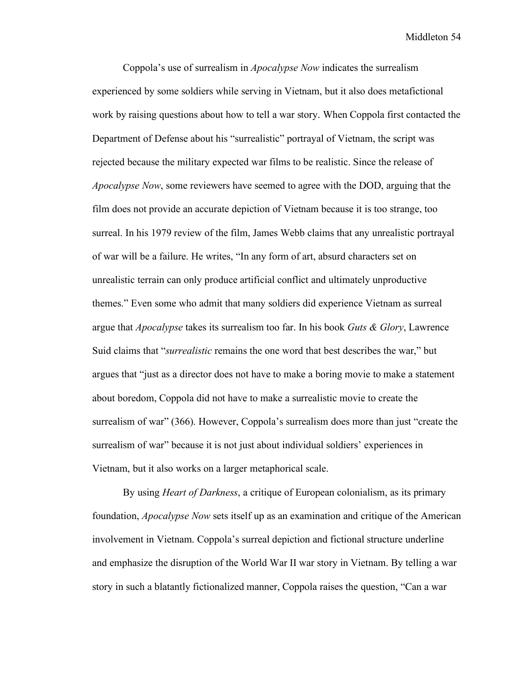Coppola's use of surrealism in *Apocalypse Now* indicates the surrealism experienced by some soldiers while serving in Vietnam, but it also does metafictional work by raising questions about how to tell a war story. When Coppola first contacted the Department of Defense about his "surrealistic" portrayal of Vietnam, the script was rejected because the military expected war films to be realistic. Since the release of *Apocalypse Now*, some reviewers have seemed to agree with the DOD, arguing that the film does not provide an accurate depiction of Vietnam because it is too strange, too surreal. In his 1979 review of the film, James Webb claims that any unrealistic portrayal of war will be a failure. He writes, "In any form of art, absurd characters set on unrealistic terrain can only produce artificial conflict and ultimately unproductive themes." Even some who admit that many soldiers did experience Vietnam as surreal argue that *Apocalypse* takes its surrealism too far. In his book *Guts & Glory*, Lawrence Suid claims that "*surrealistic* remains the one word that best describes the war," but argues that "just as a director does not have to make a boring movie to make a statement about boredom, Coppola did not have to make a surrealistic movie to create the surrealism of war" (366). However, Coppola's surrealism does more than just "create the surrealism of war" because it is not just about individual soldiers' experiences in Vietnam, but it also works on a larger metaphorical scale.

By using *Heart of Darkness*, a critique of European colonialism, as its primary foundation, *Apocalypse Now* sets itself up as an examination and critique of the American involvement in Vietnam. Coppola's surreal depiction and fictional structure underline and emphasize the disruption of the World War II war story in Vietnam. By telling a war story in such a blatantly fictionalized manner, Coppola raises the question, "Can a war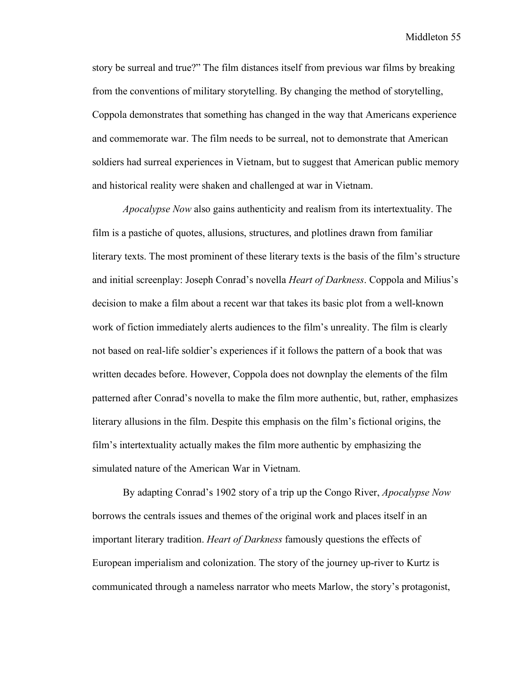story be surreal and true?" The film distances itself from previous war films by breaking from the conventions of military storytelling. By changing the method of storytelling, Coppola demonstrates that something has changed in the way that Americans experience and commemorate war. The film needs to be surreal, not to demonstrate that American soldiers had surreal experiences in Vietnam, but to suggest that American public memory and historical reality were shaken and challenged at war in Vietnam.

*Apocalypse Now* also gains authenticity and realism from its intertextuality. The film is a pastiche of quotes, allusions, structures, and plotlines drawn from familiar literary texts. The most prominent of these literary texts is the basis of the film's structure and initial screenplay: Joseph Conrad's novella *Heart of Darkness*. Coppola and Milius's decision to make a film about a recent war that takes its basic plot from a well-known work of fiction immediately alerts audiences to the film's unreality. The film is clearly not based on real-life soldier's experiences if it follows the pattern of a book that was written decades before. However, Coppola does not downplay the elements of the film patterned after Conrad's novella to make the film more authentic, but, rather, emphasizes literary allusions in the film. Despite this emphasis on the film's fictional origins, the film's intertextuality actually makes the film more authentic by emphasizing the simulated nature of the American War in Vietnam.

By adapting Conrad's 1902 story of a trip up the Congo River, *Apocalypse Now* borrows the centrals issues and themes of the original work and places itself in an important literary tradition. *Heart of Darkness* famously questions the effects of European imperialism and colonization. The story of the journey up-river to Kurtz is communicated through a nameless narrator who meets Marlow, the story's protagonist,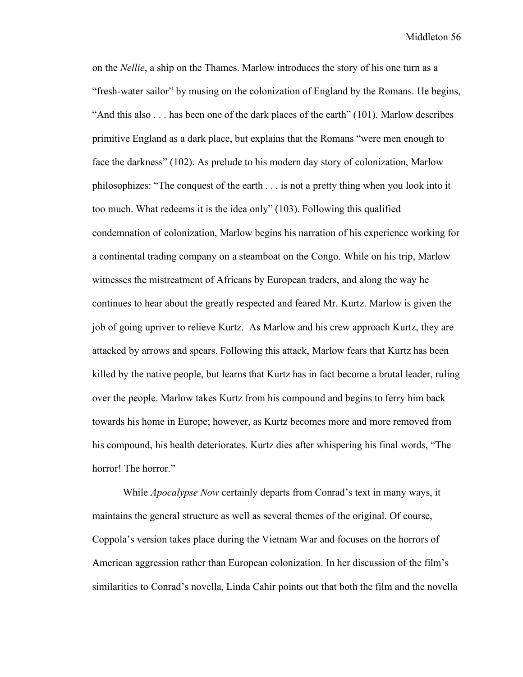on the *Nellie*, a ship on the Thames. Marlow introduces the story of his one turn as a "fresh-water sailor" by musing on the colonization of England by the Romans. He begins, "And this also . . . has been one of the dark places of the earth" (101). Marlow describes primitive England as a dark place, but explains that the Romans "were men enough to face the darkness" (102). As prelude to his modern day story of colonization, Marlow philosophizes: "The conquest of the earth . . . is not a pretty thing when you look into it too much. What redeems it is the idea only" (103). Following this qualified condemnation of colonization, Marlow begins his narration of his experience working for a continental trading company on a steamboat on the Congo. While on his trip, Marlow witnesses the mistreatment of Africans by European traders, and along the way he continues to hear about the greatly respected and feared Mr. Kurtz. Marlow is given the job of going upriver to relieve Kurtz. As Marlow and his crew approach Kurtz, they are attacked by arrows and spears. Following this attack, Marlow fears that Kurtz has been killed by the native people, but learns that Kurtz has in fact become a brutal leader, ruling over the people. Marlow takes Kurtz from his compound and begins to ferry him back towards his home in Europe; however, as Kurtz becomes more and more removed from his compound, his health deteriorates. Kurtz dies after whispering his final words, "The horror! The horror."

While *Apocalypse Now* certainly departs from Conrad's text in many ways, it maintains the general structure as well as several themes of the original. Of course, Coppola's version takes place during the Vietnam War and focuses on the horrors of American aggression rather than European colonization. In her discussion of the film's similarities to Conrad's novella, Linda Cahir points out that both the film and the novella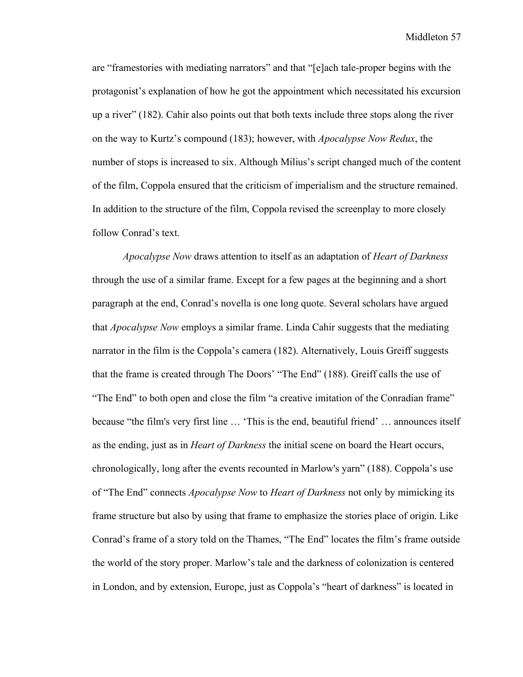are "framestories with mediating narrators" and that "[e]ach tale-proper begins with the protagonist's explanation of how he got the appointment which necessitated his excursion up a river" (182). Cahir also points out that both texts include three stops along the river on the way to Kurtz's compound (183); however, with *Apocalypse Now Redux*, the number of stops is increased to six. Although Milius's script changed much of the content of the film, Coppola ensured that the criticism of imperialism and the structure remained. In addition to the structure of the film, Coppola revised the screenplay to more closely follow Conrad's text.

*Apocalypse Now* draws attention to itself as an adaptation of *Heart of Darkness* through the use of a similar frame. Except for a few pages at the beginning and a short paragraph at the end, Conrad's novella is one long quote. Several scholars have argued that *Apocalypse Now* employs a similar frame. Linda Cahir suggests that the mediating narrator in the film is the Coppola's camera (182). Alternatively, Louis Greiff suggests that the frame is created through The Doors' "The End" (188). Greiff calls the use of "The End" to both open and close the film "a creative imitation of the Conradian frame" because "the film's very first line … 'This is the end, beautiful friend' … announces itself as the ending, just as in *Heart of Darkness* the initial scene on board the Heart occurs, chronologically, long after the events recounted in Marlow's yarn" (188). Coppola's use of "The End" connects *Apocalypse Now* to *Heart of Darkness* not only by mimicking its frame structure but also by using that frame to emphasize the stories place of origin. Like Conrad's frame of a story told on the Thames, "The End" locates the film's frame outside the world of the story proper. Marlow's tale and the darkness of colonization is centered in London, and by extension, Europe, just as Coppola's "heart of darkness" is located in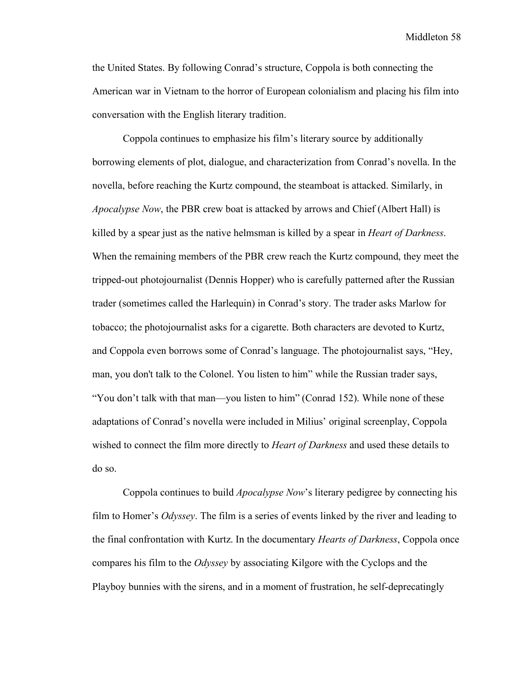the United States. By following Conrad's structure, Coppola is both connecting the American war in Vietnam to the horror of European colonialism and placing his film into conversation with the English literary tradition.

Coppola continues to emphasize his film's literary source by additionally borrowing elements of plot, dialogue, and characterization from Conrad's novella. In the novella, before reaching the Kurtz compound, the steamboat is attacked. Similarly, in *Apocalypse Now*, the PBR crew boat is attacked by arrows and Chief (Albert Hall) is killed by a spear just as the native helmsman is killed by a spear in *Heart of Darkness*. When the remaining members of the PBR crew reach the Kurtz compound, they meet the tripped-out photojournalist (Dennis Hopper) who is carefully patterned after the Russian trader (sometimes called the Harlequin) in Conrad's story. The trader asks Marlow for tobacco; the photojournalist asks for a cigarette. Both characters are devoted to Kurtz, and Coppola even borrows some of Conrad's language. The photojournalist says, "Hey, man, you don't talk to the Colonel. You listen to him" while the Russian trader says, "You don't talk with that man—you listen to him" (Conrad 152). While none of these adaptations of Conrad's novella were included in Milius' original screenplay, Coppola wished to connect the film more directly to *Heart of Darkness* and used these details to do so.

Coppola continues to build *Apocalypse Now*'s literary pedigree by connecting his film to Homer's *Odyssey*. The film is a series of events linked by the river and leading to the final confrontation with Kurtz. In the documentary *Hearts of Darkness*, Coppola once compares his film to the *Odyssey* by associating Kilgore with the Cyclops and the Playboy bunnies with the sirens, and in a moment of frustration, he self-deprecatingly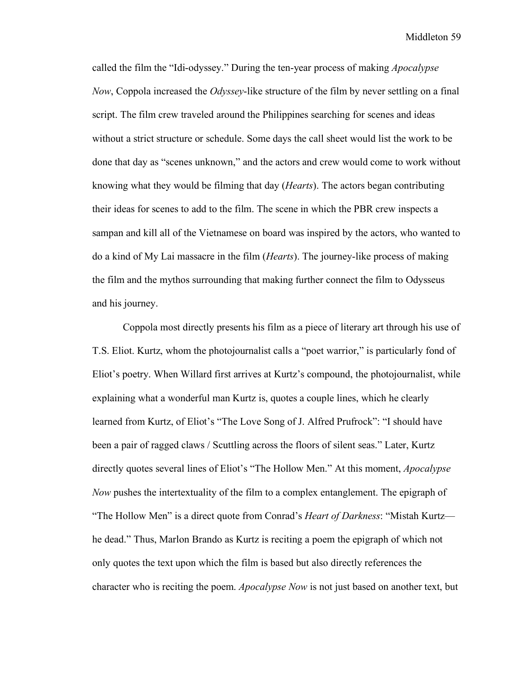called the film the "Idi-odyssey." During the ten-year process of making *Apocalypse Now*, Coppola increased the *Odyssey*-like structure of the film by never settling on a final script. The film crew traveled around the Philippines searching for scenes and ideas without a strict structure or schedule. Some days the call sheet would list the work to be done that day as "scenes unknown," and the actors and crew would come to work without knowing what they would be filming that day (*Hearts*). The actors began contributing their ideas for scenes to add to the film. The scene in which the PBR crew inspects a sampan and kill all of the Vietnamese on board was inspired by the actors, who wanted to do a kind of My Lai massacre in the film (*Hearts*). The journey-like process of making the film and the mythos surrounding that making further connect the film to Odysseus and his journey.

Coppola most directly presents his film as a piece of literary art through his use of T.S. Eliot. Kurtz, whom the photojournalist calls a "poet warrior," is particularly fond of Eliot's poetry. When Willard first arrives at Kurtz's compound, the photojournalist, while explaining what a wonderful man Kurtz is, quotes a couple lines, which he clearly learned from Kurtz, of Eliot's "The Love Song of J. Alfred Prufrock": "I should have been a pair of ragged claws / Scuttling across the floors of silent seas." Later, Kurtz directly quotes several lines of Eliot's "The Hollow Men." At this moment, *Apocalypse Now* pushes the intertextuality of the film to a complex entanglement. The epigraph of "The Hollow Men" is a direct quote from Conrad's *Heart of Darkness*: "Mistah Kurtz he dead." Thus, Marlon Brando as Kurtz is reciting a poem the epigraph of which not only quotes the text upon which the film is based but also directly references the character who is reciting the poem. *Apocalypse Now* is not just based on another text, but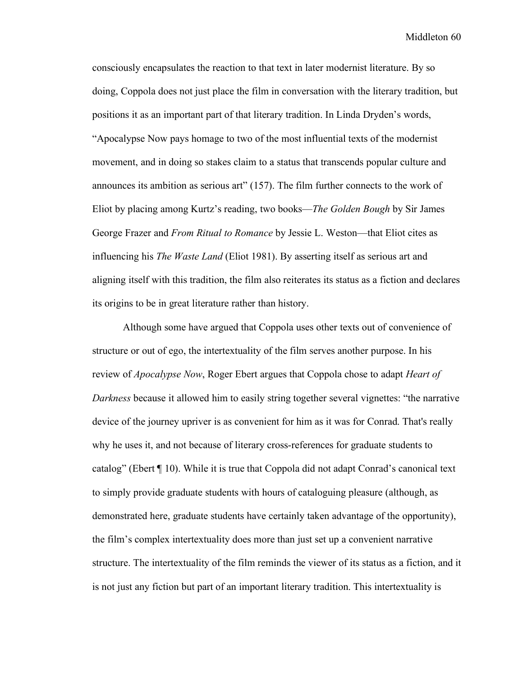consciously encapsulates the reaction to that text in later modernist literature. By so doing, Coppola does not just place the film in conversation with the literary tradition, but positions it as an important part of that literary tradition. In Linda Dryden's words, "Apocalypse Now pays homage to two of the most influential texts of the modernist movement, and in doing so stakes claim to a status that transcends popular culture and announces its ambition as serious art" (157). The film further connects to the work of Eliot by placing among Kurtz's reading, two books—*The Golden Bough* by Sir James George Frazer and *From Ritual to Romance* by Jessie L. Weston—that Eliot cites as influencing his *The Waste Land* (Eliot 1981). By asserting itself as serious art and aligning itself with this tradition, the film also reiterates its status as a fiction and declares its origins to be in great literature rather than history.

Although some have argued that Coppola uses other texts out of convenience of structure or out of ego, the intertextuality of the film serves another purpose. In his review of *Apocalypse Now*, Roger Ebert argues that Coppola chose to adapt *Heart of Darkness* because it allowed him to easily string together several vignettes: "the narrative device of the journey upriver is as convenient for him as it was for Conrad. That's really why he uses it, and not because of literary cross-references for graduate students to catalog" (Ebert ¶ 10). While it is true that Coppola did not adapt Conrad's canonical text to simply provide graduate students with hours of cataloguing pleasure (although, as demonstrated here, graduate students have certainly taken advantage of the opportunity), the film's complex intertextuality does more than just set up a convenient narrative structure. The intertextuality of the film reminds the viewer of its status as a fiction, and it is not just any fiction but part of an important literary tradition. This intertextuality is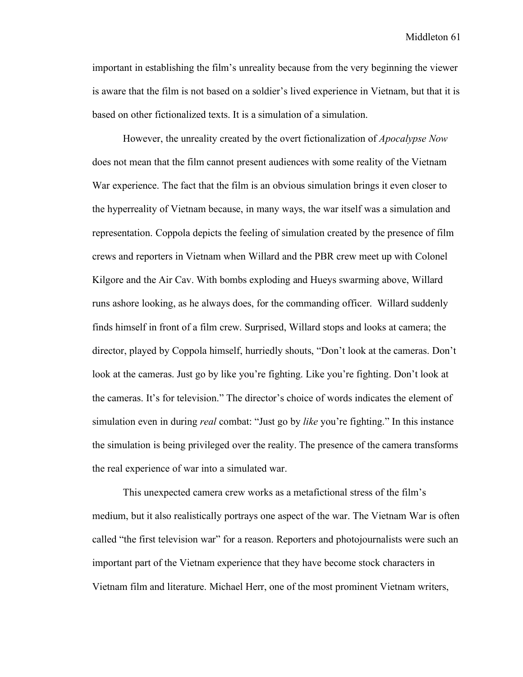important in establishing the film's unreality because from the very beginning the viewer is aware that the film is not based on a soldier's lived experience in Vietnam, but that it is based on other fictionalized texts. It is a simulation of a simulation.

However, the unreality created by the overt fictionalization of *Apocalypse Now* does not mean that the film cannot present audiences with some reality of the Vietnam War experience. The fact that the film is an obvious simulation brings it even closer to the hyperreality of Vietnam because, in many ways, the war itself was a simulation and representation. Coppola depicts the feeling of simulation created by the presence of film crews and reporters in Vietnam when Willard and the PBR crew meet up with Colonel Kilgore and the Air Cav. With bombs exploding and Hueys swarming above, Willard runs ashore looking, as he always does, for the commanding officer. Willard suddenly finds himself in front of a film crew. Surprised, Willard stops and looks at camera; the director, played by Coppola himself, hurriedly shouts, "Don't look at the cameras. Don't look at the cameras. Just go by like you're fighting. Like you're fighting. Don't look at the cameras. It's for television." The director's choice of words indicates the element of simulation even in during *real* combat: "Just go by *like* you're fighting." In this instance the simulation is being privileged over the reality. The presence of the camera transforms the real experience of war into a simulated war.

This unexpected camera crew works as a metafictional stress of the film's medium, but it also realistically portrays one aspect of the war. The Vietnam War is often called "the first television war" for a reason. Reporters and photojournalists were such an important part of the Vietnam experience that they have become stock characters in Vietnam film and literature. Michael Herr, one of the most prominent Vietnam writers,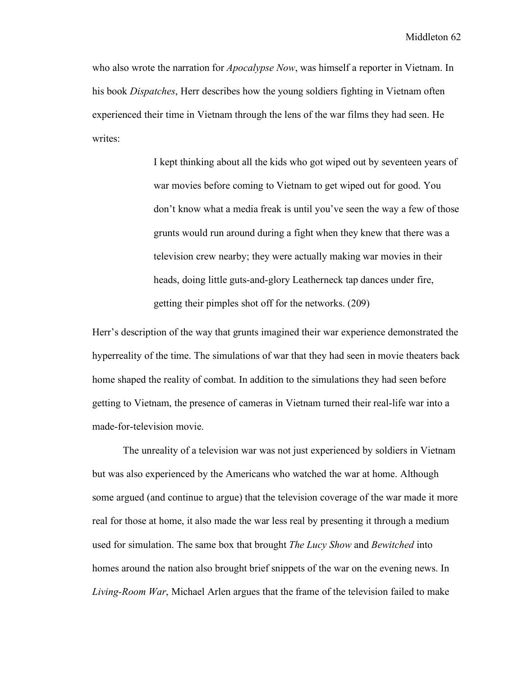who also wrote the narration for *Apocalypse Now*, was himself a reporter in Vietnam. In his book *Dispatches*, Herr describes how the young soldiers fighting in Vietnam often experienced their time in Vietnam through the lens of the war films they had seen. He writes:

> I kept thinking about all the kids who got wiped out by seventeen years of war movies before coming to Vietnam to get wiped out for good. You don't know what a media freak is until you've seen the way a few of those grunts would run around during a fight when they knew that there was a television crew nearby; they were actually making war movies in their heads, doing little guts-and-glory Leatherneck tap dances under fire, getting their pimples shot off for the networks. (209)

Herr's description of the way that grunts imagined their war experience demonstrated the hyperreality of the time. The simulations of war that they had seen in movie theaters back home shaped the reality of combat. In addition to the simulations they had seen before getting to Vietnam, the presence of cameras in Vietnam turned their real-life war into a made-for-television movie.

The unreality of a television war was not just experienced by soldiers in Vietnam but was also experienced by the Americans who watched the war at home. Although some argued (and continue to argue) that the television coverage of the war made it more real for those at home, it also made the war less real by presenting it through a medium used for simulation. The same box that brought *The Lucy Show* and *Bewitched* into homes around the nation also brought brief snippets of the war on the evening news. In *Living-Room War*, Michael Arlen argues that the frame of the television failed to make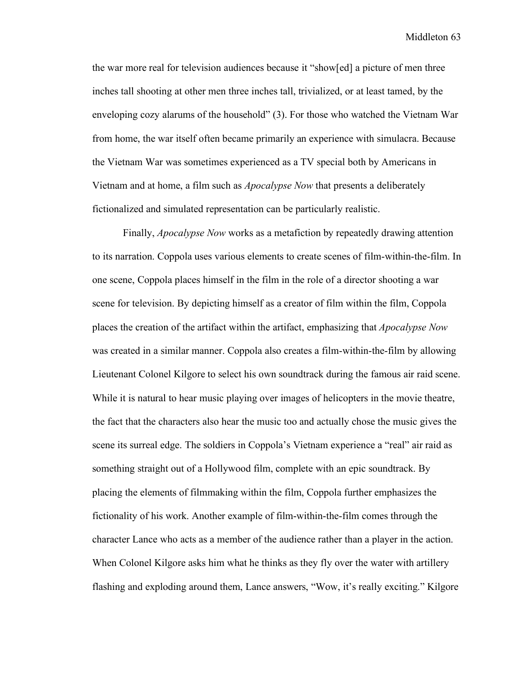the war more real for television audiences because it "show[ed] a picture of men three inches tall shooting at other men three inches tall, trivialized, or at least tamed, by the enveloping cozy alarums of the household" (3). For those who watched the Vietnam War from home, the war itself often became primarily an experience with simulacra. Because the Vietnam War was sometimes experienced as a TV special both by Americans in Vietnam and at home, a film such as *Apocalypse Now* that presents a deliberately fictionalized and simulated representation can be particularly realistic.

Finally, *Apocalypse Now* works as a metafiction by repeatedly drawing attention to its narration. Coppola uses various elements to create scenes of film-within-the-film. In one scene, Coppola places himself in the film in the role of a director shooting a war scene for television. By depicting himself as a creator of film within the film, Coppola places the creation of the artifact within the artifact, emphasizing that *Apocalypse Now* was created in a similar manner. Coppola also creates a film-within-the-film by allowing Lieutenant Colonel Kilgore to select his own soundtrack during the famous air raid scene. While it is natural to hear music playing over images of helicopters in the movie theatre, the fact that the characters also hear the music too and actually chose the music gives the scene its surreal edge. The soldiers in Coppola's Vietnam experience a "real" air raid as something straight out of a Hollywood film, complete with an epic soundtrack. By placing the elements of filmmaking within the film, Coppola further emphasizes the fictionality of his work. Another example of film-within-the-film comes through the character Lance who acts as a member of the audience rather than a player in the action. When Colonel Kilgore asks him what he thinks as they fly over the water with artillery flashing and exploding around them, Lance answers, "Wow, it's really exciting." Kilgore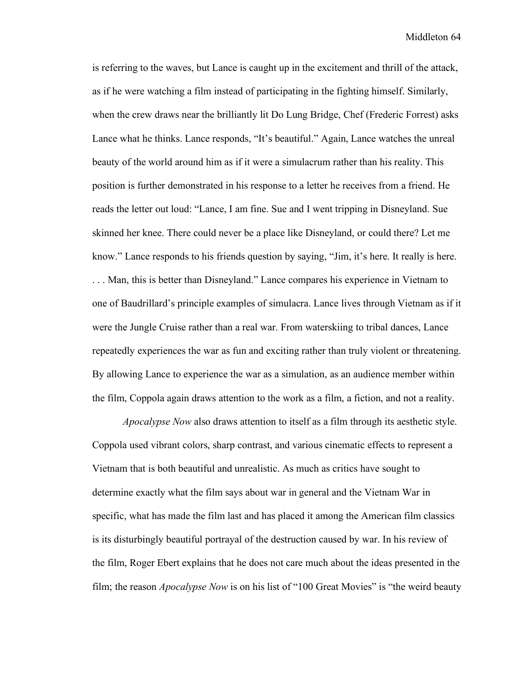is referring to the waves, but Lance is caught up in the excitement and thrill of the attack, as if he were watching a film instead of participating in the fighting himself. Similarly, when the crew draws near the brilliantly lit Do Lung Bridge, Chef (Frederic Forrest) asks Lance what he thinks. Lance responds, "It's beautiful." Again, Lance watches the unreal beauty of the world around him as if it were a simulacrum rather than his reality. This position is further demonstrated in his response to a letter he receives from a friend. He reads the letter out loud: "Lance, I am fine. Sue and I went tripping in Disneyland. Sue skinned her knee. There could never be a place like Disneyland, or could there? Let me know." Lance responds to his friends question by saying, "Jim, it's here. It really is here.

. . . Man, this is better than Disneyland." Lance compares his experience in Vietnam to one of Baudrillard's principle examples of simulacra. Lance lives through Vietnam as if it were the Jungle Cruise rather than a real war. From waterskiing to tribal dances, Lance repeatedly experiences the war as fun and exciting rather than truly violent or threatening. By allowing Lance to experience the war as a simulation, as an audience member within the film, Coppola again draws attention to the work as a film, a fiction, and not a reality.

*Apocalypse Now* also draws attention to itself as a film through its aesthetic style. Coppola used vibrant colors, sharp contrast, and various cinematic effects to represent a Vietnam that is both beautiful and unrealistic. As much as critics have sought to determine exactly what the film says about war in general and the Vietnam War in specific, what has made the film last and has placed it among the American film classics is its disturbingly beautiful portrayal of the destruction caused by war. In his review of the film, Roger Ebert explains that he does not care much about the ideas presented in the film; the reason *Apocalypse Now* is on his list of "100 Great Movies" is "the weird beauty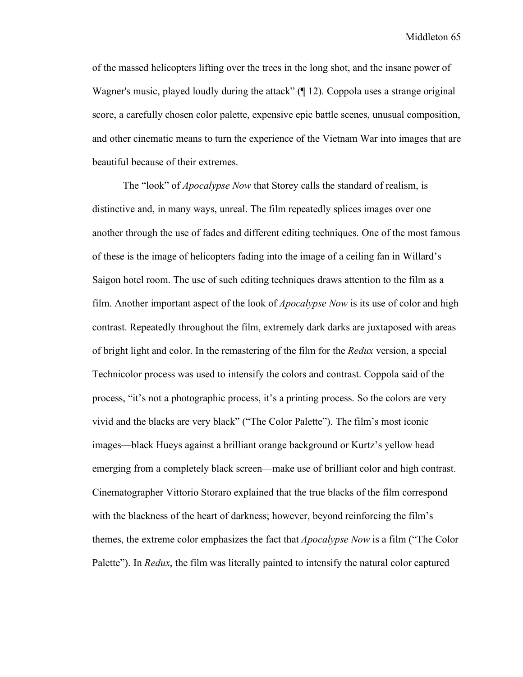of the massed helicopters lifting over the trees in the long shot, and the insane power of Wagner's music, played loudly during the attack" (¶ 12). Coppola uses a strange original score, a carefully chosen color palette, expensive epic battle scenes, unusual composition, and other cinematic means to turn the experience of the Vietnam War into images that are beautiful because of their extremes.

The "look" of *Apocalypse Now* that Storey calls the standard of realism, is distinctive and, in many ways, unreal. The film repeatedly splices images over one another through the use of fades and different editing techniques. One of the most famous of these is the image of helicopters fading into the image of a ceiling fan in Willard's Saigon hotel room. The use of such editing techniques draws attention to the film as a film. Another important aspect of the look of *Apocalypse Now* is its use of color and high contrast. Repeatedly throughout the film, extremely dark darks are juxtaposed with areas of bright light and color. In the remastering of the film for the *Redux* version, a special Technicolor process was used to intensify the colors and contrast. Coppola said of the process, "it's not a photographic process, it's a printing process. So the colors are very vivid and the blacks are very black" ("The Color Palette"). The film's most iconic images—black Hueys against a brilliant orange background or Kurtz's yellow head emerging from a completely black screen—make use of brilliant color and high contrast. Cinematographer Vittorio Storaro explained that the true blacks of the film correspond with the blackness of the heart of darkness; however, beyond reinforcing the film's themes, the extreme color emphasizes the fact that *Apocalypse Now* is a film ("The Color Palette"). In *Redux*, the film was literally painted to intensify the natural color captured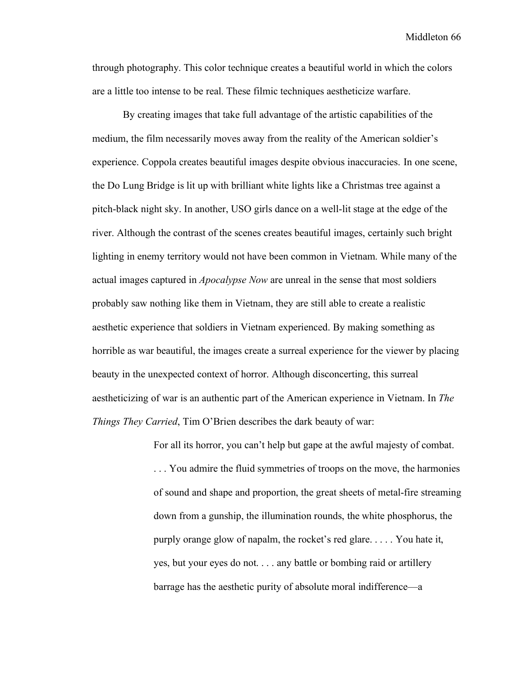through photography. This color technique creates a beautiful world in which the colors are a little too intense to be real. These filmic techniques aestheticize warfare.

By creating images that take full advantage of the artistic capabilities of the medium, the film necessarily moves away from the reality of the American soldier's experience. Coppola creates beautiful images despite obvious inaccuracies. In one scene, the Do Lung Bridge is lit up with brilliant white lights like a Christmas tree against a pitch-black night sky. In another, USO girls dance on a well-lit stage at the edge of the river. Although the contrast of the scenes creates beautiful images, certainly such bright lighting in enemy territory would not have been common in Vietnam. While many of the actual images captured in *Apocalypse Now* are unreal in the sense that most soldiers probably saw nothing like them in Vietnam, they are still able to create a realistic aesthetic experience that soldiers in Vietnam experienced. By making something as horrible as war beautiful, the images create a surreal experience for the viewer by placing beauty in the unexpected context of horror. Although disconcerting, this surreal aestheticizing of war is an authentic part of the American experience in Vietnam. In *The Things They Carried*, Tim O'Brien describes the dark beauty of war:

> For all its horror, you can't help but gape at the awful majesty of combat. . . . You admire the fluid symmetries of troops on the move, the harmonies of sound and shape and proportion, the great sheets of metal-fire streaming down from a gunship, the illumination rounds, the white phosphorus, the purply orange glow of napalm, the rocket's red glare. . . . . You hate it, yes, but your eyes do not. . . . any battle or bombing raid or artillery barrage has the aesthetic purity of absolute moral indifference—a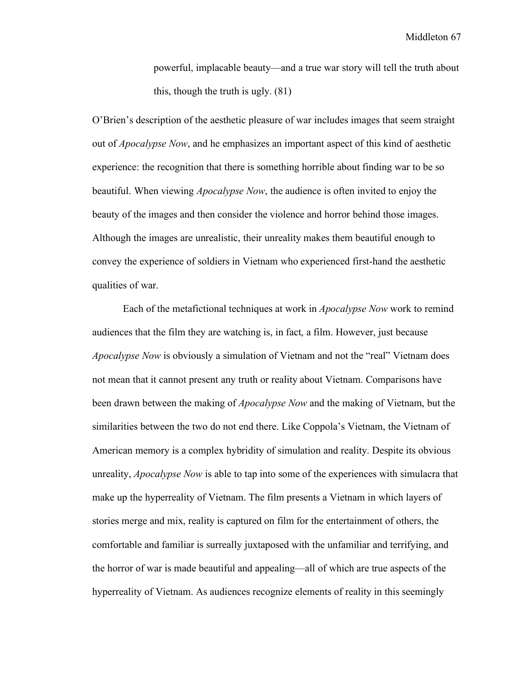powerful, implacable beauty—and a true war story will tell the truth about this, though the truth is ugly. (81)

O'Brien's description of the aesthetic pleasure of war includes images that seem straight out of *Apocalypse Now*, and he emphasizes an important aspect of this kind of aesthetic experience: the recognition that there is something horrible about finding war to be so beautiful. When viewing *Apocalypse Now*, the audience is often invited to enjoy the beauty of the images and then consider the violence and horror behind those images. Although the images are unrealistic, their unreality makes them beautiful enough to convey the experience of soldiers in Vietnam who experienced first-hand the aesthetic qualities of war.

Each of the metafictional techniques at work in *Apocalypse Now* work to remind audiences that the film they are watching is, in fact, a film. However, just because *Apocalypse Now* is obviously a simulation of Vietnam and not the "real" Vietnam does not mean that it cannot present any truth or reality about Vietnam. Comparisons have been drawn between the making of *Apocalypse Now* and the making of Vietnam, but the similarities between the two do not end there. Like Coppola's Vietnam, the Vietnam of American memory is a complex hybridity of simulation and reality. Despite its obvious unreality, *Apocalypse Now* is able to tap into some of the experiences with simulacra that make up the hyperreality of Vietnam. The film presents a Vietnam in which layers of stories merge and mix, reality is captured on film for the entertainment of others, the comfortable and familiar is surreally juxtaposed with the unfamiliar and terrifying, and the horror of war is made beautiful and appealing—all of which are true aspects of the hyperreality of Vietnam. As audiences recognize elements of reality in this seemingly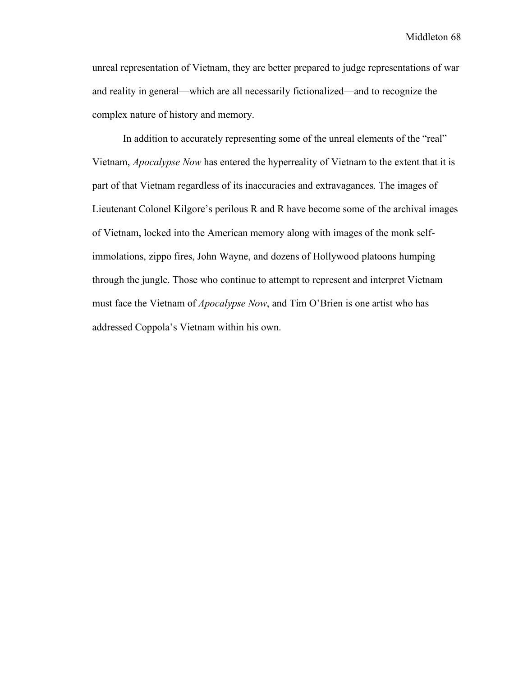unreal representation of Vietnam, they are better prepared to judge representations of war and reality in general—which are all necessarily fictionalized—and to recognize the complex nature of history and memory.

In addition to accurately representing some of the unreal elements of the "real" Vietnam, *Apocalypse Now* has entered the hyperreality of Vietnam to the extent that it is part of that Vietnam regardless of its inaccuracies and extravagances. The images of Lieutenant Colonel Kilgore's perilous R and R have become some of the archival images of Vietnam, locked into the American memory along with images of the monk selfimmolations, zippo fires, John Wayne, and dozens of Hollywood platoons humping through the jungle. Those who continue to attempt to represent and interpret Vietnam must face the Vietnam of *Apocalypse Now*, and Tim O'Brien is one artist who has addressed Coppola's Vietnam within his own.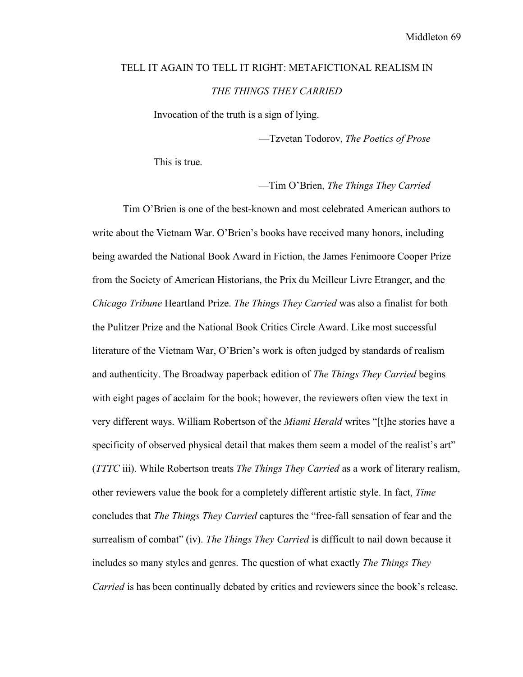## TELL IT AGAIN TO TELL IT RIGHT: METAFICTIONAL REALISM IN *THE THINGS THEY CARRIED*

Invocation of the truth is a sign of lying.

—Tzvetan Todorov, *The Poetics of Prose*

This is true.

—Tim O'Brien, *The Things They Carried*

Tim O'Brien is one of the best-known and most celebrated American authors to write about the Vietnam War. O'Brien's books have received many honors, including being awarded the National Book Award in Fiction, the James Fenimoore Cooper Prize from the Society of American Historians, the Prix du Meilleur Livre Etranger, and the *Chicago Tribune* Heartland Prize. *The Things They Carried* was also a finalist for both the Pulitzer Prize and the National Book Critics Circle Award. Like most successful literature of the Vietnam War, O'Brien's work is often judged by standards of realism and authenticity. The Broadway paperback edition of *The Things They Carried* begins with eight pages of acclaim for the book; however, the reviewers often view the text in very different ways. William Robertson of the *Miami Herald* writes "[t]he stories have a specificity of observed physical detail that makes them seem a model of the realist's art" (*TTTC* iii). While Robertson treats *The Things They Carried* as a work of literary realism, other reviewers value the book for a completely different artistic style. In fact, *Time* concludes that *The Things They Carried* captures the "free-fall sensation of fear and the surrealism of combat" (iv). *The Things They Carried* is difficult to nail down because it includes so many styles and genres. The question of what exactly *The Things They Carried* is has been continually debated by critics and reviewers since the book's release.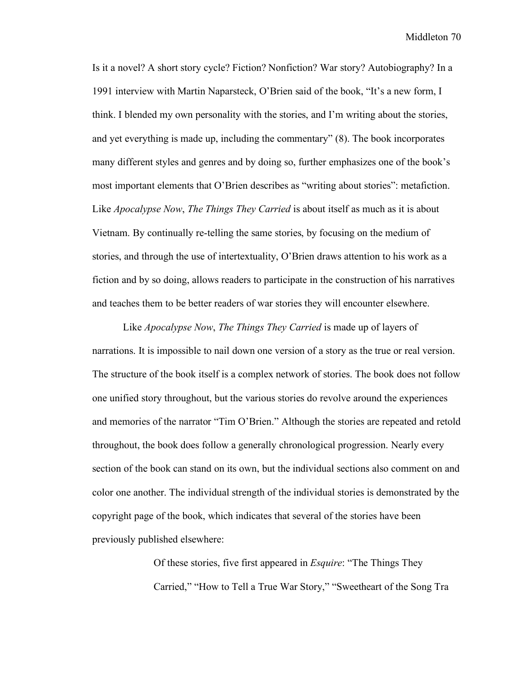Is it a novel? A short story cycle? Fiction? Nonfiction? War story? Autobiography? In a 1991 interview with Martin Naparsteck, O'Brien said of the book, "It's a new form, I think. I blended my own personality with the stories, and I'm writing about the stories, and yet everything is made up, including the commentary" (8). The book incorporates many different styles and genres and by doing so, further emphasizes one of the book's most important elements that O'Brien describes as "writing about stories": metafiction. Like *Apocalypse Now*, *The Things They Carried* is about itself as much as it is about Vietnam. By continually re-telling the same stories, by focusing on the medium of stories, and through the use of intertextuality, O'Brien draws attention to his work as a fiction and by so doing, allows readers to participate in the construction of his narratives and teaches them to be better readers of war stories they will encounter elsewhere.

Like *Apocalypse Now*, *The Things They Carried* is made up of layers of narrations. It is impossible to nail down one version of a story as the true or real version. The structure of the book itself is a complex network of stories. The book does not follow one unified story throughout, but the various stories do revolve around the experiences and memories of the narrator "Tim O'Brien." Although the stories are repeated and retold throughout, the book does follow a generally chronological progression. Nearly every section of the book can stand on its own, but the individual sections also comment on and color one another. The individual strength of the individual stories is demonstrated by the copyright page of the book, which indicates that several of the stories have been previously published elsewhere:

> Of these stories, five first appeared in *Esquire*: "The Things They Carried," "How to Tell a True War Story," "Sweetheart of the Song Tra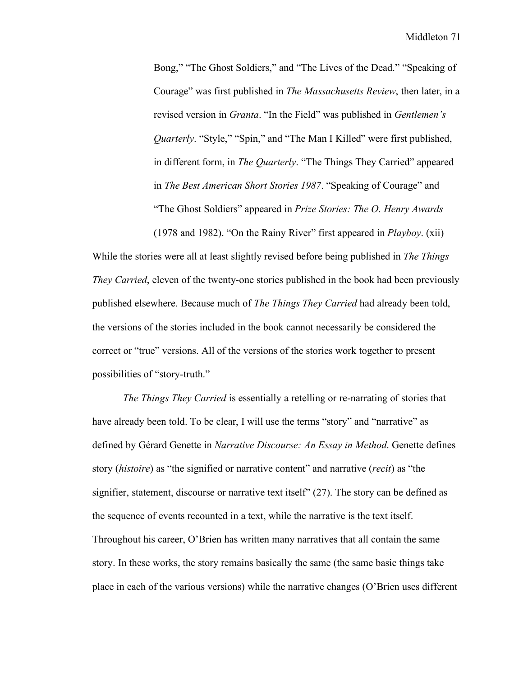Bong," "The Ghost Soldiers," and "The Lives of the Dead." "Speaking of Courage" was first published in *The Massachusetts Review*, then later, in a revised version in *Granta*. "In the Field" was published in *Gentlemen's Quarterly*. "Style," "Spin," and "The Man I Killed" were first published, in different form, in *The Quarterly*. "The Things They Carried" appeared in *The Best American Short Stories 1987*. "Speaking of Courage" and "The Ghost Soldiers" appeared in *Prize Stories: The O. Henry Awards* (1978 and 1982). "On the Rainy River" first appeared in *Playboy*. (xii)

While the stories were all at least slightly revised before being published in *The Things They Carried*, eleven of the twenty-one stories published in the book had been previously published elsewhere. Because much of *The Things They Carried* had already been told, the versions of the stories included in the book cannot necessarily be considered the correct or "true" versions. All of the versions of the stories work together to present possibilities of "story-truth."

*The Things They Carried* is essentially a retelling or re-narrating of stories that have already been told. To be clear, I will use the terms "story" and "narrative" as defined by Gérard Genette in *Narrative Discourse: An Essay in Method*. Genette defines story (*histoire*) as "the signified or narrative content" and narrative (*recit*) as "the signifier, statement, discourse or narrative text itself" (27). The story can be defined as the sequence of events recounted in a text, while the narrative is the text itself. Throughout his career, O'Brien has written many narratives that all contain the same story. In these works, the story remains basically the same (the same basic things take place in each of the various versions) while the narrative changes (O'Brien uses different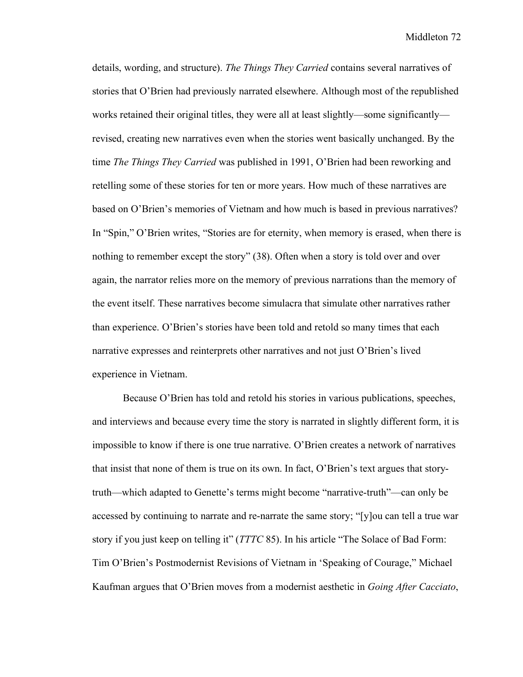details, wording, and structure). *The Things They Carried* contains several narratives of stories that O'Brien had previously narrated elsewhere. Although most of the republished works retained their original titles, they were all at least slightly—some significantly revised, creating new narratives even when the stories went basically unchanged. By the time *The Things They Carried* was published in 1991, O'Brien had been reworking and retelling some of these stories for ten or more years. How much of these narratives are based on O'Brien's memories of Vietnam and how much is based in previous narratives? In "Spin," O'Brien writes, "Stories are for eternity, when memory is erased, when there is nothing to remember except the story" (38). Often when a story is told over and over again, the narrator relies more on the memory of previous narrations than the memory of the event itself. These narratives become simulacra that simulate other narratives rather than experience. O'Brien's stories have been told and retold so many times that each narrative expresses and reinterprets other narratives and not just O'Brien's lived experience in Vietnam.

Because O'Brien has told and retold his stories in various publications, speeches, and interviews and because every time the story is narrated in slightly different form, it is impossible to know if there is one true narrative. O'Brien creates a network of narratives that insist that none of them is true on its own. In fact, O'Brien's text argues that storytruth—which adapted to Genette's terms might become "narrative-truth"—can only be accessed by continuing to narrate and re-narrate the same story; "[y]ou can tell a true war story if you just keep on telling it" (*TTTC* 85). In his article "The Solace of Bad Form: Tim O'Brien's Postmodernist Revisions of Vietnam in 'Speaking of Courage," Michael Kaufman argues that O'Brien moves from a modernist aesthetic in *Going After Cacciato*,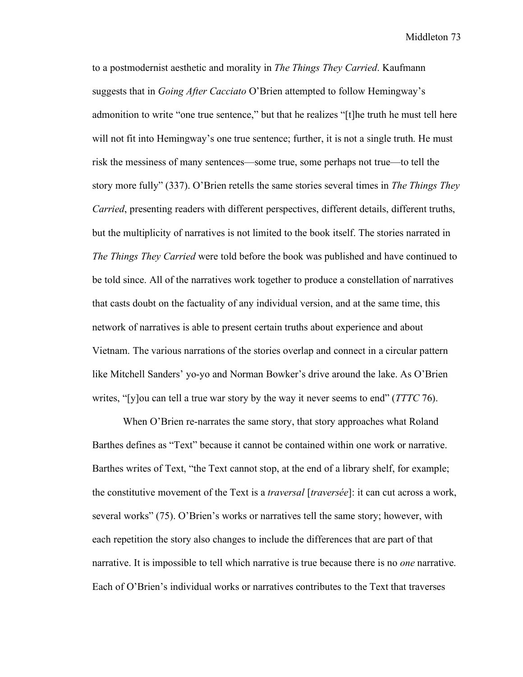to a postmodernist aesthetic and morality in *The Things They Carried*. Kaufmann suggests that in *Going After Cacciato* O'Brien attempted to follow Hemingway's admonition to write "one true sentence," but that he realizes "[t]he truth he must tell here will not fit into Hemingway's one true sentence; further, it is not a single truth. He must risk the messiness of many sentences—some true, some perhaps not true—to tell the story more fully" (337). O'Brien retells the same stories several times in *The Things They Carried*, presenting readers with different perspectives, different details, different truths, but the multiplicity of narratives is not limited to the book itself. The stories narrated in *The Things They Carried* were told before the book was published and have continued to be told since. All of the narratives work together to produce a constellation of narratives that casts doubt on the factuality of any individual version, and at the same time, this network of narratives is able to present certain truths about experience and about Vietnam. The various narrations of the stories overlap and connect in a circular pattern like Mitchell Sanders' yo-yo and Norman Bowker's drive around the lake. As O'Brien writes, "[y]ou can tell a true war story by the way it never seems to end" (*TTTC* 76).

When O'Brien re-narrates the same story, that story approaches what Roland Barthes defines as "Text" because it cannot be contained within one work or narrative. Barthes writes of Text, "the Text cannot stop, at the end of a library shelf, for example; the constitutive movement of the Text is a *traversal* [*traversée*]: it can cut across a work, several works" (75). O'Brien's works or narratives tell the same story; however, with each repetition the story also changes to include the differences that are part of that narrative. It is impossible to tell which narrative is true because there is no *one* narrative. Each of O'Brien's individual works or narratives contributes to the Text that traverses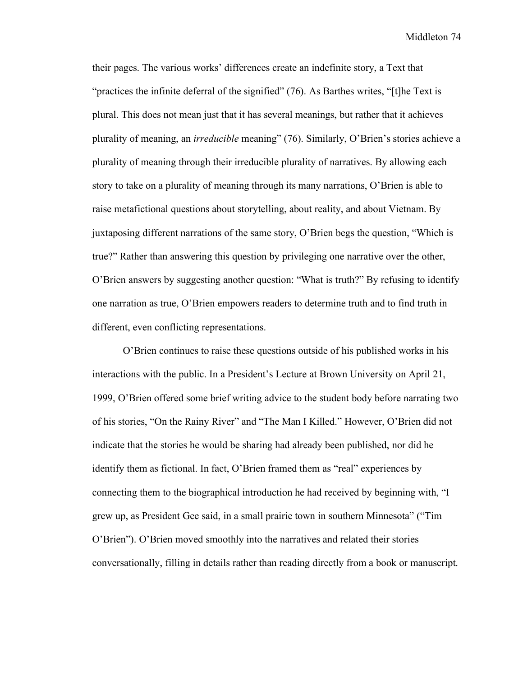their pages. The various works' differences create an indefinite story, a Text that "practices the infinite deferral of the signified" (76). As Barthes writes, "[t]he Text is plural. This does not mean just that it has several meanings, but rather that it achieves plurality of meaning, an *irreducible* meaning" (76). Similarly, O'Brien's stories achieve a plurality of meaning through their irreducible plurality of narratives. By allowing each story to take on a plurality of meaning through its many narrations, O'Brien is able to raise metafictional questions about storytelling, about reality, and about Vietnam. By juxtaposing different narrations of the same story, O'Brien begs the question, "Which is true?" Rather than answering this question by privileging one narrative over the other, O'Brien answers by suggesting another question: "What is truth?" By refusing to identify one narration as true, O'Brien empowers readers to determine truth and to find truth in different, even conflicting representations.

O'Brien continues to raise these questions outside of his published works in his interactions with the public. In a President's Lecture at Brown University on April 21, 1999, O'Brien offered some brief writing advice to the student body before narrating two of his stories, "On the Rainy River" and "The Man I Killed." However, O'Brien did not indicate that the stories he would be sharing had already been published, nor did he identify them as fictional. In fact, O'Brien framed them as "real" experiences by connecting them to the biographical introduction he had received by beginning with, "I grew up, as President Gee said, in a small prairie town in southern Minnesota" ("Tim O'Brien"). O'Brien moved smoothly into the narratives and related their stories conversationally, filling in details rather than reading directly from a book or manuscript.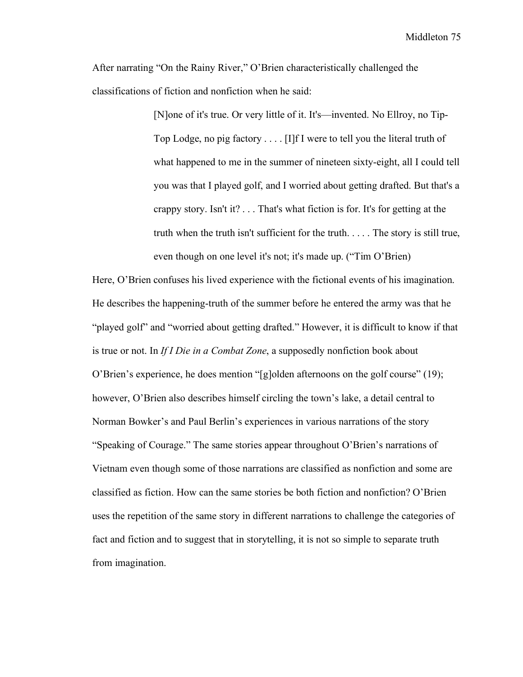After narrating "On the Rainy River," O'Brien characteristically challenged the classifications of fiction and nonfiction when he said:

> [N]one of it's true. Or very little of it. It's—invented. No Ellroy, no Tip-Top Lodge, no pig factory . . . . [I]f I were to tell you the literal truth of what happened to me in the summer of nineteen sixty-eight, all I could tell you was that I played golf, and I worried about getting drafted. But that's a crappy story. Isn't it? . . . That's what fiction is for. It's for getting at the truth when the truth isn't sufficient for the truth. . . . . The story is still true, even though on one level it's not; it's made up. ("Tim O'Brien)

Here, O'Brien confuses his lived experience with the fictional events of his imagination. He describes the happening-truth of the summer before he entered the army was that he "played golf" and "worried about getting drafted." However, it is difficult to know if that is true or not. In *If I Die in a Combat Zone*, a supposedly nonfiction book about O'Brien's experience, he does mention "[g]olden afternoons on the golf course" (19); however, O'Brien also describes himself circling the town's lake, a detail central to Norman Bowker's and Paul Berlin's experiences in various narrations of the story "Speaking of Courage." The same stories appear throughout O'Brien's narrations of Vietnam even though some of those narrations are classified as nonfiction and some are classified as fiction. How can the same stories be both fiction and nonfiction? O'Brien uses the repetition of the same story in different narrations to challenge the categories of fact and fiction and to suggest that in storytelling, it is not so simple to separate truth from imagination.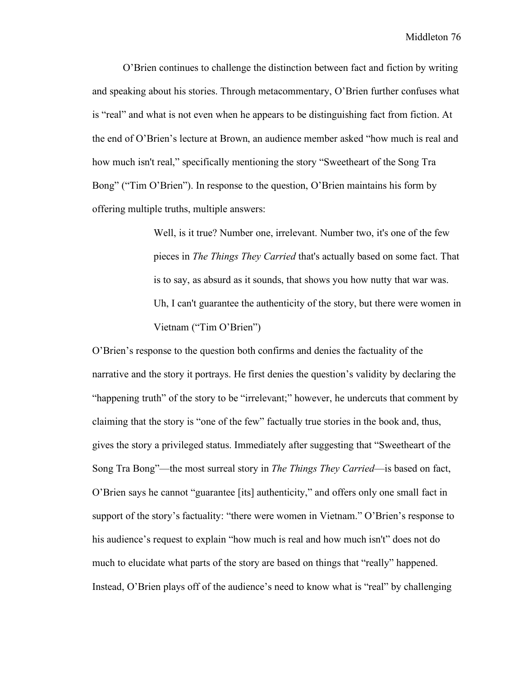O'Brien continues to challenge the distinction between fact and fiction by writing and speaking about his stories. Through metacommentary, O'Brien further confuses what is "real" and what is not even when he appears to be distinguishing fact from fiction. At the end of O'Brien's lecture at Brown, an audience member asked "how much is real and how much isn't real," specifically mentioning the story "Sweetheart of the Song Tra Bong" ("Tim O'Brien"). In response to the question, O'Brien maintains his form by offering multiple truths, multiple answers:

> Well, is it true? Number one, irrelevant. Number two, it's one of the few pieces in *The Things They Carried* that's actually based on some fact. That is to say, as absurd as it sounds, that shows you how nutty that war was. Uh, I can't guarantee the authenticity of the story, but there were women in Vietnam ("Tim O'Brien")

O'Brien's response to the question both confirms and denies the factuality of the narrative and the story it portrays. He first denies the question's validity by declaring the "happening truth" of the story to be "irrelevant;" however, he undercuts that comment by claiming that the story is "one of the few" factually true stories in the book and, thus, gives the story a privileged status. Immediately after suggesting that "Sweetheart of the Song Tra Bong"—the most surreal story in *The Things They Carried*—is based on fact, O'Brien says he cannot "guarantee [its] authenticity," and offers only one small fact in support of the story's factuality: "there were women in Vietnam." O'Brien's response to his audience's request to explain "how much is real and how much isn't" does not do much to elucidate what parts of the story are based on things that "really" happened. Instead, O'Brien plays off of the audience's need to know what is "real" by challenging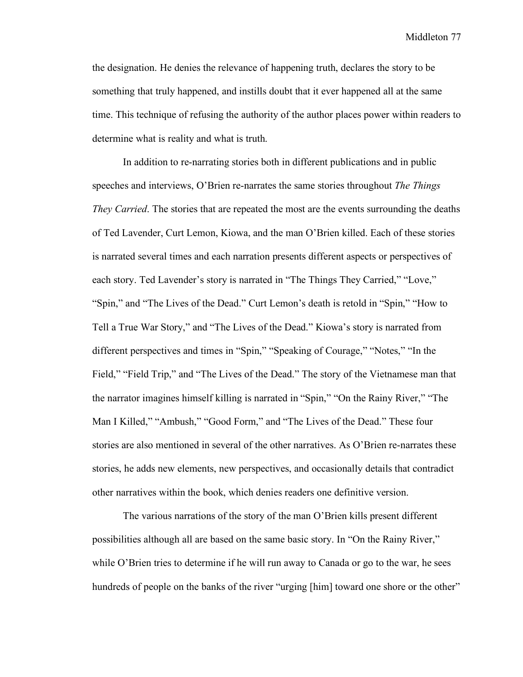the designation. He denies the relevance of happening truth, declares the story to be something that truly happened, and instills doubt that it ever happened all at the same time. This technique of refusing the authority of the author places power within readers to determine what is reality and what is truth.

In addition to re-narrating stories both in different publications and in public speeches and interviews, O'Brien re-narrates the same stories throughout *The Things They Carried*. The stories that are repeated the most are the events surrounding the deaths of Ted Lavender, Curt Lemon, Kiowa, and the man O'Brien killed. Each of these stories is narrated several times and each narration presents different aspects or perspectives of each story. Ted Lavender's story is narrated in "The Things They Carried," "Love," "Spin," and "The Lives of the Dead." Curt Lemon's death is retold in "Spin," "How to Tell a True War Story," and "The Lives of the Dead." Kiowa's story is narrated from different perspectives and times in "Spin," "Speaking of Courage," "Notes," "In the Field," "Field Trip," and "The Lives of the Dead." The story of the Vietnamese man that the narrator imagines himself killing is narrated in "Spin," "On the Rainy River," "The Man I Killed," "Ambush," "Good Form," and "The Lives of the Dead." These four stories are also mentioned in several of the other narratives. As O'Brien re-narrates these stories, he adds new elements, new perspectives, and occasionally details that contradict other narratives within the book, which denies readers one definitive version.

The various narrations of the story of the man O'Brien kills present different possibilities although all are based on the same basic story. In "On the Rainy River," while O'Brien tries to determine if he will run away to Canada or go to the war, he sees hundreds of people on the banks of the river "urging [him] toward one shore or the other"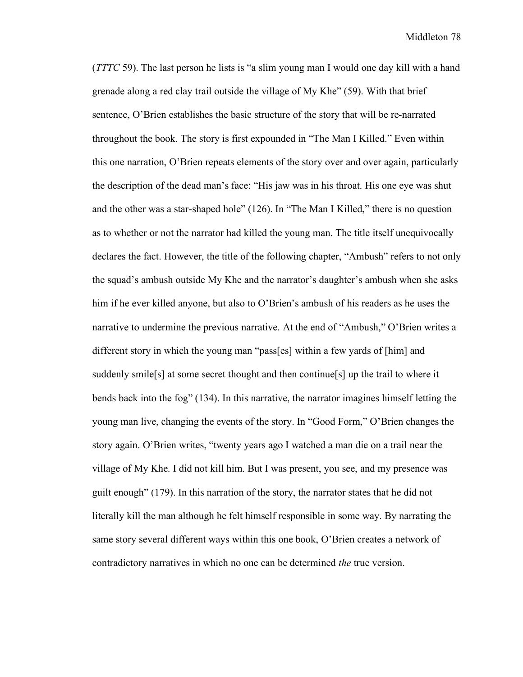(*TTTC* 59). The last person he lists is "a slim young man I would one day kill with a hand grenade along a red clay trail outside the village of My Khe" (59). With that brief sentence, O'Brien establishes the basic structure of the story that will be re-narrated throughout the book. The story is first expounded in "The Man I Killed." Even within this one narration, O'Brien repeats elements of the story over and over again, particularly the description of the dead man's face: "His jaw was in his throat. His one eye was shut and the other was a star-shaped hole" (126). In "The Man I Killed," there is no question as to whether or not the narrator had killed the young man. The title itself unequivocally declares the fact. However, the title of the following chapter, "Ambush" refers to not only the squad's ambush outside My Khe and the narrator's daughter's ambush when she asks him if he ever killed anyone, but also to O'Brien's ambush of his readers as he uses the narrative to undermine the previous narrative. At the end of "Ambush," O'Brien writes a different story in which the young man "pass[es] within a few yards of [him] and suddenly smile[s] at some secret thought and then continue[s] up the trail to where it bends back into the fog" (134). In this narrative, the narrator imagines himself letting the young man live, changing the events of the story. In "Good Form," O'Brien changes the story again. O'Brien writes, "twenty years ago I watched a man die on a trail near the village of My Khe. I did not kill him. But I was present, you see, and my presence was guilt enough" (179). In this narration of the story, the narrator states that he did not literally kill the man although he felt himself responsible in some way. By narrating the same story several different ways within this one book, O'Brien creates a network of contradictory narratives in which no one can be determined *the* true version.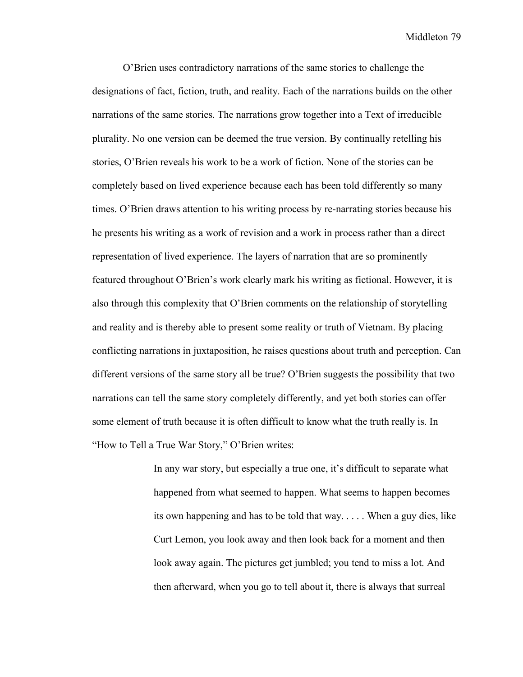O'Brien uses contradictory narrations of the same stories to challenge the designations of fact, fiction, truth, and reality. Each of the narrations builds on the other narrations of the same stories. The narrations grow together into a Text of irreducible plurality. No one version can be deemed the true version. By continually retelling his stories, O'Brien reveals his work to be a work of fiction. None of the stories can be completely based on lived experience because each has been told differently so many times. O'Brien draws attention to his writing process by re-narrating stories because his he presents his writing as a work of revision and a work in process rather than a direct representation of lived experience. The layers of narration that are so prominently featured throughout O'Brien's work clearly mark his writing as fictional. However, it is also through this complexity that O'Brien comments on the relationship of storytelling and reality and is thereby able to present some reality or truth of Vietnam. By placing conflicting narrations in juxtaposition, he raises questions about truth and perception. Can different versions of the same story all be true? O'Brien suggests the possibility that two narrations can tell the same story completely differently, and yet both stories can offer some element of truth because it is often difficult to know what the truth really is. In "How to Tell a True War Story," O'Brien writes:

> In any war story, but especially a true one, it's difficult to separate what happened from what seemed to happen. What seems to happen becomes its own happening and has to be told that way. . . . . When a guy dies, like Curt Lemon, you look away and then look back for a moment and then look away again. The pictures get jumbled; you tend to miss a lot. And then afterward, when you go to tell about it, there is always that surreal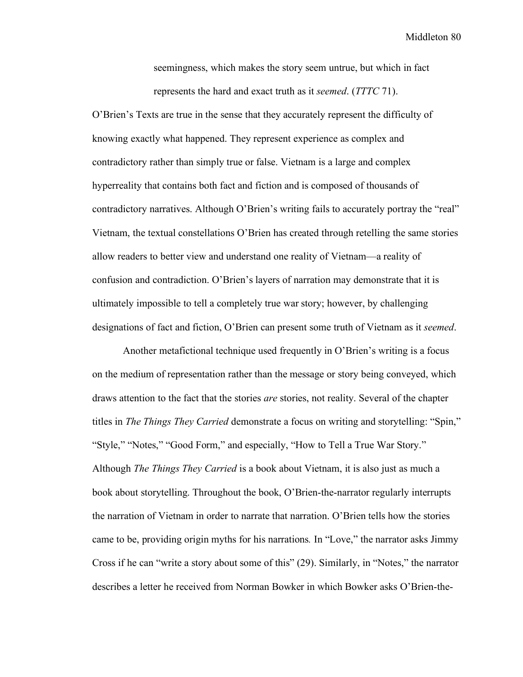seemingness, which makes the story seem untrue, but which in fact represents the hard and exact truth as it *seemed*. (*TTTC* 71).

O'Brien's Texts are true in the sense that they accurately represent the difficulty of knowing exactly what happened. They represent experience as complex and contradictory rather than simply true or false. Vietnam is a large and complex hyperreality that contains both fact and fiction and is composed of thousands of contradictory narratives. Although O'Brien's writing fails to accurately portray the "real" Vietnam, the textual constellations O'Brien has created through retelling the same stories allow readers to better view and understand one reality of Vietnam—a reality of confusion and contradiction. O'Brien's layers of narration may demonstrate that it is ultimately impossible to tell a completely true war story; however, by challenging designations of fact and fiction, O'Brien can present some truth of Vietnam as it *seemed*.

Another metafictional technique used frequently in O'Brien's writing is a focus on the medium of representation rather than the message or story being conveyed, which draws attention to the fact that the stories *are* stories, not reality. Several of the chapter titles in *The Things They Carried* demonstrate a focus on writing and storytelling: "Spin," "Style," "Notes," "Good Form," and especially, "How to Tell a True War Story." Although *The Things They Carried* is a book about Vietnam, it is also just as much a book about storytelling. Throughout the book, O'Brien-the-narrator regularly interrupts the narration of Vietnam in order to narrate that narration. O'Brien tells how the stories came to be, providing origin myths for his narrations*.* In "Love," the narrator asks Jimmy Cross if he can "write a story about some of this" (29). Similarly, in "Notes," the narrator describes a letter he received from Norman Bowker in which Bowker asks O'Brien-the-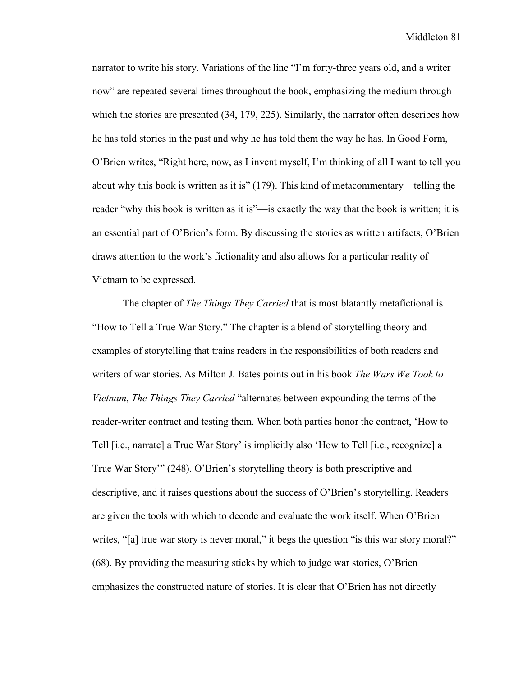narrator to write his story. Variations of the line "I'm forty-three years old, and a writer now" are repeated several times throughout the book, emphasizing the medium through which the stories are presented (34, 179, 225). Similarly, the narrator often describes how he has told stories in the past and why he has told them the way he has. In Good Form, O'Brien writes, "Right here, now, as I invent myself, I'm thinking of all I want to tell you about why this book is written as it is" (179). This kind of metacommentary—telling the reader "why this book is written as it is"—is exactly the way that the book is written; it is an essential part of O'Brien's form. By discussing the stories as written artifacts, O'Brien draws attention to the work's fictionality and also allows for a particular reality of Vietnam to be expressed.

The chapter of *The Things They Carried* that is most blatantly metafictional is "How to Tell a True War Story." The chapter is a blend of storytelling theory and examples of storytelling that trains readers in the responsibilities of both readers and writers of war stories. As Milton J. Bates points out in his book *The Wars We Took to Vietnam*, *The Things They Carried* "alternates between expounding the terms of the reader-writer contract and testing them. When both parties honor the contract, 'How to Tell [i.e., narrate] a True War Story' is implicitly also 'How to Tell [i.e., recognize] a True War Story'" (248). O'Brien's storytelling theory is both prescriptive and descriptive, and it raises questions about the success of O'Brien's storytelling. Readers are given the tools with which to decode and evaluate the work itself. When O'Brien writes, "[a] true war story is never moral," it begs the question "is this war story moral?" (68). By providing the measuring sticks by which to judge war stories, O'Brien emphasizes the constructed nature of stories. It is clear that O'Brien has not directly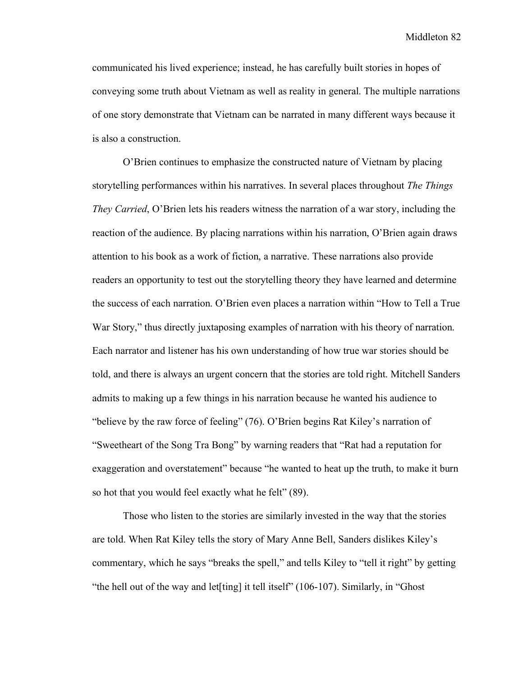communicated his lived experience; instead, he has carefully built stories in hopes of conveying some truth about Vietnam as well as reality in general. The multiple narrations of one story demonstrate that Vietnam can be narrated in many different ways because it is also a construction.

O'Brien continues to emphasize the constructed nature of Vietnam by placing storytelling performances within his narratives. In several places throughout *The Things They Carried*, O'Brien lets his readers witness the narration of a war story, including the reaction of the audience. By placing narrations within his narration, O'Brien again draws attention to his book as a work of fiction, a narrative. These narrations also provide readers an opportunity to test out the storytelling theory they have learned and determine the success of each narration. O'Brien even places a narration within "How to Tell a True War Story," thus directly juxtaposing examples of narration with his theory of narration. Each narrator and listener has his own understanding of how true war stories should be told, and there is always an urgent concern that the stories are told right. Mitchell Sanders admits to making up a few things in his narration because he wanted his audience to "believe by the raw force of feeling" (76). O'Brien begins Rat Kiley's narration of "Sweetheart of the Song Tra Bong" by warning readers that "Rat had a reputation for exaggeration and overstatement" because "he wanted to heat up the truth, to make it burn so hot that you would feel exactly what he felt" (89).

Those who listen to the stories are similarly invested in the way that the stories are told. When Rat Kiley tells the story of Mary Anne Bell, Sanders dislikes Kiley's commentary, which he says "breaks the spell," and tells Kiley to "tell it right" by getting "the hell out of the way and let<sup>[ting]</sup> it tell itself" (106-107). Similarly, in "Ghost"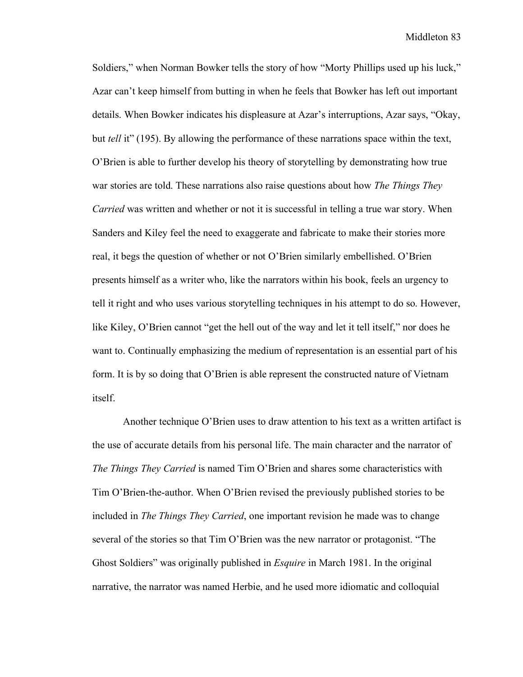Soldiers," when Norman Bowker tells the story of how "Morty Phillips used up his luck," Azar can't keep himself from butting in when he feels that Bowker has left out important details. When Bowker indicates his displeasure at Azar's interruptions, Azar says, "Okay, but *tell* it" (195). By allowing the performance of these narrations space within the text, O'Brien is able to further develop his theory of storytelling by demonstrating how true war stories are told. These narrations also raise questions about how *The Things They Carried* was written and whether or not it is successful in telling a true war story. When Sanders and Kiley feel the need to exaggerate and fabricate to make their stories more real, it begs the question of whether or not O'Brien similarly embellished. O'Brien presents himself as a writer who, like the narrators within his book, feels an urgency to tell it right and who uses various storytelling techniques in his attempt to do so. However, like Kiley, O'Brien cannot "get the hell out of the way and let it tell itself," nor does he want to. Continually emphasizing the medium of representation is an essential part of his form. It is by so doing that O'Brien is able represent the constructed nature of Vietnam itself.

Another technique O'Brien uses to draw attention to his text as a written artifact is the use of accurate details from his personal life. The main character and the narrator of *The Things They Carried* is named Tim O'Brien and shares some characteristics with Tim O'Brien-the-author. When O'Brien revised the previously published stories to be included in *The Things They Carried*, one important revision he made was to change several of the stories so that Tim O'Brien was the new narrator or protagonist. "The Ghost Soldiers" was originally published in *Esquire* in March 1981. In the original narrative, the narrator was named Herbie, and he used more idiomatic and colloquial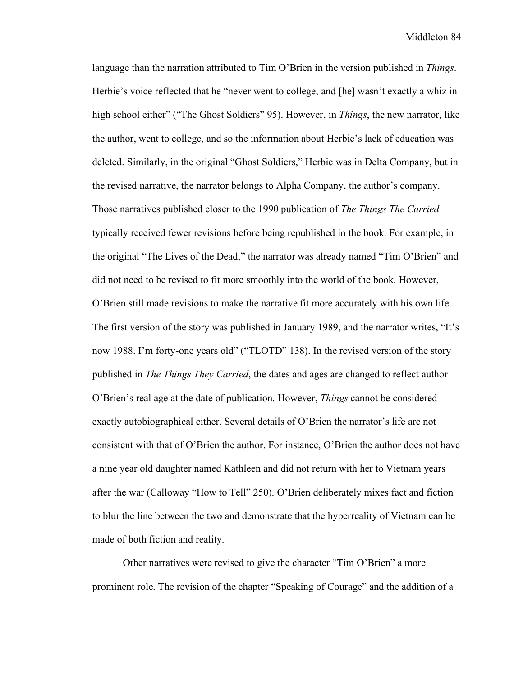language than the narration attributed to Tim O'Brien in the version published in *Things*. Herbie's voice reflected that he "never went to college, and [he] wasn't exactly a whiz in high school either" ("The Ghost Soldiers" 95). However, in *Things*, the new narrator, like the author, went to college, and so the information about Herbie's lack of education was deleted. Similarly, in the original "Ghost Soldiers," Herbie was in Delta Company, but in the revised narrative, the narrator belongs to Alpha Company, the author's company. Those narratives published closer to the 1990 publication of *The Things The Carried* typically received fewer revisions before being republished in the book. For example, in the original "The Lives of the Dead," the narrator was already named "Tim O'Brien" and did not need to be revised to fit more smoothly into the world of the book. However, O'Brien still made revisions to make the narrative fit more accurately with his own life. The first version of the story was published in January 1989, and the narrator writes, "It's now 1988. I'm forty-one years old" ("TLOTD" 138). In the revised version of the story published in *The Things They Carried*, the dates and ages are changed to reflect author O'Brien's real age at the date of publication. However, *Things* cannot be considered exactly autobiographical either. Several details of O'Brien the narrator's life are not consistent with that of O'Brien the author. For instance, O'Brien the author does not have a nine year old daughter named Kathleen and did not return with her to Vietnam years after the war (Calloway "How to Tell" 250). O'Brien deliberately mixes fact and fiction to blur the line between the two and demonstrate that the hyperreality of Vietnam can be made of both fiction and reality.

Other narratives were revised to give the character "Tim O'Brien" a more prominent role. The revision of the chapter "Speaking of Courage" and the addition of a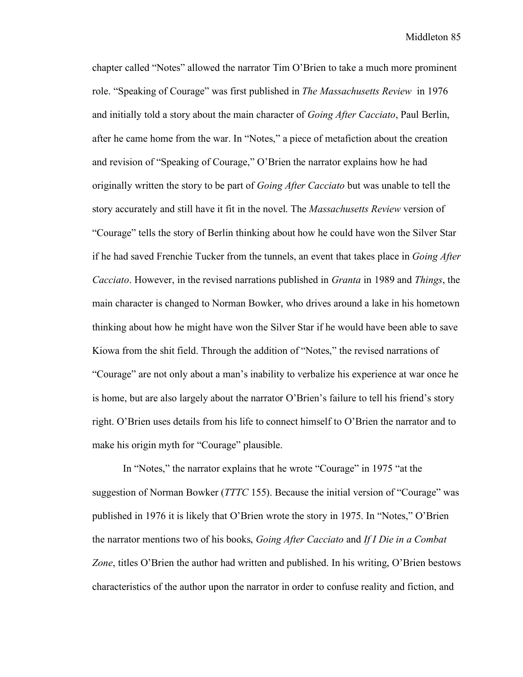chapter called "Notes" allowed the narrator Tim O'Brien to take a much more prominent role. "Speaking of Courage" was first published in *The Massachusetts Review* in 1976 and initially told a story about the main character of *Going After Cacciato*, Paul Berlin, after he came home from the war. In "Notes," a piece of metafiction about the creation and revision of "Speaking of Courage," O'Brien the narrator explains how he had originally written the story to be part of *Going After Cacciato* but was unable to tell the story accurately and still have it fit in the novel. The *Massachusetts Review* version of "Courage" tells the story of Berlin thinking about how he could have won the Silver Star if he had saved Frenchie Tucker from the tunnels, an event that takes place in *Going After Cacciato*. However, in the revised narrations published in *Granta* in 1989 and *Things*, the main character is changed to Norman Bowker, who drives around a lake in his hometown thinking about how he might have won the Silver Star if he would have been able to save Kiowa from the shit field. Through the addition of "Notes," the revised narrations of "Courage" are not only about a man's inability to verbalize his experience at war once he is home, but are also largely about the narrator O'Brien's failure to tell his friend's story right. O'Brien uses details from his life to connect himself to O'Brien the narrator and to make his origin myth for "Courage" plausible.

In "Notes," the narrator explains that he wrote "Courage" in 1975 "at the suggestion of Norman Bowker (*TTTC* 155). Because the initial version of "Courage" was published in 1976 it is likely that O'Brien wrote the story in 1975. In "Notes," O'Brien the narrator mentions two of his books, *Going After Cacciato* and *If I Die in a Combat Zone*, titles O'Brien the author had written and published. In his writing, O'Brien bestows characteristics of the author upon the narrator in order to confuse reality and fiction, and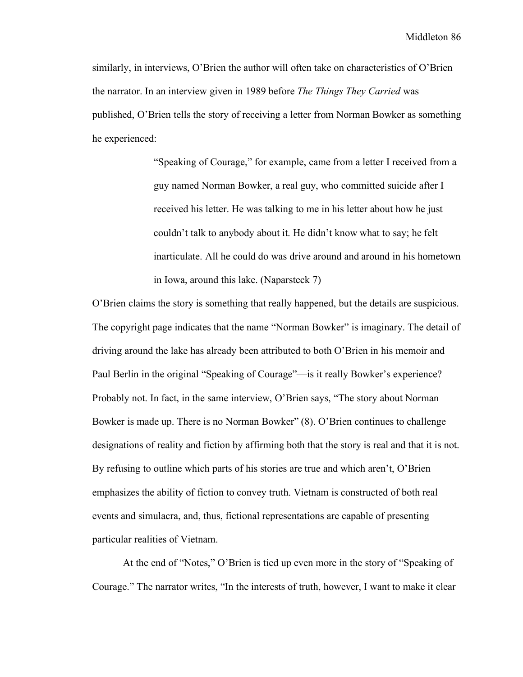similarly, in interviews, O'Brien the author will often take on characteristics of O'Brien the narrator. In an interview given in 1989 before *The Things They Carried* was published, O'Brien tells the story of receiving a letter from Norman Bowker as something he experienced:

> "Speaking of Courage," for example, came from a letter I received from a guy named Norman Bowker, a real guy, who committed suicide after I received his letter. He was talking to me in his letter about how he just couldn't talk to anybody about it. He didn't know what to say; he felt inarticulate. All he could do was drive around and around in his hometown in Iowa, around this lake. (Naparsteck 7)

O'Brien claims the story is something that really happened, but the details are suspicious. The copyright page indicates that the name "Norman Bowker" is imaginary. The detail of driving around the lake has already been attributed to both O'Brien in his memoir and Paul Berlin in the original "Speaking of Courage"—is it really Bowker's experience? Probably not. In fact, in the same interview, O'Brien says, "The story about Norman Bowker is made up. There is no Norman Bowker" (8). O'Brien continues to challenge designations of reality and fiction by affirming both that the story is real and that it is not. By refusing to outline which parts of his stories are true and which aren't, O'Brien emphasizes the ability of fiction to convey truth. Vietnam is constructed of both real events and simulacra, and, thus, fictional representations are capable of presenting particular realities of Vietnam.

At the end of "Notes," O'Brien is tied up even more in the story of "Speaking of Courage." The narrator writes, "In the interests of truth, however, I want to make it clear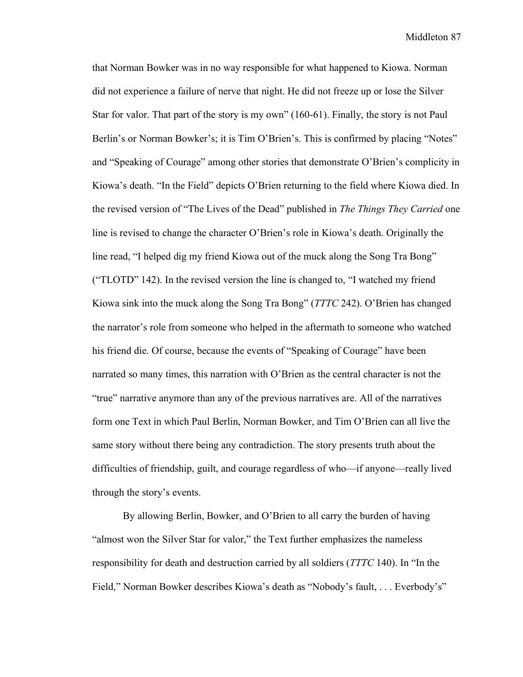that Norman Bowker was in no way responsible for what happened to Kiowa. Norman did not experience a failure of nerve that night. He did not freeze up or lose the Silver Star for valor. That part of the story is my own" (160-61). Finally, the story is not Paul Berlin's or Norman Bowker's; it is Tim O'Brien's. This is confirmed by placing "Notes" and "Speaking of Courage" among other stories that demonstrate O'Brien's complicity in Kiowa's death. "In the Field" depicts O'Brien returning to the field where Kiowa died. In the revised version of "The Lives of the Dead" published in *The Things They Carried* one line is revised to change the character O'Brien's role in Kiowa's death. Originally the line read, "I helped dig my friend Kiowa out of the muck along the Song Tra Bong" ("TLOTD" 142). In the revised version the line is changed to, "I watched my friend Kiowa sink into the muck along the Song Tra Bong" (*TTTC* 242). O'Brien has changed the narrator's role from someone who helped in the aftermath to someone who watched his friend die. Of course, because the events of "Speaking of Courage" have been narrated so many times, this narration with O'Brien as the central character is not the "true" narrative anymore than any of the previous narratives are. All of the narratives form one Text in which Paul Berlin, Norman Bowker, and Tim O'Brien can all live the same story without there being any contradiction. The story presents truth about the difficulties of friendship, guilt, and courage regardless of who—if anyone—really lived through the story's events.

By allowing Berlin, Bowker, and O'Brien to all carry the burden of having "almost won the Silver Star for valor," the Text further emphasizes the nameless responsibility for death and destruction carried by all soldiers (*TTTC* 140). In "In the Field," Norman Bowker describes Kiowa's death as "Nobody's fault, . . . Everbody's"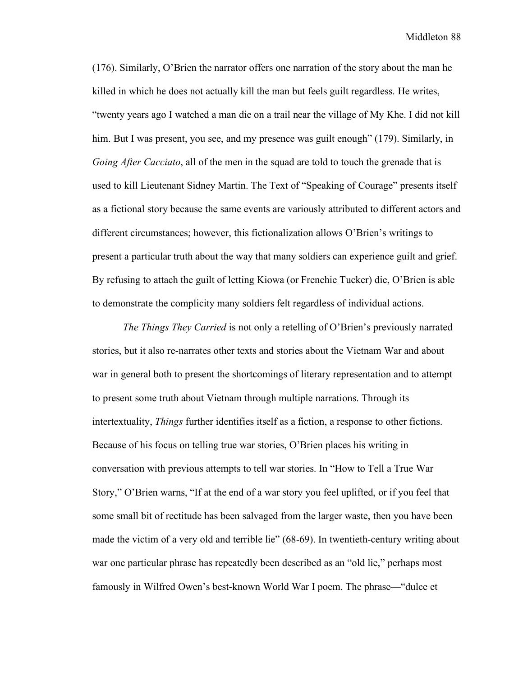(176). Similarly, O'Brien the narrator offers one narration of the story about the man he killed in which he does not actually kill the man but feels guilt regardless. He writes, "twenty years ago I watched a man die on a trail near the village of My Khe. I did not kill him. But I was present, you see, and my presence was guilt enough" (179). Similarly, in *Going After Cacciato*, all of the men in the squad are told to touch the grenade that is used to kill Lieutenant Sidney Martin. The Text of "Speaking of Courage" presents itself as a fictional story because the same events are variously attributed to different actors and different circumstances; however, this fictionalization allows O'Brien's writings to present a particular truth about the way that many soldiers can experience guilt and grief. By refusing to attach the guilt of letting Kiowa (or Frenchie Tucker) die, O'Brien is able to demonstrate the complicity many soldiers felt regardless of individual actions.

*The Things They Carried* is not only a retelling of O'Brien's previously narrated stories, but it also re-narrates other texts and stories about the Vietnam War and about war in general both to present the shortcomings of literary representation and to attempt to present some truth about Vietnam through multiple narrations. Through its intertextuality, *Things* further identifies itself as a fiction, a response to other fictions. Because of his focus on telling true war stories, O'Brien places his writing in conversation with previous attempts to tell war stories. In "How to Tell a True War Story," O'Brien warns, "If at the end of a war story you feel uplifted, or if you feel that some small bit of rectitude has been salvaged from the larger waste, then you have been made the victim of a very old and terrible lie" (68-69). In twentieth-century writing about war one particular phrase has repeatedly been described as an "old lie," perhaps most famously in Wilfred Owen's best-known World War I poem. The phrase—"dulce et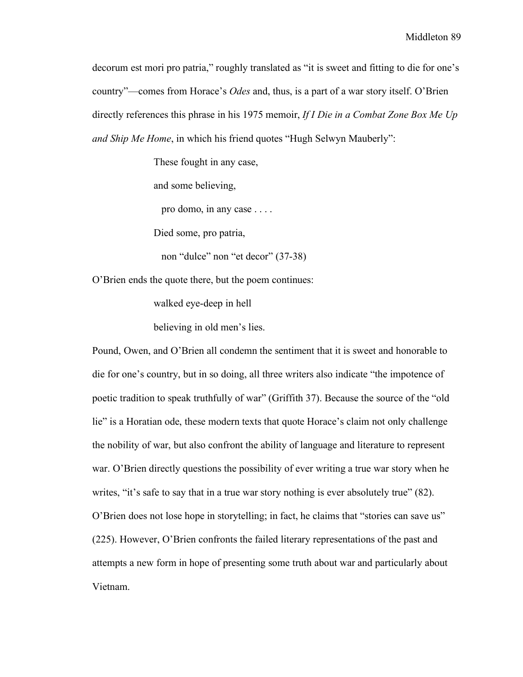decorum est mori pro patria," roughly translated as "it is sweet and fitting to die for one's country"—comes from Horace's *Odes* and, thus, is a part of a war story itself. O'Brien directly references this phrase in his 1975 memoir, *If I Die in a Combat Zone Box Me Up and Ship Me Home*, in which his friend quotes "Hugh Selwyn Mauberly":

These fought in any case,

and some believing,

pro domo, in any case . . . .

Died some, pro patria,

non "dulce" non "et decor" (37-38)

O'Brien ends the quote there, but the poem continues:

walked eye-deep in hell

believing in old men's lies.

Pound, Owen, and O'Brien all condemn the sentiment that it is sweet and honorable to die for one's country, but in so doing, all three writers also indicate "the impotence of poetic tradition to speak truthfully of war" (Griffith 37). Because the source of the "old lie" is a Horatian ode, these modern texts that quote Horace's claim not only challenge the nobility of war, but also confront the ability of language and literature to represent war. O'Brien directly questions the possibility of ever writing a true war story when he writes, "it's safe to say that in a true war story nothing is ever absolutely true" (82). O'Brien does not lose hope in storytelling; in fact, he claims that "stories can save us" (225). However, O'Brien confronts the failed literary representations of the past and attempts a new form in hope of presenting some truth about war and particularly about Vietnam.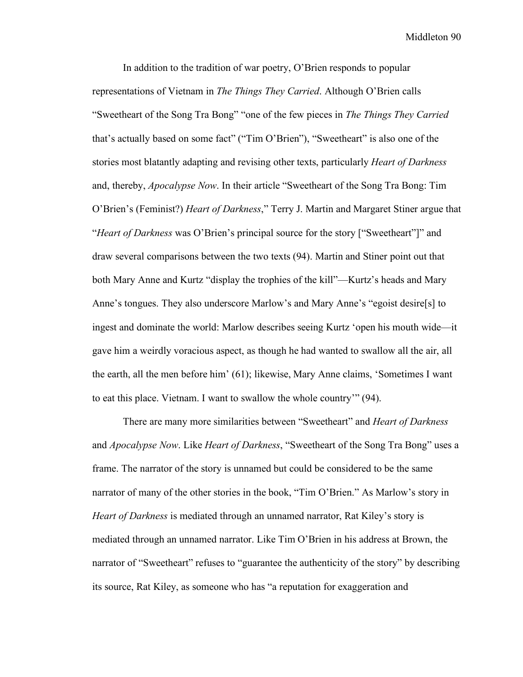In addition to the tradition of war poetry, O'Brien responds to popular representations of Vietnam in *The Things They Carried*. Although O'Brien calls "Sweetheart of the Song Tra Bong" "one of the few pieces in *The Things They Carried* that's actually based on some fact" ("Tim O'Brien"), "Sweetheart" is also one of the stories most blatantly adapting and revising other texts, particularly *Heart of Darkness* and, thereby, *Apocalypse Now*. In their article "Sweetheart of the Song Tra Bong: Tim O'Brien's (Feminist?) *Heart of Darkness*," Terry J. Martin and Margaret Stiner argue that "*Heart of Darkness* was O'Brien's principal source for the story ["Sweetheart"]" and draw several comparisons between the two texts (94). Martin and Stiner point out that both Mary Anne and Kurtz "display the trophies of the kill"—Kurtz's heads and Mary Anne's tongues. They also underscore Marlow's and Mary Anne's "egoist desire[s] to ingest and dominate the world: Marlow describes seeing Kurtz 'open his mouth wide—it gave him a weirdly voracious aspect, as though he had wanted to swallow all the air, all the earth, all the men before him' (61); likewise, Mary Anne claims, 'Sometimes I want to eat this place. Vietnam. I want to swallow the whole country'" (94).

There are many more similarities between "Sweetheart" and *Heart of Darkness* and *Apocalypse Now*. Like *Heart of Darkness*, "Sweetheart of the Song Tra Bong" uses a frame. The narrator of the story is unnamed but could be considered to be the same narrator of many of the other stories in the book, "Tim O'Brien." As Marlow's story in *Heart of Darkness* is mediated through an unnamed narrator, Rat Kiley's story is mediated through an unnamed narrator. Like Tim O'Brien in his address at Brown, the narrator of "Sweetheart" refuses to "guarantee the authenticity of the story" by describing its source, Rat Kiley, as someone who has "a reputation for exaggeration and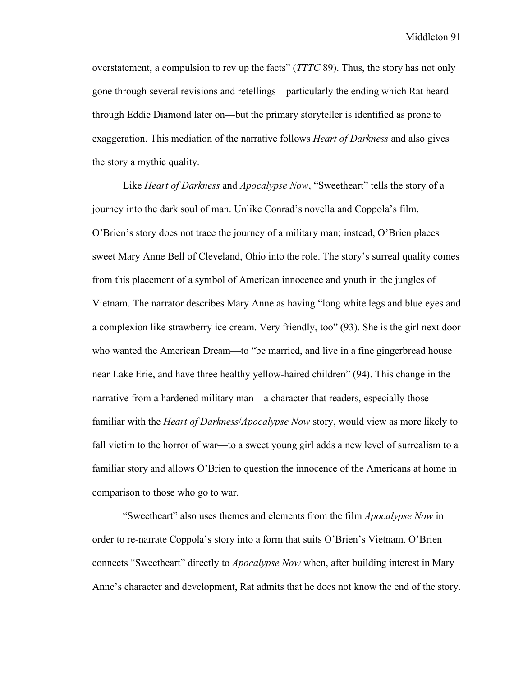overstatement, a compulsion to rev up the facts" (*TTTC* 89). Thus, the story has not only gone through several revisions and retellings—particularly the ending which Rat heard through Eddie Diamond later on—but the primary storyteller is identified as prone to exaggeration. This mediation of the narrative follows *Heart of Darkness* and also gives the story a mythic quality.

Like *Heart of Darkness* and *Apocalypse Now*, "Sweetheart" tells the story of a journey into the dark soul of man. Unlike Conrad's novella and Coppola's film, O'Brien's story does not trace the journey of a military man; instead, O'Brien places sweet Mary Anne Bell of Cleveland, Ohio into the role. The story's surreal quality comes from this placement of a symbol of American innocence and youth in the jungles of Vietnam. The narrator describes Mary Anne as having "long white legs and blue eyes and a complexion like strawberry ice cream. Very friendly, too" (93). She is the girl next door who wanted the American Dream—to "be married, and live in a fine gingerbread house near Lake Erie, and have three healthy yellow-haired children" (94). This change in the narrative from a hardened military man—a character that readers, especially those familiar with the *Heart of Darkness*/*Apocalypse Now* story, would view as more likely to fall victim to the horror of war—to a sweet young girl adds a new level of surrealism to a familiar story and allows O'Brien to question the innocence of the Americans at home in comparison to those who go to war.

"Sweetheart" also uses themes and elements from the film *Apocalypse Now* in order to re-narrate Coppola's story into a form that suits O'Brien's Vietnam. O'Brien connects "Sweetheart" directly to *Apocalypse Now* when, after building interest in Mary Anne's character and development, Rat admits that he does not know the end of the story.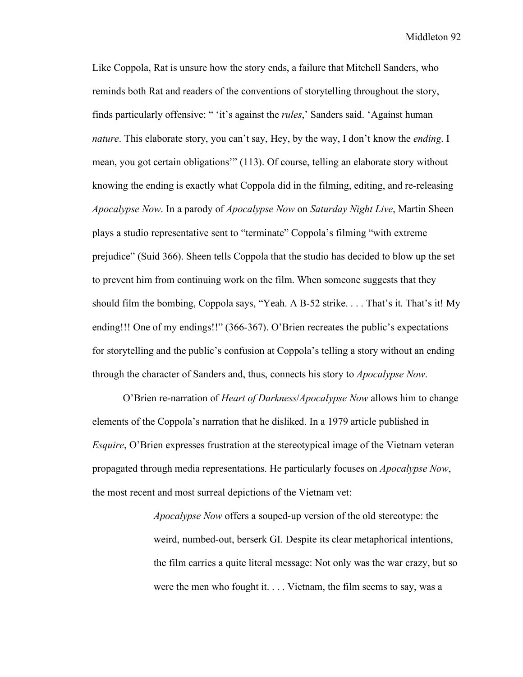Like Coppola, Rat is unsure how the story ends, a failure that Mitchell Sanders, who reminds both Rat and readers of the conventions of storytelling throughout the story, finds particularly offensive: " 'it's against the *rules*,' Sanders said. 'Against human *nature*. This elaborate story, you can't say, Hey, by the way, I don't know the *ending*. I mean, you got certain obligations'" (113). Of course, telling an elaborate story without knowing the ending is exactly what Coppola did in the filming, editing, and re-releasing *Apocalypse Now*. In a parody of *Apocalypse Now* on *Saturday Night Live*, Martin Sheen plays a studio representative sent to "terminate" Coppola's filming "with extreme prejudice" (Suid 366). Sheen tells Coppola that the studio has decided to blow up the set to prevent him from continuing work on the film. When someone suggests that they should film the bombing, Coppola says, "Yeah. A B-52 strike. . . . That's it. That's it! My ending!!! One of my endings!!" (366-367). O'Brien recreates the public's expectations for storytelling and the public's confusion at Coppola's telling a story without an ending through the character of Sanders and, thus, connects his story to *Apocalypse Now*.

O'Brien re-narration of *Heart of Darkness*/*Apocalypse Now* allows him to change elements of the Coppola's narration that he disliked. In a 1979 article published in *Esquire*, O'Brien expresses frustration at the stereotypical image of the Vietnam veteran propagated through media representations. He particularly focuses on *Apocalypse Now*, the most recent and most surreal depictions of the Vietnam vet:

> *Apocalypse Now* offers a souped-up version of the old stereotype: the weird, numbed-out, berserk GI. Despite its clear metaphorical intentions, the film carries a quite literal message: Not only was the war crazy, but so were the men who fought it. . . . Vietnam, the film seems to say, was a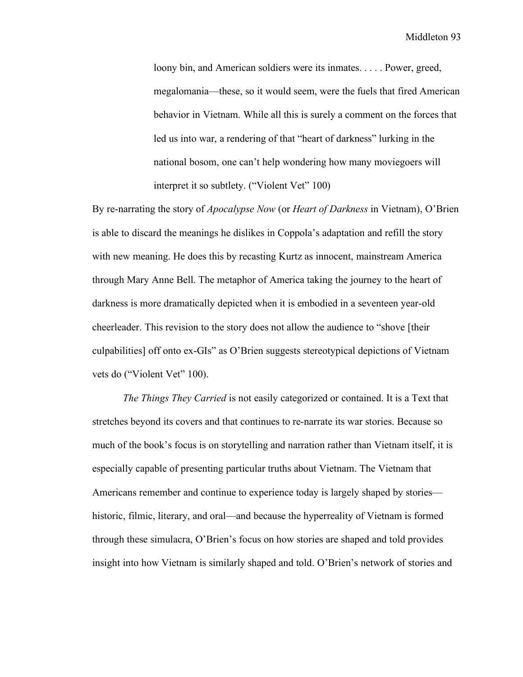loony bin, and American soldiers were its inmates. . . . . Power, greed, megalomania—these, so it would seem, were the fuels that fired American behavior in Vietnam. While all this is surely a comment on the forces that led us into war, a rendering of that "heart of darkness" lurking in the national bosom, one can't help wondering how many moviegoers will interpret it so subtlety. ("Violent Vet" 100)

By re-narrating the story of *Apocalypse Now* (or *Heart of Darkness* in Vietnam), O'Brien is able to discard the meanings he dislikes in Coppola's adaptation and refill the story with new meaning. He does this by recasting Kurtz as innocent, mainstream America through Mary Anne Bell. The metaphor of America taking the journey to the heart of darkness is more dramatically depicted when it is embodied in a seventeen year-old cheerleader. This revision to the story does not allow the audience to "shove [their culpabilities] off onto ex-GIs" as O'Brien suggests stereotypical depictions of Vietnam vets do ("Violent Vet" 100).

*The Things They Carried* is not easily categorized or contained. It is a Text that stretches beyond its covers and that continues to re-narrate its war stories. Because so much of the book's focus is on storytelling and narration rather than Vietnam itself, it is especially capable of presenting particular truths about Vietnam. The Vietnam that Americans remember and continue to experience today is largely shaped by stories historic, filmic, literary, and oral—and because the hyperreality of Vietnam is formed through these simulacra, O'Brien's focus on how stories are shaped and told provides insight into how Vietnam is similarly shaped and told. O'Brien's network of stories and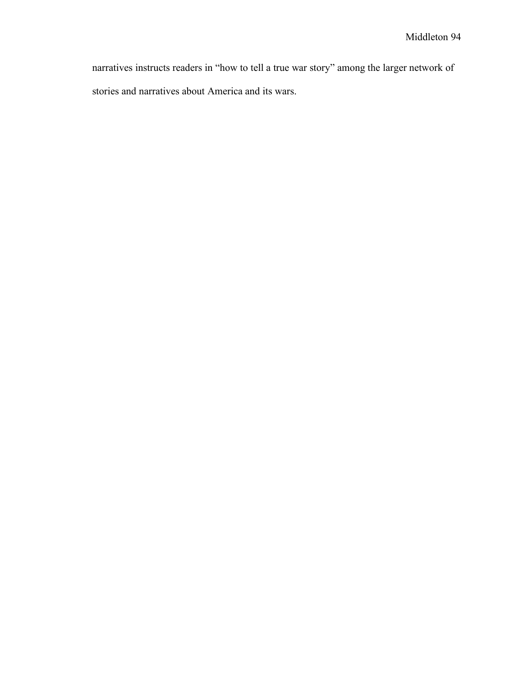narratives instructs readers in "how to tell a true war story" among the larger network of stories and narratives about America and its wars.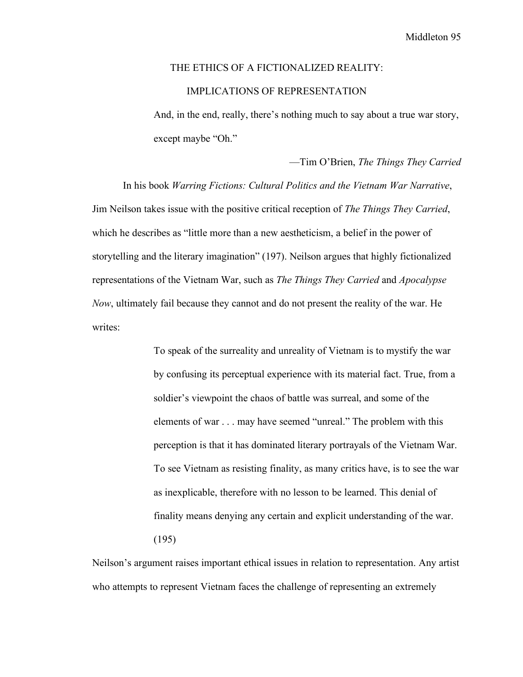## THE ETHICS OF A FICTIONALIZED REALITY: IMPLICATIONS OF REPRESENTATION

And, in the end, really, there's nothing much to say about a true war story, except maybe "Oh."

—Tim O'Brien, *The Things They Carried*

In his book *Warring Fictions: Cultural Politics and the Vietnam War Narrative*, Jim Neilson takes issue with the positive critical reception of *The Things They Carried*, which he describes as "little more than a new aestheticism, a belief in the power of storytelling and the literary imagination" (197). Neilson argues that highly fictionalized representations of the Vietnam War, such as *The Things They Carried* and *Apocalypse Now*, ultimately fail because they cannot and do not present the reality of the war. He writes:

> To speak of the surreality and unreality of Vietnam is to mystify the war by confusing its perceptual experience with its material fact. True, from a soldier's viewpoint the chaos of battle was surreal, and some of the elements of war . . . may have seemed "unreal." The problem with this perception is that it has dominated literary portrayals of the Vietnam War. To see Vietnam as resisting finality, as many critics have, is to see the war as inexplicable, therefore with no lesson to be learned. This denial of finality means denying any certain and explicit understanding of the war. (195)

Neilson's argument raises important ethical issues in relation to representation. Any artist who attempts to represent Vietnam faces the challenge of representing an extremely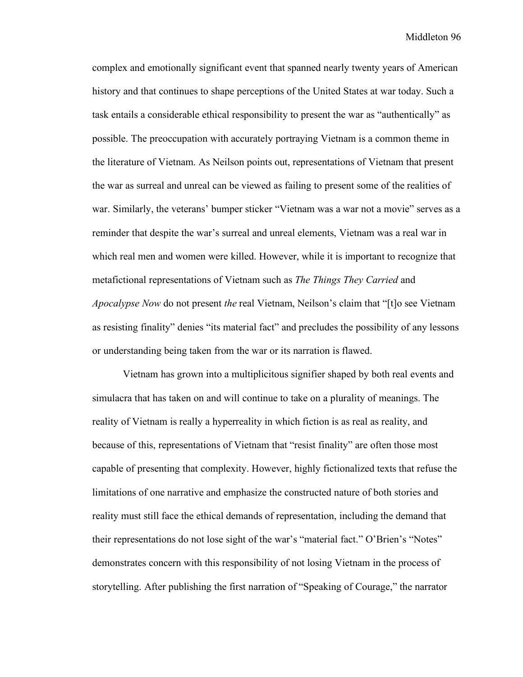complex and emotionally significant event that spanned nearly twenty years of American history and that continues to shape perceptions of the United States at war today. Such a task entails a considerable ethical responsibility to present the war as "authentically" as possible. The preoccupation with accurately portraying Vietnam is a common theme in the literature of Vietnam. As Neilson points out, representations of Vietnam that present the war as surreal and unreal can be viewed as failing to present some of the realities of war. Similarly, the veterans' bumper sticker "Vietnam was a war not a movie" serves as a reminder that despite the war's surreal and unreal elements, Vietnam was a real war in which real men and women were killed. However, while it is important to recognize that metafictional representations of Vietnam such as *The Things They Carried* and *Apocalypse Now* do not present *the* real Vietnam, Neilson's claim that "[t]o see Vietnam as resisting finality" denies "its material fact" and precludes the possibility of any lessons or understanding being taken from the war or its narration is flawed.

Vietnam has grown into a multiplicitous signifier shaped by both real events and simulacra that has taken on and will continue to take on a plurality of meanings. The reality of Vietnam is really a hyperreality in which fiction is as real as reality, and because of this, representations of Vietnam that "resist finality" are often those most capable of presenting that complexity. However, highly fictionalized texts that refuse the limitations of one narrative and emphasize the constructed nature of both stories and reality must still face the ethical demands of representation, including the demand that their representations do not lose sight of the war's "material fact." O'Brien's "Notes" demonstrates concern with this responsibility of not losing Vietnam in the process of storytelling. After publishing the first narration of "Speaking of Courage," the narrator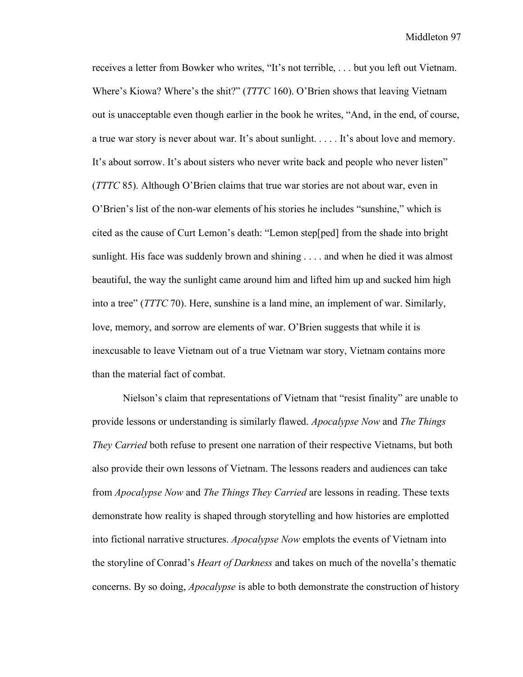receives a letter from Bowker who writes, "It's not terrible, . . . but you left out Vietnam. Where's Kiowa? Where's the shit?" (*TTTC* 160). O'Brien shows that leaving Vietnam out is unacceptable even though earlier in the book he writes, "And, in the end, of course, a true war story is never about war. It's about sunlight. . . . . It's about love and memory. It's about sorrow. It's about sisters who never write back and people who never listen" (*TTTC* 85). Although O'Brien claims that true war stories are not about war, even in O'Brien's list of the non-war elements of his stories he includes "sunshine," which is cited as the cause of Curt Lemon's death: "Lemon step[ped] from the shade into bright sunlight. His face was suddenly brown and shining . . . . and when he died it was almost beautiful, the way the sunlight came around him and lifted him up and sucked him high into a tree" (*TTTC* 70). Here, sunshine is a land mine, an implement of war. Similarly, love, memory, and sorrow are elements of war. O'Brien suggests that while it is inexcusable to leave Vietnam out of a true Vietnam war story, Vietnam contains more than the material fact of combat.

Nielson's claim that representations of Vietnam that "resist finality" are unable to provide lessons or understanding is similarly flawed. *Apocalypse Now* and *The Things They Carried* both refuse to present one narration of their respective Vietnams, but both also provide their own lessons of Vietnam. The lessons readers and audiences can take from *Apocalypse Now* and *The Things They Carried* are lessons in reading. These texts demonstrate how reality is shaped through storytelling and how histories are emplotted into fictional narrative structures. *Apocalypse Now* emplots the events of Vietnam into the storyline of Conrad's *Heart of Darkness* and takes on much of the novella's thematic concerns. By so doing, *Apocalypse* is able to both demonstrate the construction of history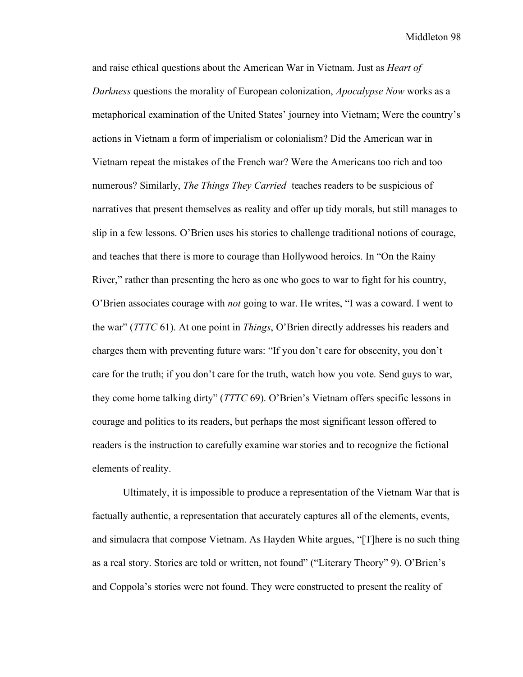and raise ethical questions about the American War in Vietnam. Just as *Heart of Darkness* questions the morality of European colonization, *Apocalypse Now* works as a metaphorical examination of the United States' journey into Vietnam; Were the country's actions in Vietnam a form of imperialism or colonialism? Did the American war in Vietnam repeat the mistakes of the French war? Were the Americans too rich and too numerous? Similarly, *The Things They Carried* teaches readers to be suspicious of narratives that present themselves as reality and offer up tidy morals, but still manages to slip in a few lessons. O'Brien uses his stories to challenge traditional notions of courage, and teaches that there is more to courage than Hollywood heroics. In "On the Rainy River," rather than presenting the hero as one who goes to war to fight for his country, O'Brien associates courage with *not* going to war. He writes, "I was a coward. I went to the war" (*TTTC* 61). At one point in *Things*, O'Brien directly addresses his readers and charges them with preventing future wars: "If you don't care for obscenity, you don't care for the truth; if you don't care for the truth, watch how you vote. Send guys to war, they come home talking dirty" (*TTTC* 69). O'Brien's Vietnam offers specific lessons in courage and politics to its readers, but perhaps the most significant lesson offered to readers is the instruction to carefully examine war stories and to recognize the fictional elements of reality.

Ultimately, it is impossible to produce a representation of the Vietnam War that is factually authentic, a representation that accurately captures all of the elements, events, and simulacra that compose Vietnam. As Hayden White argues, "[T]here is no such thing as a real story. Stories are told or written, not found" ("Literary Theory" 9). O'Brien's and Coppola's stories were not found. They were constructed to present the reality of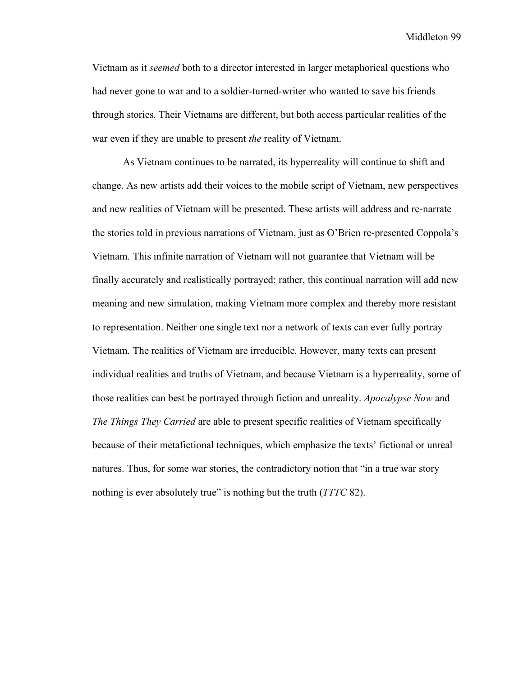Vietnam as it *seemed* both to a director interested in larger metaphorical questions who had never gone to war and to a soldier-turned-writer who wanted to save his friends through stories. Their Vietnams are different, but both access particular realities of the war even if they are unable to present *the* reality of Vietnam.

As Vietnam continues to be narrated, its hyperreality will continue to shift and change. As new artists add their voices to the mobile script of Vietnam, new perspectives and new realities of Vietnam will be presented. These artists will address and re-narrate the stories told in previous narrations of Vietnam, just as O'Brien re-presented Coppola's Vietnam. This infinite narration of Vietnam will not guarantee that Vietnam will be finally accurately and realistically portrayed; rather, this continual narration will add new meaning and new simulation, making Vietnam more complex and thereby more resistant to representation. Neither one single text nor a network of texts can ever fully portray Vietnam. The realities of Vietnam are irreducible. However, many texts can present individual realities and truths of Vietnam, and because Vietnam is a hyperreality, some of those realities can best be portrayed through fiction and unreality. *Apocalypse Now* and *The Things They Carried* are able to present specific realities of Vietnam specifically because of their metafictional techniques, which emphasize the texts' fictional or unreal natures. Thus, for some war stories, the contradictory notion that "in a true war story nothing is ever absolutely true" is nothing but the truth (*TTTC* 82).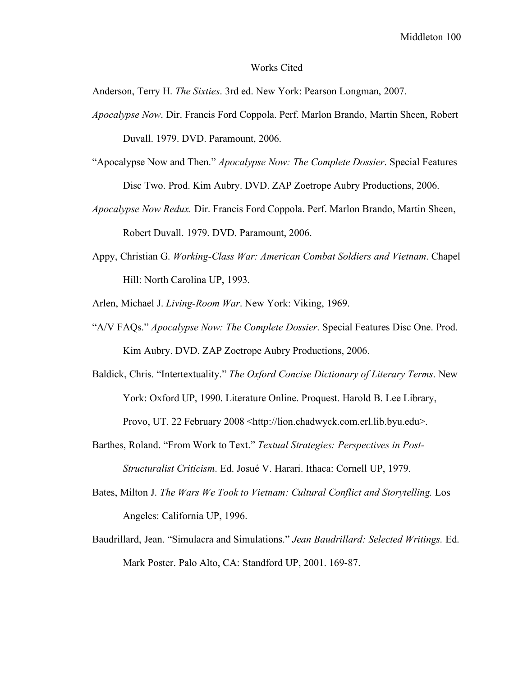## Works Cited

Anderson, Terry H. *The Sixties*. 3rd ed. New York: Pearson Longman, 2007.

*Apocalypse Now*. Dir. Francis Ford Coppola. Perf. Marlon Brando, Martin Sheen, Robert

Duvall. 1979. DVD. Paramount, 2006.

- "Apocalypse Now and Then." *Apocalypse Now: The Complete Dossier*. Special Features Disc Two. Prod. Kim Aubry. DVD. ZAP Zoetrope Aubry Productions, 2006.
- *Apocalypse Now Redux.* Dir. Francis Ford Coppola. Perf. Marlon Brando, Martin Sheen, Robert Duvall. 1979. DVD. Paramount, 2006.
- Appy, Christian G. *Working-Class War: American Combat Soldiers and Vietnam*. Chapel Hill: North Carolina UP, 1993.

Arlen, Michael J. *Living-Room War*. New York: Viking, 1969.

- "A/V FAQs." *Apocalypse Now: The Complete Dossier*. Special Features Disc One. Prod. Kim Aubry. DVD. ZAP Zoetrope Aubry Productions, 2006.
- Baldick, Chris. "Intertextuality." *The Oxford Concise Dictionary of Literary Terms*. New York: Oxford UP, 1990. Literature Online. Proquest. Harold B. Lee Library, Provo, UT. 22 February 2008 <http://lion.chadwyck.com.erl.lib.byu.edu>.
- Barthes, Roland. "From Work to Text." *Textual Strategies: Perspectives in Post-Structuralist Criticism*. Ed. Josué V. Harari. Ithaca: Cornell UP, 1979.
- Bates, Milton J. *The Wars We Took to Vietnam: Cultural Conflict and Storytelling.* Los Angeles: California UP, 1996.
- Baudrillard, Jean. "Simulacra and Simulations." *Jean Baudrillard: Selected Writings.* Ed. Mark Poster. Palo Alto, CA: Standford UP, 2001. 169-87.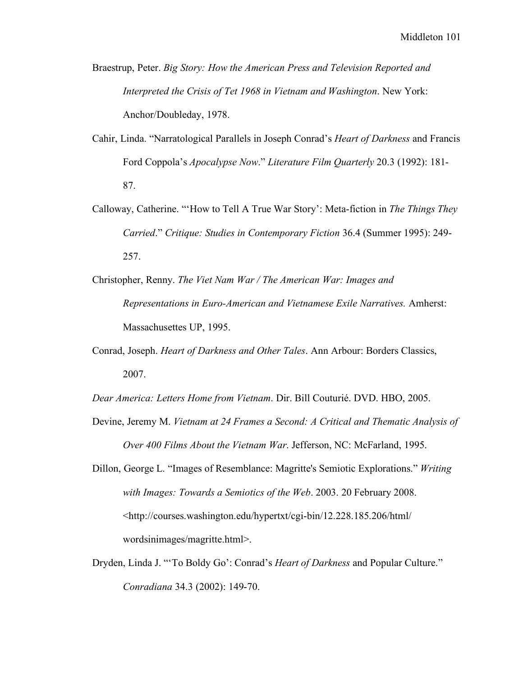Braestrup, Peter. *Big Story: How the American Press and Television Reported and Interpreted the Crisis of Tet 1968 in Vietnam and Washington*. New York: Anchor/Doubleday, 1978.

- Cahir, Linda. "Narratological Parallels in Joseph Conrad's *Heart of Darkness* and Francis Ford Coppola's *Apocalypse Now*." *Literature Film Quarterly* 20.3 (1992): 181- 87.
- Calloway, Catherine. "'How to Tell A True War Story': Meta-fiction in *The Things They Carried*." *Critique: Studies in Contemporary Fiction* 36.4 (Summer 1995): 249- 257.
- Christopher, Renny. *The Viet Nam War / The American War: Images and Representations in Euro-American and Vietnamese Exile Narratives.* Amherst: Massachusettes UP, 1995.
- Conrad, Joseph. *Heart of Darkness and Other Tales*. Ann Arbour: Borders Classics, 2007.

*Dear America: Letters Home from Vietnam*. Dir. Bill Couturié. DVD. HBO, 2005.

- Devine, Jeremy M. *Vietnam at 24 Frames a Second: A Critical and Thematic Analysis of Over 400 Films About the Vietnam War*. Jefferson, NC: McFarland, 1995.
- Dillon, George L. "Images of Resemblance: Magritte's Semiotic Explorations." *Writing with Images: Towards a Semiotics of the Web*. 2003. 20 February 2008. <http://courses.washington.edu/hypertxt/cgi-bin/12.228.185.206/html/ wordsinimages/magritte.html>.
- Dryden, Linda J. "'To Boldy Go': Conrad's *Heart of Darkness* and Popular Culture." *Conradiana* 34.3 (2002): 149-70.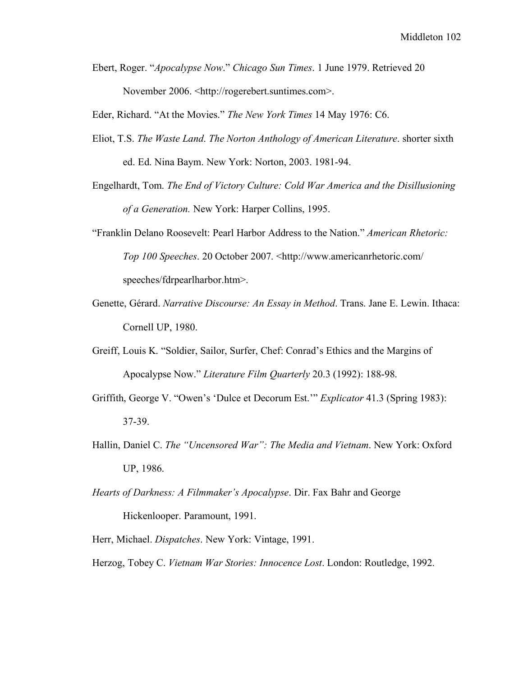Ebert, Roger. "*Apocalypse Now*." *Chicago Sun Times*. 1 June 1979. Retrieved 20 November 2006. <http://rogerebert.suntimes.com>.

Eder, Richard. "At the Movies." *The New York Times* 14 May 1976: C6.

- Eliot, T.S. *The Waste Land*. *The Norton Anthology of American Literature*. shorter sixth ed. Ed. Nina Baym. New York: Norton, 2003. 1981-94.
- Engelhardt, Tom. *The End of Victory Culture: Cold War America and the Disillusioning of a Generation.* New York: Harper Collins, 1995.
- "Franklin Delano Roosevelt: Pearl Harbor Address to the Nation." *American Rhetoric: Top 100 Speeches*. 20 October 2007. <http://www.americanrhetoric.com/ speeches/fdrpearlharbor.htm>.
- Genette, Gérard. *Narrative Discourse: An Essay in Method*. Trans. Jane E. Lewin. Ithaca: Cornell UP, 1980.
- Greiff, Louis K. "Soldier, Sailor, Surfer, Chef: Conrad's Ethics and the Margins of Apocalypse Now." *Literature Film Quarterly* 20.3 (1992): 188-98.
- Griffith, George V. "Owen's 'Dulce et Decorum Est.'" *Explicator* 41.3 (Spring 1983): 37-39.
- Hallin, Daniel C. *The "Uncensored War": The Media and Vietnam*. New York: Oxford UP, 1986.
- *Hearts of Darkness: A Filmmaker's Apocalypse*. Dir. Fax Bahr and George Hickenlooper. Paramount, 1991.
- Herr, Michael. *Dispatches*. New York: Vintage, 1991.

Herzog, Tobey C. *Vietnam War Stories: Innocence Lost*. London: Routledge, 1992.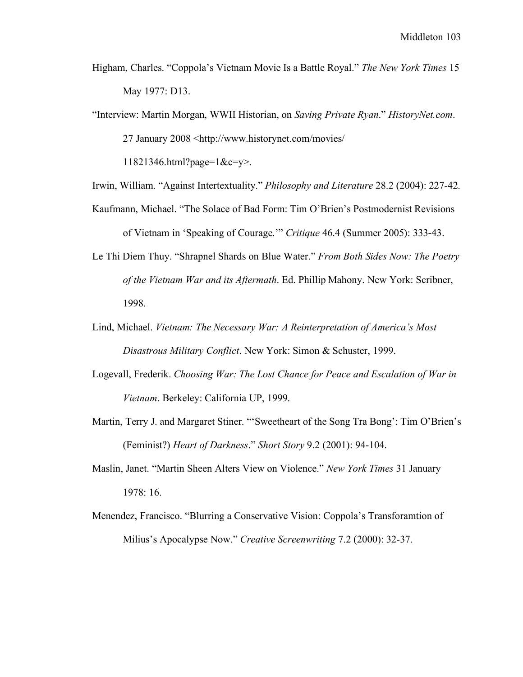- Higham, Charles. "Coppola's Vietnam Movie Is a Battle Royal." *The New York Times* 15 May 1977: D13.
- "Interview: Martin Morgan, WWII Historian, on *Saving Private Ryan*." *HistoryNet.com*. 27 January 2008 <http://www.historynet.com/movies/

11821346.html?page=1&c=y>.

- Irwin, William. "Against Intertextuality." *Philosophy and Literature* 28.2 (2004): 227-42.
- Kaufmann, Michael. "The Solace of Bad Form: Tim O'Brien's Postmodernist Revisions of Vietnam in 'Speaking of Courage.'" *Critique* 46.4 (Summer 2005): 333-43.
- Le Thi Diem Thuy. "Shrapnel Shards on Blue Water." *From Both Sides Now: The Poetry of the Vietnam War and its Aftermath*. Ed. Phillip Mahony. New York: Scribner, 1998.
- Lind, Michael. *Vietnam: The Necessary War: A Reinterpretation of America's Most Disastrous Military Conflict*. New York: Simon & Schuster, 1999.
- Logevall, Frederik. *Choosing War: The Lost Chance for Peace and Escalation of War in Vietnam*. Berkeley: California UP, 1999.
- Martin, Terry J. and Margaret Stiner. "'Sweetheart of the Song Tra Bong': Tim O'Brien's (Feminist?) *Heart of Darkness*." *Short Story* 9.2 (2001): 94-104.
- Maslin, Janet. "Martin Sheen Alters View on Violence." *New York Times* 31 January 1978: 16.
- Menendez, Francisco. "Blurring a Conservative Vision: Coppola's Transforamtion of Milius's Apocalypse Now." *Creative Screenwriting* 7.2 (2000): 32-37.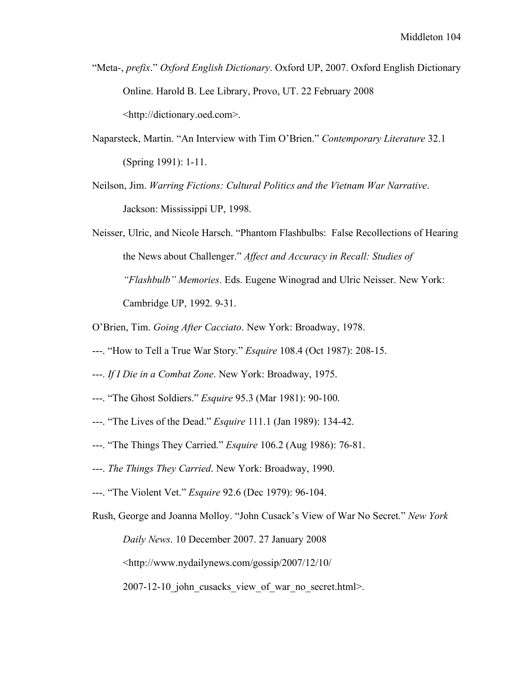- "Meta-, *prefix*." *Oxford English Dictionary*. Oxford UP, 2007. Oxford English Dictionary Online. Harold B. Lee Library, Provo, UT. 22 February 2008 <http://dictionary.oed.com>.
- Naparsteck, Martin. "An Interview with Tim O'Brien." *Contemporary Literature* 32.1 (Spring 1991): 1-11.
- Neilson, Jim. *Warring Fictions: Cultural Politics and the Vietnam War Narrative*. Jackson: Mississippi UP, 1998.
- Neisser, Ulric, and Nicole Harsch. "Phantom Flashbulbs: False Recollections of Hearing the News about Challenger." *Affect and Accuracy in Recall: Studies of "Flashbulb" Memories*. Eds. Eugene Winograd and Ulric Neisser. New York: Cambridge UP, 1992. 9-31.
- O'Brien, Tim. *Going After Cacciato*. New York: Broadway, 1978.
- ---. "How to Tell a True War Story." *Esquire* 108.4 (Oct 1987): 208-15.
- ---. *If I Die in a Combat Zone*. New York: Broadway, 1975.
- ---. "The Ghost Soldiers." *Esquire* 95.3 (Mar 1981): 90-100.
- ---. "The Lives of the Dead." *Esquire* 111.1 (Jan 1989): 134-42.
- ---. "The Things They Carried." *Esquire* 106.2 (Aug 1986): 76-81.
- ---. *The Things They Carried*. New York: Broadway, 1990.
- ---. "The Violent Vet." *Esquire* 92.6 (Dec 1979): 96-104.
- Rush, George and Joanna Molloy. "John Cusack's View of War No Secret." *New York Daily News*. 10 December 2007. 27 January 2008 <http://www.nydailynews.com/gossip/2007/12/10/  $2007-12-10$  john cusacks view of war no secret.html>.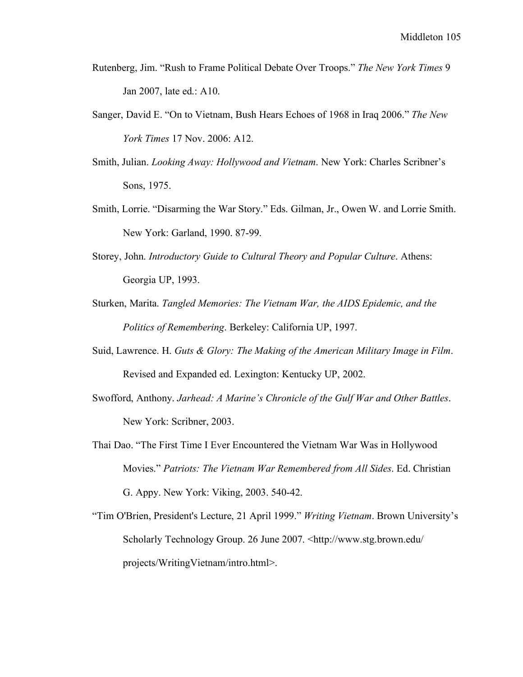- Rutenberg, Jim. "Rush to Frame Political Debate Over Troops." *The New York Times* 9 Jan 2007, late ed.: A10.
- Sanger, David E. "On to Vietnam, Bush Hears Echoes of 1968 in Iraq 2006." *The New York Times* 17 Nov. 2006: A12.
- Smith, Julian. *Looking Away: Hollywood and Vietnam*. New York: Charles Scribner's Sons, 1975.
- Smith, Lorrie. "Disarming the War Story." Eds. Gilman, Jr., Owen W. and Lorrie Smith. New York: Garland, 1990. 87-99.
- Storey, John. *Introductory Guide to Cultural Theory and Popular Culture*. Athens: Georgia UP, 1993.
- Sturken, Marita. *Tangled Memories: The Vietnam War, the AIDS Epidemic, and the Politics of Remembering*. Berkeley: California UP, 1997.
- Suid, Lawrence. H. *Guts & Glory: The Making of the American Military Image in Film*. Revised and Expanded ed. Lexington: Kentucky UP, 2002.
- Swofford, Anthony. *Jarhead: A Marine's Chronicle of the Gulf War and Other Battles*. New York: Scribner, 2003.
- Thai Dao. "The First Time I Ever Encountered the Vietnam War Was in Hollywood Movies." *Patriots: The Vietnam War Remembered from All Sides*. Ed. Christian G. Appy. New York: Viking, 2003. 540-42.
- "Tim O'Brien, President's Lecture, 21 April 1999." *Writing Vietnam*. Brown University's Scholarly Technology Group. 26 June 2007. <http://www.stg.brown.edu/ projects/WritingVietnam/intro.html>.